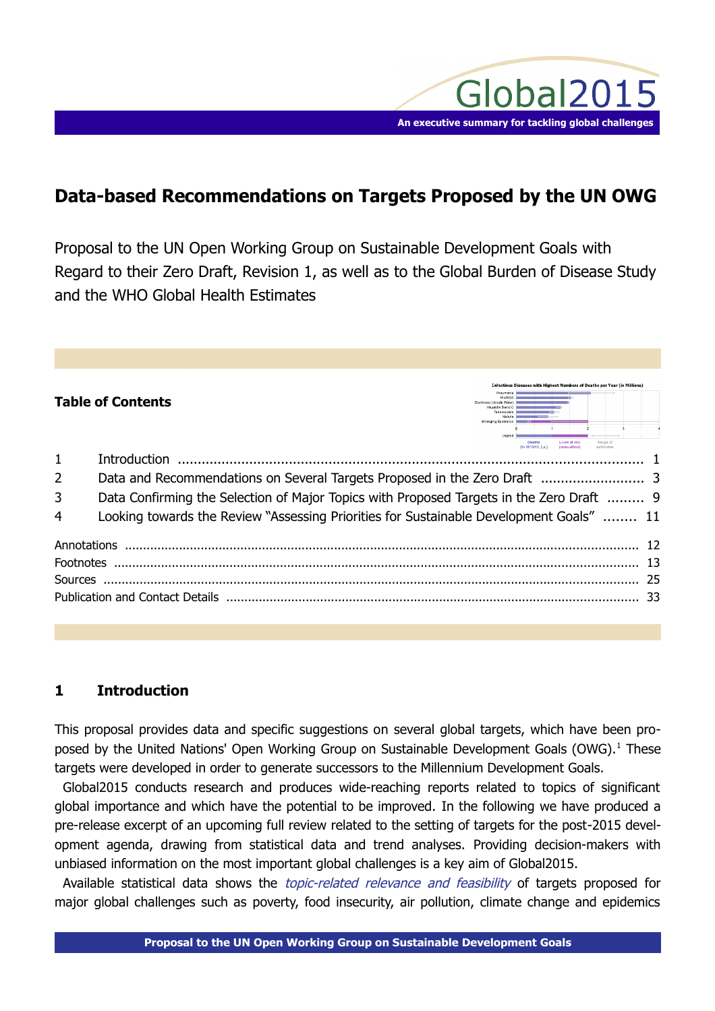

es with Highest Numbers of Deaths per Year (in M

# **Data-based Recommendations on Targets Proposed by the UN OWG**

Proposal to the UN Open Working Group on Sustainable Development Goals with Regard to their Zero Draft, Revision 1, as well as to the Global Burden of Disease Study and the WHO Global Health Estimates

# **Table of Contents**

|                | Deaths<br>čange of                                                                       |    |  |  |
|----------------|------------------------------------------------------------------------------------------|----|--|--|
| $\mathbf{1}$   | estimates                                                                                |    |  |  |
| $\overline{2}$ |                                                                                          |    |  |  |
| 3              | Data Confirming the Selection of Major Topics with Proposed Targets in the Zero Draft  9 |    |  |  |
| 4              | Looking towards the Review "Assessing Priorities for Sustainable Development Goals"  11  |    |  |  |
|                |                                                                                          |    |  |  |
|                |                                                                                          | 13 |  |  |
|                |                                                                                          | 25 |  |  |
|                |                                                                                          | 33 |  |  |
|                |                                                                                          |    |  |  |

# <span id="page-0-0"></span>**1 Introduction**

This proposal provides data and specific suggestions on several global targets, which have been pro-posed by the United Nations' Open Working Group on Sustainable Development Goals (OWG).<sup>[1](#page-12-0)</sup> These targets were developed in order to generate successors to the Millennium Development Goals.

Global2015 conducts research and produces wide-reaching reports related to topics of significant global importance and which have the potential to be improved. In the following we have produced a pre-release excerpt of an upcoming full review related to the setting of targets for the post-2015 development agenda, drawing from statistical data and trend analyses. Providing decision-makers with unbiased information on the most important global challenges is a key aim of Global2015.

Available statistical data shows the *topic-related relevance and feasibility* of targets proposed for major global challenges such as poverty, food insecurity, air pollution, climate change and epidemics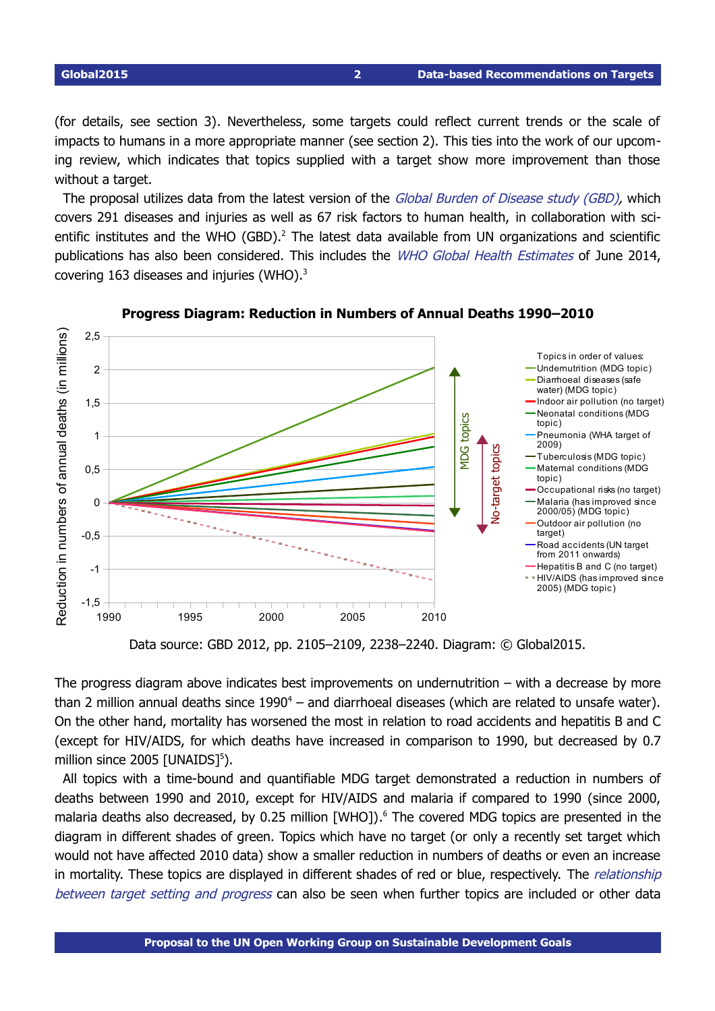(for details, see section 3). Nevertheless, some targets could reflect current trends or the scale of impacts to humans in a more appropriate manner (see section 2). This ties into the work of our upcoming review, which indicates that topics supplied with a target show more improvement than those without a target.

The proposal utilizes data from the latest version of the Global Burden of Disease study (GBD), which covers 291 diseases and injuries as well as 67 risk factors to human health, in collaboration with sci-entific institutes and the WHO (GBD).<sup>[2](#page-12-1)</sup> The latest data available from UN organizations and scientific publications has also been considered. This includes the WHO Global Health Estimates of June 2014, covering 16[3](#page-12-2) diseases and injuries (WHO). $^{3}$ 



### <span id="page-1-0"></span>**Progress Diagram: Reduction in Numbers of Annual Deaths 1990–2010**

The progress diagram above indicates best improvements on undernutrition  $-$  with a decrease by more than 2 million annual deaths since  $1990^4$  $1990^4$  – and diarrhoeal diseases (which are related to unsafe water). On the other hand, mortality has worsened the most in relation to road accidents and hepatitis B and C (except for HIV/AIDS, for which deaths have increased in comparison to 1990, but decreased by 0.7 million since 200[5](#page-12-4) [UNAIDS]<sup>5</sup>).

All topics with a time-bound and quantifiable MDG target demonstrated a reduction in numbers of deaths between 1990 and 2010, except for HIV/AIDS and malaria if compared to 1990 (since 2000, malaria deaths also decreased, by 0.25 million [WHO]). [6](#page-12-5) The covered MDG topics are presented in the diagram in different shades of green. Topics which have no target (or only a recently set target which would not have affected 2010 data) show a smaller reduction in numbers of deaths or even an increase in mortality. These topics are displayed in different shades of red or blue, respectively. The *relationship* between target setting and progress can also be seen when further topics are included or other data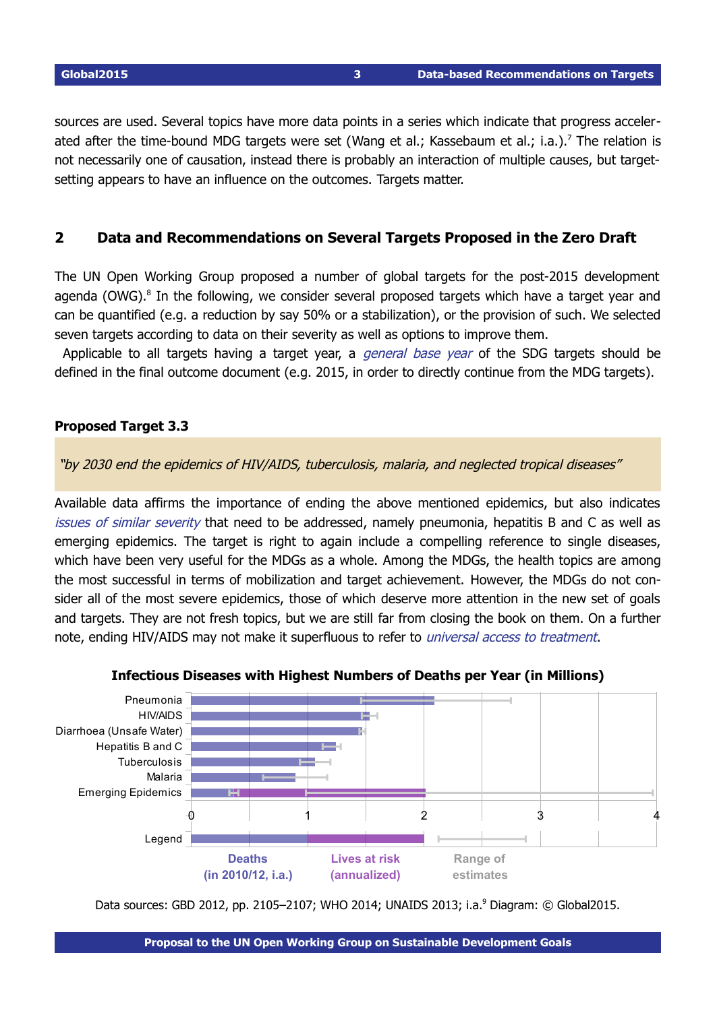sources are used. Several topics have more data points in a series which indicate that progress acceler-ated after the time-bound MDG targets were set (Wang et al.; Kassebaum et al.; i.a.).<sup>[7](#page-12-6)</sup> The relation is not necessarily one of causation, instead there is probably an interaction of multiple causes, but targetsetting appears to have an influence on the outcomes. Targets matter.

# <span id="page-2-1"></span><span id="page-2-0"></span>**2 Data and Recommendations on Several Targets Proposed in the Zero Draft**

The UN Open Working Group proposed a number of global targets for the post-2015 development agenda (OWG).<sup>[8](#page-12-7)</sup> In the following, we consider several proposed targets which have a target year and can be quantified (e.g. a reduction by say 50% or a stabilization), or the provision of such. We selected seven targets according to data on their severity as well as options to improve them.

Applicable to all targets having a target year, a *general base year* of the SDG targets should be defined in the final outcome document (e.g. 2015, in order to directly continue from the MDG targets).

# **Proposed Target 3.3**

"by 2030 end the epidemics of HIV/AIDS, tuberculosis, malaria, and neglected tropical diseases"

Available data affirms the importance of ending the above mentioned epidemics, but also indicates issues of similar severity that need to be addressed, namely pneumonia, hepatitis B and C as well as emerging epidemics. The target is right to again include a compelling reference to single diseases, which have been very useful for the MDGs as a whole. Among the MDGs, the health topics are among the most successful in terms of mobilization and target achievement. However, the MDGs do not consider all of the most severe epidemics, those of which deserve more attention in the new set of goals and targets. They are not fresh topics, but we are still far from closing the book on them. On a further note, ending HIV/AIDS may not make it superfluous to refer to universal access to treatment.



### **Infectious Diseases with Highest Numbers of Deaths per Year (in Millions)**

Data sources: GBD 2012, pp. 2105–2107; WHO 2014; UNAIDS 2013; i.a.<sup>[9](#page-12-8)</sup> Diagram: © Global2015.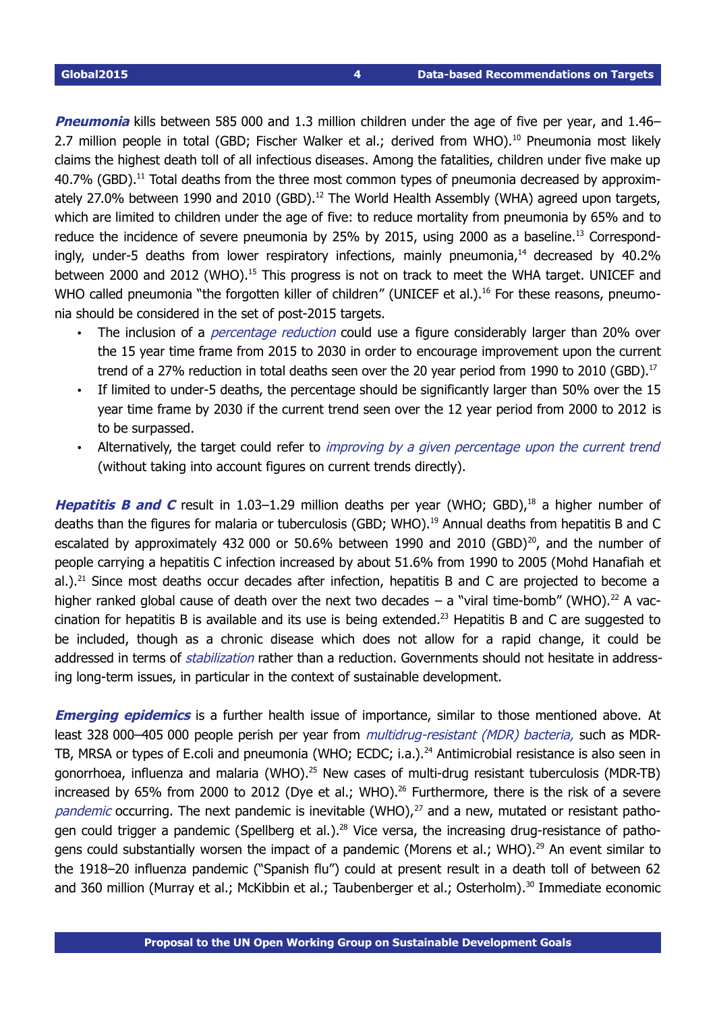**Pneumonia** kills between 585 000 and 1.3 million children under the age of five per year, and 1.46– 2.7 million people in total (GBD; Fischer Walker et al.; derived from WHO).<sup>[10](#page-13-0)</sup> Pneumonia most likely claims the highest death toll of all infectious diseases. Among the fatalities, children under five make up  $40.7\%$  (GBD).<sup>[11](#page-14-0)</sup> Total deaths from the three most common types of pneumonia decreased by approxim-ately 27.0% between 1990 and 2010 (GBD).<sup>[12](#page-14-1)</sup> The World Health Assembly (WHA) agreed upon targets, which are limited to children under the age of five: to reduce mortality from pneumonia by 65% and to reduce the incidence of severe pneumonia by 25% by 2015, using 2000 as a baseline.<sup>[13](#page-14-2)</sup> Correspondingly, under-5 deaths from lower respiratory infections, mainly pneumonia, $14$  decreased by 40.2% between 2000 and 2012 (WHO).<sup>[15](#page-14-4)</sup> This progress is not on track to meet the WHA target. UNICEF and WHO called pneumonia "the forgotten killer of children" (UNICEF et al.).<sup>[16](#page-14-5)</sup> For these reasons, pneumonia should be considered in the set of post-2015 targets.

- The inclusion of a *percentage reduction* could use a figure considerably larger than 20% over the 15 year time frame from 2015 to 2030 in order to encourage improvement upon the current trend of a 27% reduction in total deaths seen over the 20 year period from 1990 to 2010 (GBD).<sup>[17](#page-14-6)</sup>
- If limited to under-5 deaths, the percentage should be significantly larger than 50% over the 15 year time frame by 2030 if the current trend seen over the 12 year period from 2000 to 2012 is to be surpassed.
- Alternatively, the target could refer to *improving by a given percentage upon the current trend* (without taking into account figures on current trends directly).

**Hepatitis B and C** result in 1.03-1.29 million deaths per year (WHO; GBD),<sup>[18](#page-14-7)</sup> a higher number of deaths than the figures for malaria or tuberculosis (GBD; WHO). [19](#page-14-8) Annual deaths from hepatitis B and C escalated by approximately 432 000 or 50.6% between 1990 and [20](#page-14-9)10 (GBD) $^{20}$ , and the number of people carrying a hepatitis C infection increased by about 51.6% from 1990 to 2005 (Mohd Hanafiah et al.).<sup>[21](#page-15-0)</sup> Since most deaths occur decades after infection, hepatitis B and C are projected to become a higher ranked global cause of death over the next two decades  $-$  a "viral time-bomb" (WHO).<sup>[22](#page-15-1)</sup> A vac-cination for hepatitis B is available and its use is being extended.<sup>[23](#page-15-2)</sup> Hepatitis B and C are suggested to be included, though as a chronic disease which does not allow for a rapid change, it could be addressed in terms of *stabilization* rather than a reduction. Governments should not hesitate in addressing long-term issues, in particular in the context of sustainable development.

**Emerging epidemics** is a further health issue of importance, similar to those mentioned above. At least 328 000–405 000 people perish per year from *multidrug-resistant (MDR) bacteria*, such as MDR-TB, MRSA or types of E.coli and pneumonia (WHO; ECDC; i.a.).<sup>[24](#page-15-3)</sup> Antimicrobial resistance is also seen in gonorrhoea, influenza and malaria (WHO).<sup>[25](#page-15-4)</sup> New cases of multi-drug resistant tuberculosis (MDR-TB) increased by 65% from 2000 to 2012 (Dye et al.; WHO).<sup>[26](#page-15-5)</sup> Furthermore, there is the risk of a severe pandemic occurring. The next pandemic is inevitable (WHO), $^{27}$  $^{27}$  $^{27}$  and a new, mutated or resistant patho-gen could trigger a pandemic (Spellberg et al.).<sup>[28](#page-15-7)</sup> Vice versa, the increasing drug-resistance of patho-gens could substantially worsen the impact of a pandemic (Morens et al.; WHO).<sup>[29](#page-15-8)</sup> An event similar to the 1918–20 influenza pandemic ("Spanish flu") could at present result in a death toll of between 62 and 360 million (Murray et al.; McKibbin et al.; Taubenberger et al.; Osterholm). [30](#page-15-9) Immediate economic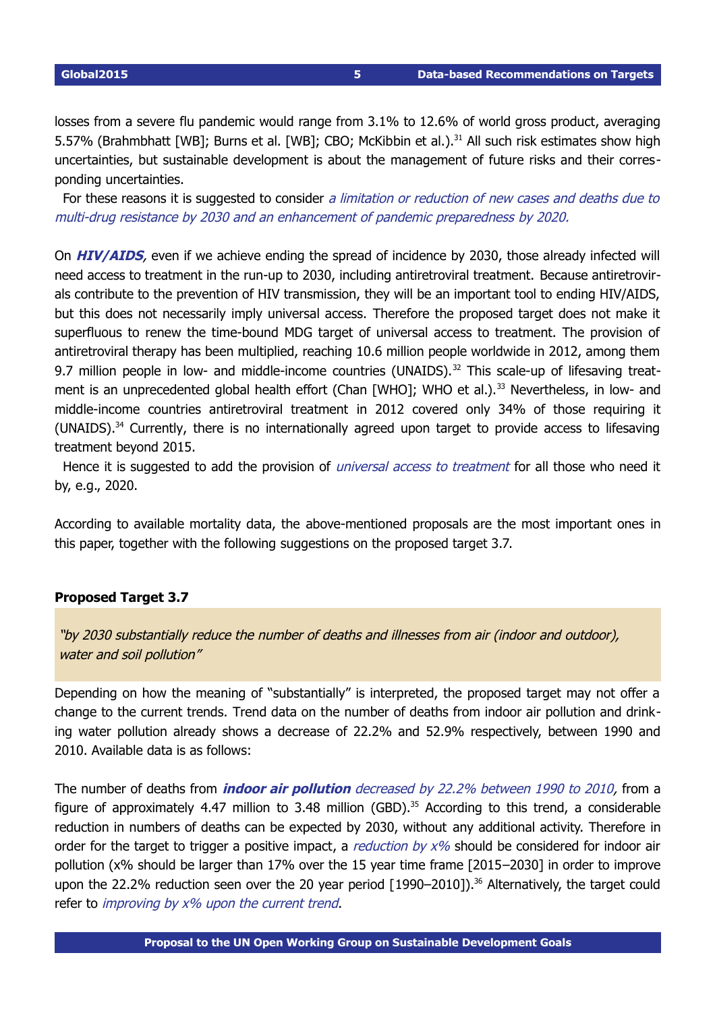losses from a severe flu pandemic would range from 3.1% to 12.6% of world gross product, averaging 5.57% (Brahmbhatt [WB]; Burns et al. [WB]; CBO; McKibbin et al.).<sup>[31](#page-15-10)</sup> All such risk estimates show high uncertainties, but sustainable development is about the management of future risks and their corresponding uncertainties.

For these reasons it is suggested to consider a limitation or reduction of new cases and deaths due to multi-drug resistance by 2030 and an enhancement of pandemic preparedness by 2020.

On **HIV/AIDS**, even if we achieve ending the spread of incidence by 2030, those already infected will need access to treatment in the run-up to 2030, including antiretroviral treatment. Because antiretrovirals contribute to the prevention of HIV transmission, they will be an important tool to ending HIV/AIDS, but this does not necessarily imply universal access. Therefore the proposed target does not make it superfluous to renew the time-bound MDG target of universal access to treatment. The provision of antiretroviral therapy has been multiplied, reaching 10.6 million people worldwide in 2012, among them 9.7 million people in low- and middle-income countries (UNAIDS).<sup>[32](#page-15-11)</sup> This scale-up of lifesaving treat-ment is an unprecedented global health effort (Chan [WHO]; WHO et al.).<sup>[33](#page-15-12)</sup> Nevertheless, in low- and middle-income countries antiretroviral treatment in 2012 covered only 34% of those requiring it (UNAIDS).<sup>[34](#page-15-13)</sup> Currently, there is no internationally agreed upon target to provide access to lifesaving treatment beyond 2015.

Hence it is suggested to add the provision of *universal access to treatment* for all those who need it by, e.g., 2020.

According to available mortality data, the above-mentioned proposals are the most important ones in this paper, together with the following suggestions on the proposed target 3.7.

# **Proposed Target 3.7**

 "by 2030 substantially reduce the number of deaths and illnesses from air (indoor and outdoor), water and soil pollution"

Depending on how the meaning of "substantially" is interpreted, the proposed target may not offer a change to the current trends. Trend data on the number of deaths from indoor air pollution and drinking water pollution already shows a decrease of 22.2% and 52.9% respectively, between 1990 and 2010. Available data is as follows:

The number of deaths from **indoor air pollution** decreased by 22.2% between 1990 to 2010, from a figure of approximately 4.47 million to 3.48 million (GBD).<sup>[35](#page-15-14)</sup> According to this trend, a considerable reduction in numbers of deaths can be expected by 2030, without any additional activity. Therefore in order for the target to trigger a positive impact, a reduction by  $x\%$  should be considered for indoor air pollution (x% should be larger than 17% over the 15 year time frame [2015–2030] in order to improve upon the 22.2% reduction seen over the 20 year period  $[1990-2010]$ .<sup>[36](#page-15-15)</sup> Alternatively, the target could refer to improving by x% upon the current trend.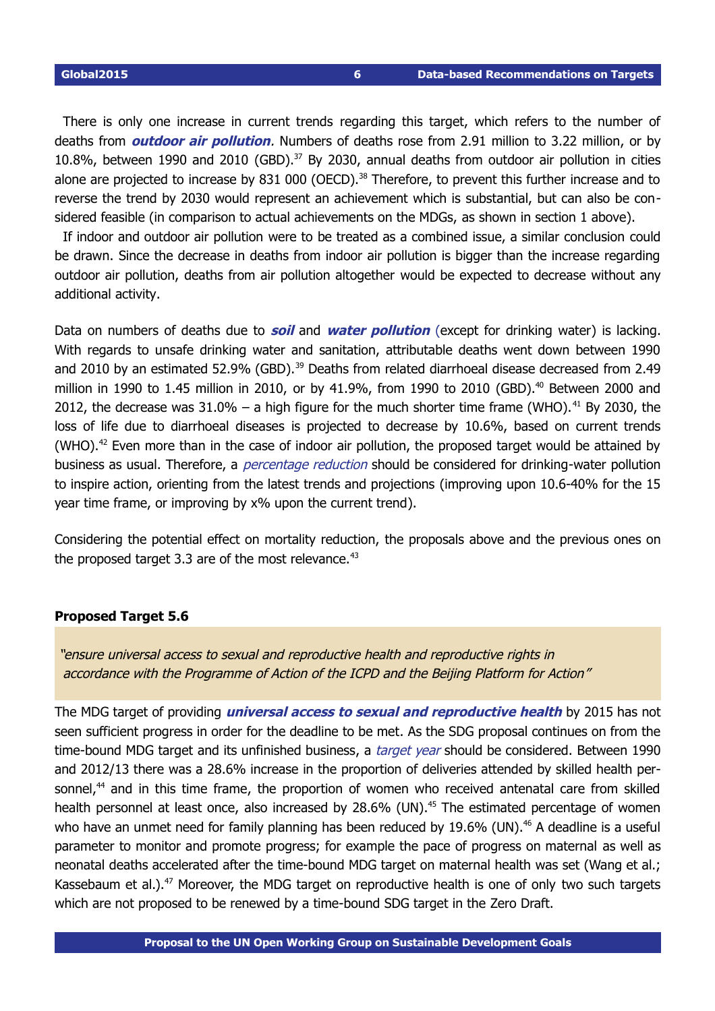There is only one increase in current trends regarding this target, which refers to the number of deaths from **outdoor air pollution**. Numbers of deaths rose from 2.91 million to 3.22 million, or by 10.8%, between 1990 and 2010 (GBD). [37](#page-15-16) By 2030, annual deaths from outdoor air pollution in cities alone are projected to increase by 831 000 (OECD).<sup>[38](#page-15-17)</sup> Therefore, to prevent this further increase and to reverse the trend by 2030 would represent an achievement which is substantial, but can also be considered feasible (in comparison to actual achievements on the MDGs, as shown in section 1 above).

If indoor and outdoor air pollution were to be treated as a combined issue, a similar conclusion could be drawn. Since the decrease in deaths from indoor air pollution is bigger than the increase regarding outdoor air pollution, deaths from air pollution altogether would be expected to decrease without any additional activity.

Data on numbers of deaths due to **soil** and **water pollution** (except for drinking water) is lacking. With regards to unsafe drinking water and sanitation, attributable deaths went down between 1990 and 2010 by an estimated 52.9% (GBD).<sup>[39](#page-15-18)</sup> Deaths from related diarrhoeal disease decreased from 2.49 million in 1990 to 1.45 million in 2010, or by 41.9%, from 1990 to 2010 (GBD). [40](#page-15-19) Between 2000 and 2012, the decrease was  $31.0\%$  – a high figure for the much shorter time frame (WHO).<sup>[41](#page-16-0)</sup> By 2030, the loss of life due to diarrhoeal diseases is projected to decrease by 10.6%, based on current trends (WHO). $^{42}$  $^{42}$  $^{42}$  Even more than in the case of indoor air pollution, the proposed target would be attained by business as usual. Therefore, a *percentage reduction* should be considered for drinking-water pollution to inspire action, orienting from the latest trends and projections (improving upon 10.640% for the 15 year time frame, or improving by x% upon the current trend).

Considering the potential effect on mortality reduction, the proposals above and the previous ones on the proposed target 3.3 are of the most relevance. $43$ 

### **Proposed Target 5.6**

 "ensure universal access to sexual and reproductive health and reproductive rights in accordance with the Programme of Action of the ICPD and the Beijing Platform for Action"

The MDG target of providing **universal access to sexual and reproductive health** by 2015 has not seen sufficient progress in order for the deadline to be met. As the SDG proposal continues on from the time-bound MDG target and its unfinished business, a *target year* should be considered. Between 1990 and 2012/13 there was a 28.6% increase in the proportion of deliveries attended by skilled health per-sonnel,<sup>[44](#page-16-3)</sup> and in this time frame, the proportion of women who received antenatal care from skilled health personnel at least once, also increased by 28.6% (UN).<sup>[45](#page-16-4)</sup> The estimated percentage of women who have an unmet need for family planning has been reduced by 19.6% (UN).<sup>[46](#page-16-5)</sup> A deadline is a useful parameter to monitor and promote progress; for example the pace of progress on maternal as well as neonatal deaths accelerated after the time-bound MDG target on maternal health was set (Wang et al.; Kassebaum et al.). $47$  Moreover, the MDG target on reproductive health is one of only two such targets which are not proposed to be renewed by a time-bound SDG target in the Zero Draft.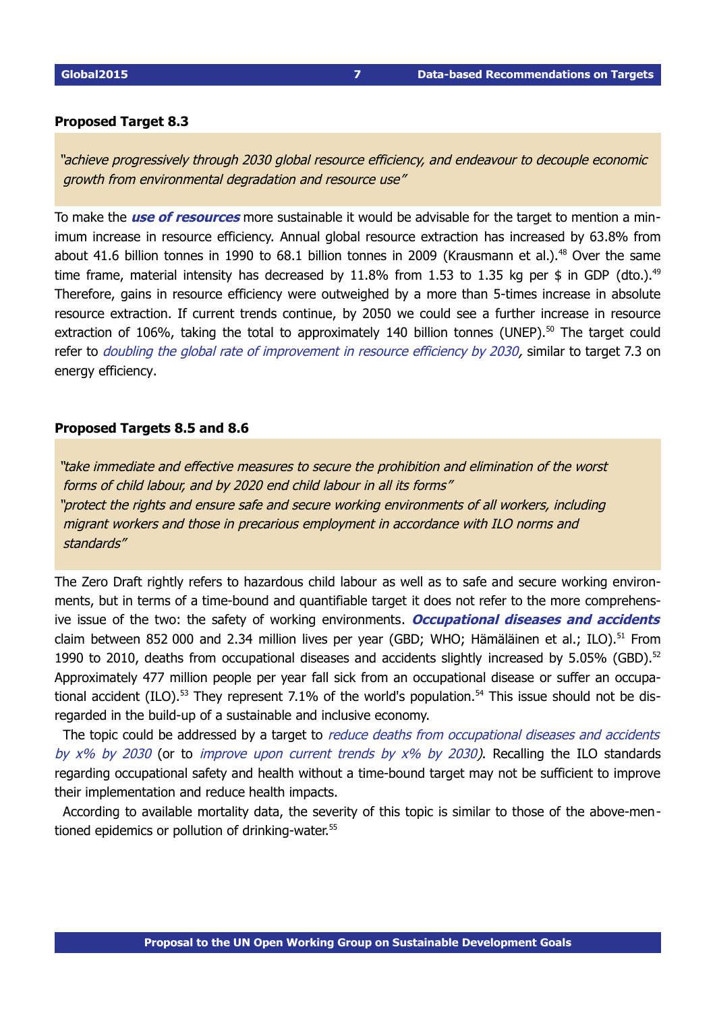### **Proposed Target 8.3**

 "achieve progressively through 2030 global resource efficiency, and endeavour to decouple economic growth from environmental degradation and resource use"

To make the **use of resources** more sustainable it would be advisable for the target to mention a minimum increase in resource efficiency. Annual global resource extraction has increased by 63.8% from about 41.6 billion tonnes in 1990 to 68.1 billion tonnes in 2009 (Krausmann et al.).<sup>[48](#page-16-7)</sup> Over the same time frame, material intensity has decreased by 11.8% from 1.53 to 1.35 kg per \$ in GDP (dto.).<sup>[49](#page-16-8)</sup> Therefore, gains in resource efficiency were outweighed by a more than 5-times increase in absolute resource extraction. If current trends continue, by 2050 we could see a further increase in resource extraction of 106%, taking the total to approximately 140 billion tonnes (UNEP).<sup>[50](#page-16-9)</sup> The target could refer to *doubling the global rate of improvement in resource efficiency by 2030*, similar to target 7.3 on energy efficiency.

### **Proposed Targets 8.5 and 8.6**

 "take immediate and effective measures to secure the prohibition and elimination of the worst forms of child labour, and by 2020 end child labour in all its forms" "protect the rights and ensure safe and secure working environments of all workers, including migrant workers and those in precarious employment in accordance with ILO norms and standards"

The Zero Draft rightly refers to hazardous child labour as well as to safe and secure working environments, but in terms of a time-bound and quantifiable target it does not refer to the more comprehensive issue of the two: the safety of working environments. **Occupational diseases and accidents** claim between 852 000 and 2.34 million lives per year (GBD; WHO; Hämäläinen et al.; ILO).<sup>[51](#page-16-10)</sup> From 1990 to 2010, deaths from occupational diseases and accidents slightly increased by 5.05% (GBD).<sup>[52](#page-16-11)</sup> Approximately 477 million people per year fall sick from an occupational disease or suffer an occupa-tional accident (ILO).<sup>[53](#page-16-12)</sup> They represent 7.1% of the world's population.<sup>[54](#page-16-13)</sup> This issue should not be disregarded in the build-up of a sustainable and inclusive economy.

The topic could be addressed by a target to *reduce deaths from occupational diseases and accidents* by  $x\%$  by 2030 (or to *improve upon current trends by*  $x\%$  *by 2030*). Recalling the ILO standards regarding occupational safety and health without a time-bound target may not be sufficient to improve their implementation and reduce health impacts.

According to available mortality data, the severity of this topic is similar to those of the above-men-tioned epidemics or pollution of drinking-water.<sup>[55](#page-16-14)</sup>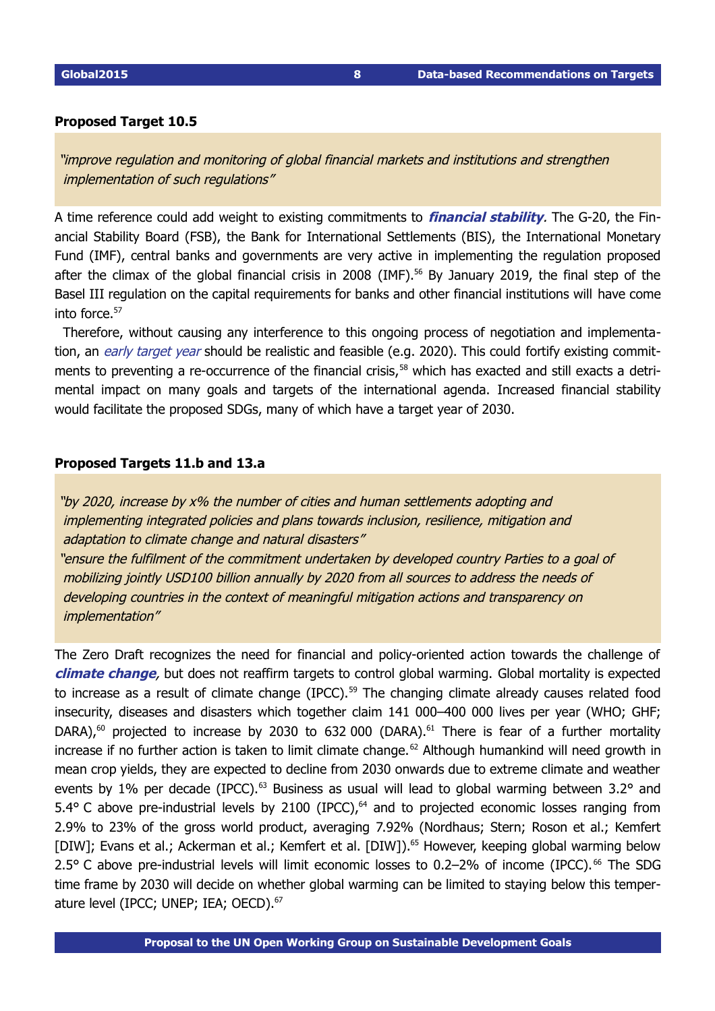### **Proposed Target 10.5**

 "improve regulation and monitoring of global financial markets and institutions and strengthen implementation of such regulations"

A time reference could add weight to existing commitments to *financial stability*. The G-20, the Financial Stability Board (FSB), the Bank for International Settlements (BIS), the International Monetary Fund (IMF), central banks and governments are very active in implementing the regulation proposed after the climax of the global financial crisis in 2008 (IMF). [56](#page-16-15) By January 2019, the final step of the Basel III regulation on the capital requirements for banks and other financial institutions will have come into force.[57](#page-16-16)

Therefore, without causing any interference to this ongoing process of negotiation and implementation, an early target year should be realistic and feasible (e.g. 2020). This could fortify existing commit-ments to preventing a re-occurrence of the financial crisis,<sup>[58](#page-16-17)</sup> which has exacted and still exacts a detrimental impact on many goals and targets of the international agenda. Increased financial stability would facilitate the proposed SDGs, many of which have a target year of 2030.

### **Proposed Targets 11.b and 13.a**

 "by 2020, increase by x% the number of cities and human settlements adopting and implementing integrated policies and plans towards inclusion, resilience, mitigation and adaptation to climate change and natural disasters" "ensure the fulfilment of the commitment undertaken by developed country Parties to a goal of mobilizing jointly USD100 billion annually by 2020 from all sources to address the needs of developing countries in the context of meaningful mitigation actions and transparency on implementation"

The Zero Draft recognizes the need for financial and policy-oriented action towards the challenge of **climate change**, but does not reaffirm targets to control global warming. Global mortality is expected to increase as a result of climate change (IPCC).<sup>[59](#page-16-18)</sup> The changing climate already causes related food insecurity, diseases and disasters which together claim 141 000–400 000 lives per year (WHO; GHF; DARA),<sup>[60](#page-16-19)</sup> projected to increase by 2030 to 632 000 (DARA).<sup>[61](#page-17-0)</sup> There is fear of a further mortality increase if no further action is taken to limit climate change.<sup>[62](#page-17-1)</sup> Although humankind will need growth in mean crop yields, they are expected to decline from 2030 onwards due to extreme climate and weather events by 1% per decade (IPCC).<sup>[63](#page-17-2)</sup> Business as usual will lead to global warming between 3.2° and 5.4 $\degree$  C above pre-industrial levels by 2100 (IPCC), $\degree$  and to projected economic losses ranging from 2.9% to 23% of the gross world product, averaging 7.92% (Nordhaus; Stern; Roson et al.; Kemfert [DIW]; Evans et al.; Ackerman et al.; Kemfert et al. [DIW]).<sup>[65](#page-17-4)</sup> However, keeping global warming below 2.5° C above pre-industrial levels will limit economic losses to 0.2–2% of income (IPCC).<sup>[66](#page-17-5)</sup> The SDG time frame by 2030 will decide on whether global warming can be limited to staying below this temper-ature level (IPCC; UNEP; IEA; OECD).<sup>[67](#page-18-0)</sup>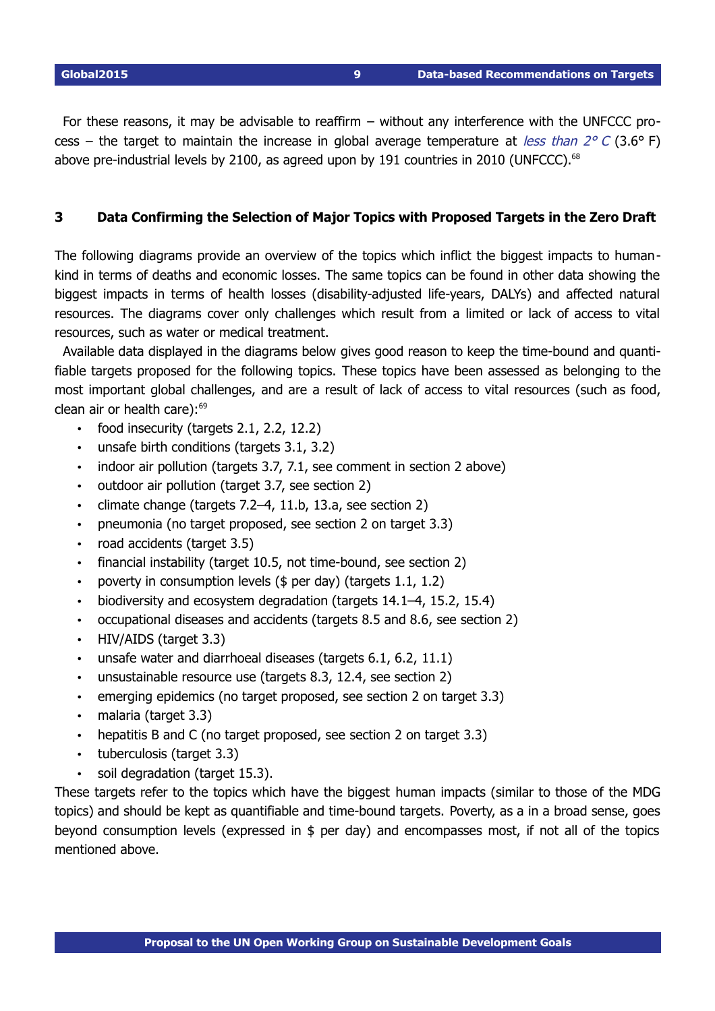For these reasons, it may be advisable to reaffirm – without any interference with the UNFCCC process – the target to maintain the increase in global average temperature at *less than 2° C* (3.6° F) above pre-industrial levels by 2100, as agreed upon by 191 countries in 2010 (UNFCCC). $^{68}$  $^{68}$  $^{68}$ 

# <span id="page-8-1"></span><span id="page-8-0"></span>**3 Data Confirming the Selection of Major Topics with Proposed Targets in the Zero Draft**

The following diagrams provide an overview of the topics which inflict the biggest impacts to humankind in terms of deaths and economic losses. The same topics can be found in other data showing the biggest impacts in terms of health losses (disability-adjusted life-years, DALYs) and affected natural resources. The diagrams cover only challenges which result from a limited or lack of access to vital resources, such as water or medical treatment.

Available data displayed in the diagrams below gives good reason to keep the time-bound and quantifiable targets proposed for the following topics. These topics have been assessed as belonging to the most important global challenges, and are a result of lack of access to vital resources (such as food, clean air or health care): $69$ 

- food insecurity (targets 2.1, 2.2, 12.2)
- unsafe birth conditions (targets 3.1, 3.2)
- indoor air pollution (targets 3.7, 7.1, see comment in section 2 above)
- outdoor air pollution (target 3.7, see section 2)
- climate change (targets 7.2–4, 11.b, 13.a, see section 2)
- pneumonia (no target proposed, see section 2 on target 3.3)
- road accidents (target 3.5)
- financial instability (target 10.5, not time-bound, see section 2)
- poverty in consumption levels (\$ per day) (targets 1.1, 1.2)
- biodiversity and ecosystem degradation (targets 14.1–4, 15.2, 15.4)
- occupational diseases and accidents (targets 8.5 and 8.6, see section 2)
- HIV/AIDS (target 3.3)
- unsafe water and diarrhoeal diseases (targets 6.1, 6.2, 11.1)
- unsustainable resource use (targets 8.3, 12.4, see section 2)
- emerging epidemics (no target proposed, see section 2 on target 3.3)
- malaria (target 3.3)
- hepatitis B and C (no target proposed, see section 2 on target 3.3)
- tuberculosis (target 3.3)
- soil degradation (target 15.3).

These targets refer to the topics which have the biggest human impacts (similar to those of the MDG topics) and should be kept as quantifiable and time-bound targets. Poverty, as a in a broad sense, goes beyond consumption levels (expressed in \$ per day) and encompasses most, if not all of the topics mentioned above.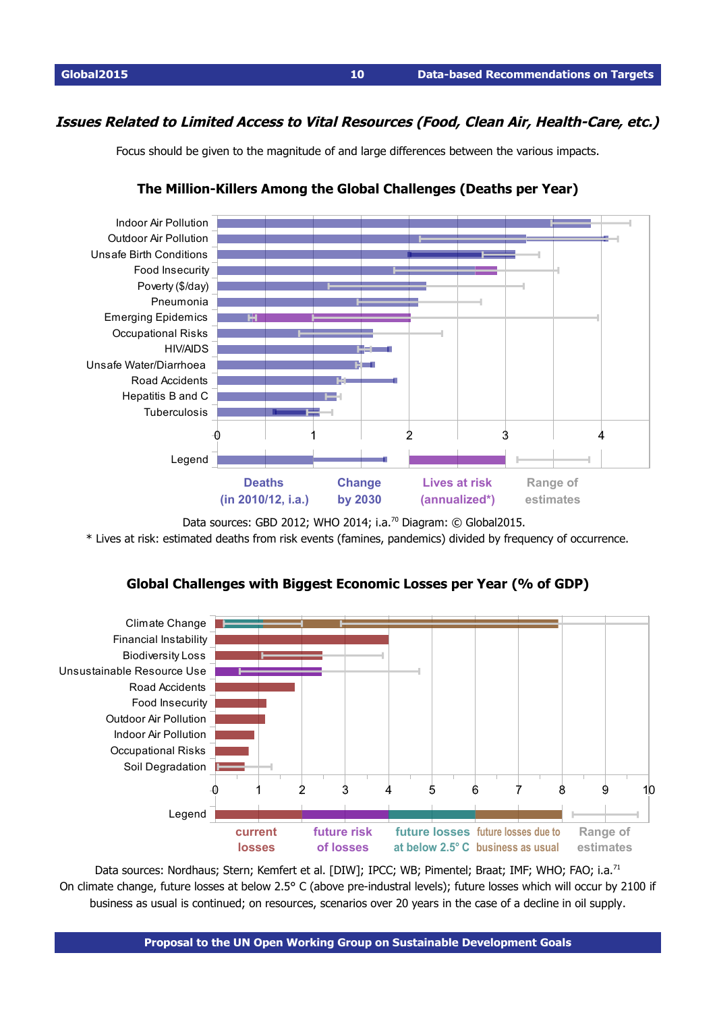# **Issues Related to Limited Access to Vital Resources (Food, Clean Air, Health-Care, etc.)**

Focus should be given to the magnitude of and large differences between the various impacts.



# <span id="page-9-0"></span>**The Million-Killers Among the Global Challenges (Deaths per Year)**

Data sources: GBD 2012; WHO 2014; i.a.<sup>[70](#page-18-3)</sup> Diagram: © Global2015.

\* Lives at risk: estimated deaths from risk events (famines, pandemics) divided by frequency of occurrence.



# **Global Challenges with Biggest Economic Losses per Year (% of GDP)**

Data sources: Nordhaus; Stern; Kemfert et al. [DIW]; IPCC; WB; Pimentel; Braat; IMF; WHO; FAO; i.a.<sup>[71](#page-20-0)</sup> On climate change, future losses at below 2.5° C (above pre-industral levels); future losses which will occur by 2100 if business as usual is continued; on resources, scenarios over 20 years in the case of a decline in oil supply.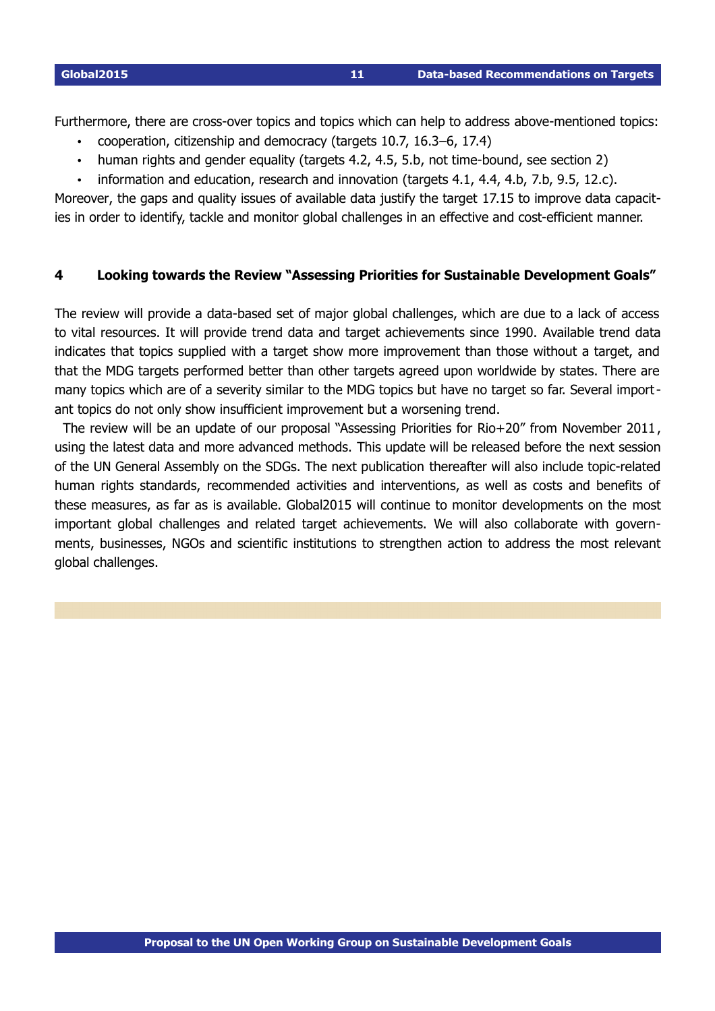Furthermore, there are cross-over topics and topics which can help to address above-mentioned topics:

- cooperation, citizenship and democracy (targets 10.7, 16.3–6, 17.4)
- human rights and gender equality (targets 4.2, 4.5, 5.b, not time-bound, see section 2)
- information and education, research and innovation (targets 4.1, 4.4, 4.b, 7.b, 9.5, 12.c).

Moreover, the gaps and quality issues of available data justify the target 17.15 to improve data capacities in order to identify, tackle and monitor global challenges in an effective and cost-efficient manner.

# <span id="page-10-1"></span><span id="page-10-0"></span>**4 Looking towards the Review "Assessing Priorities for Sustainable Development Goals"**

The review will provide a data-based set of major global challenges, which are due to a lack of access to vital resources. It will provide trend data and target achievements since 1990. Available trend data indicates that topics supplied with a target show more improvement than those without a target, and that the MDG targets performed better than other targets agreed upon worldwide by states. There are many topics which are of a severity similar to the MDG topics but have no target so far. Several important topics do not only show insufficient improvement but a worsening trend.

The review will be an update of our proposal "Assessing Priorities for Rio+20" from November 2011, using the latest data and more advanced methods. This update will be released before the next session of the UN General Assembly on the SDGs. The next publication thereafter will also include topic-related human rights standards, recommended activities and interventions, as well as costs and benefits of these measures, as far as is available. Global2015 will continue to monitor developments on the most important global challenges and related target achievements. We will also collaborate with governments, businesses, NGOs and scientific institutions to strengthen action to address the most relevant global challenges.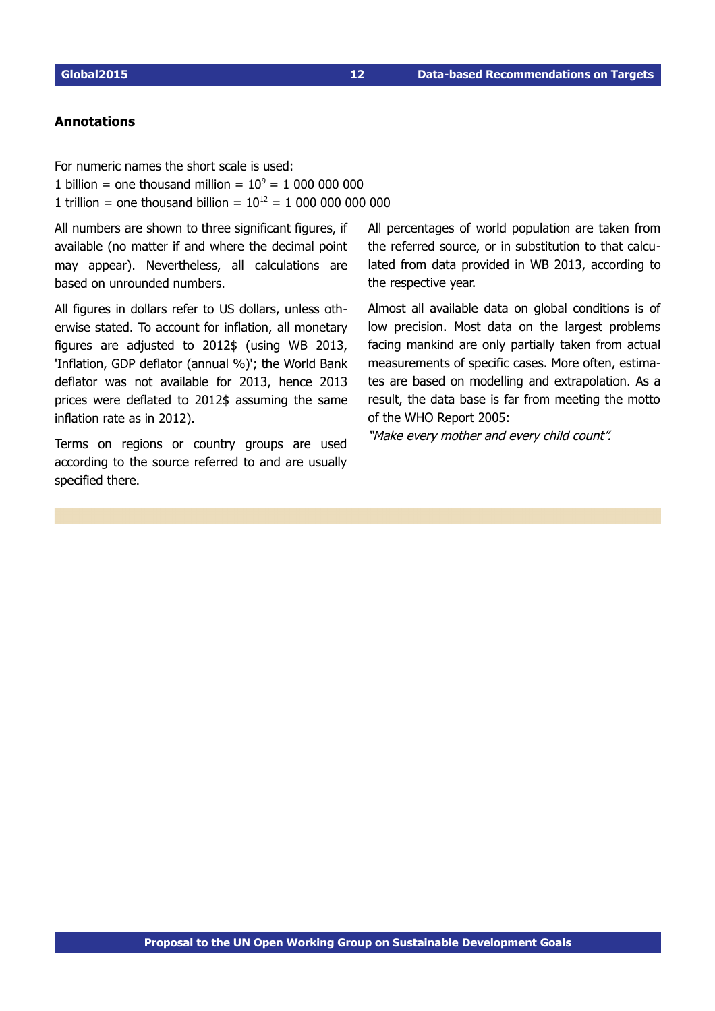# <span id="page-11-0"></span>**Annotations**

For numeric names the short scale is used: 1 billion = one thousand million =  $10^9$  = 1 000 000 000 1 trillion = one thousand billion = 10<sup>12</sup> = 1 000 000 000 000

All numbers are shown to three significant figures, if available (no matter if and where the decimal point may appear). Nevertheless, all calculations are based on unrounded numbers.

All figures in dollars refer to US dollars, unless otherwise stated. To account for inflation, all monetary figures are adjusted to 2012\$ (using WB 2013, 'Inflation, GDP deflator (annual %)'; the World Bank deflator was not available for 2013, hence 2013 prices were deflated to 2012\$ assuming the same inflation rate as in 2012).

Terms on regions or country groups are used according to the source referred to and are usually specified there.

All percentages of world population are taken from the referred source, or in substitution to that calculated from data provided in WB 2013, according to the respective year.

Almost all available data on global conditions is of low precision. Most data on the largest problems facing mankind are only partially taken from actual measurements of specific cases. More often, estimates are based on modelling and extrapolation. As a result, the data base is far from meeting the motto of the WHO Report 2005:

"Make every mother and every child count".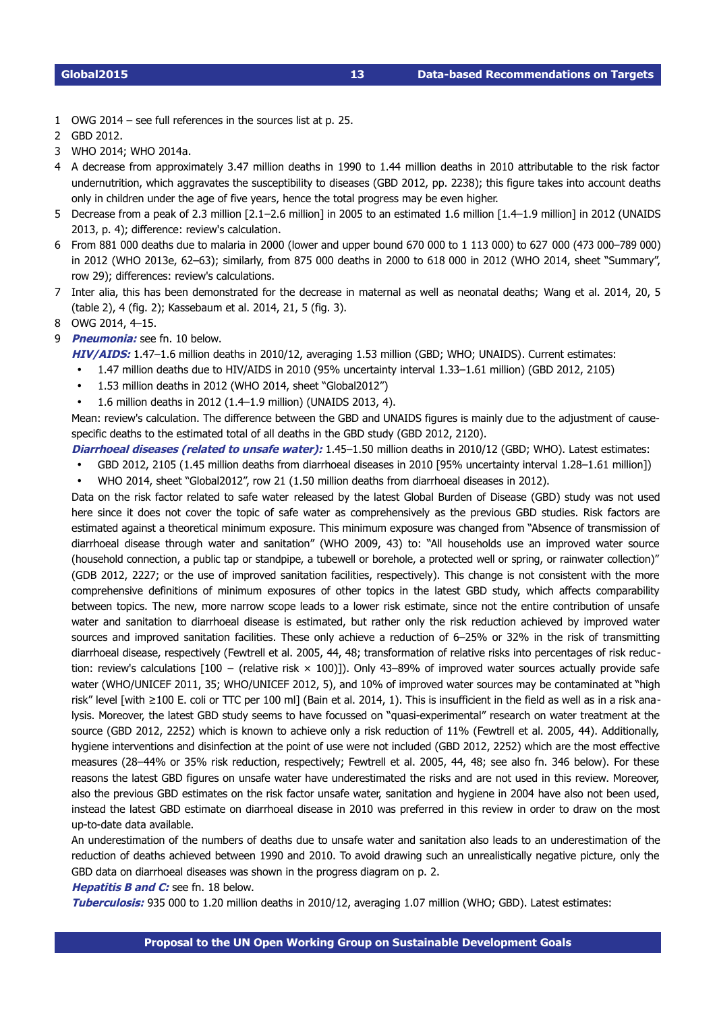- <span id="page-12-0"></span>1 OWG 2014 – see full references in the sources list at p. [25.](#page-24-0)
- <span id="page-12-1"></span>2 GBD 2012.
- <span id="page-12-2"></span>3 WHO 2014; WHO 2014a.
- <span id="page-12-3"></span>4 A decrease from approximately 3.47 million deaths in 1990 to 1.44 million deaths in 2010 attributable to the risk factor undernutrition, which aggravates the susceptibility to diseases (GBD 2012, pp. 2238); this figure takes into account deaths only in children under the age of five years, hence the total progress may be even higher.
- <span id="page-12-4"></span>5 Decrease from a peak of 2.3 million [2.1–2.6 million] in 2005 to an estimated 1.6 million [1.4–1.9 million] in 2012 (UNAIDS 2013, p. 4); difference: review's calculation.
- <span id="page-12-5"></span>6 From 881 000 deaths due to malaria in 2000 (lower and upper bound 670 000 to 1 113 000) to 627 000 (473 000–789 000) in 2012 (WHO 2013e, 62–63); similarly, from 875 000 deaths in 2000 to 618 000 in 2012 (WHO 2014, sheet "Summary", row 29); differences: review's calculations.
- <span id="page-12-6"></span>7 Inter alia, this has been demonstrated for the decrease in maternal as well as neonatal deaths; Wang et al. 2014, 20, 5 (table 2), 4 (fig. 2); Kassebaum et al. 2014, 21, 5 (fig. 3).
- <span id="page-12-7"></span>8 OWG 2014, 4–15.
- <span id="page-12-8"></span>9 **Pneumonia:** see fn. [10](#page-13-0) below.
	- **HIV/AIDS:** 1.47–1.6 million deaths in 2010/12, averaging 1.53 million (GBD; WHO; UNAIDS). Current estimates:
		- 1.47 million deaths due to HIV/AIDS in 2010 (95% uncertainty interval 1.33–1.61 million) (GBD 2012, 2105)
		- 1.53 million deaths in 2012 (WHO 2014, sheet "Global2012")
		- 1.6 million deaths in 2012 (1.4–1.9 million) (UNAIDS 2013, 4).

Mean: review's calculation. The difference between the GBD and UNAIDS figures is mainly due to the adjustment of causespecific deaths to the estimated total of all deaths in the GBD study (GBD 2012, 2120).

**Diarrhoeal diseases (related to unsafe water):** 1.45–1.50 million deaths in 2010/12 (GBD; WHO). Latest estimates:

• GBD 2012, 2105 (1.45 million deaths from diarrhoeal diseases in 2010 [95% uncertainty interval 1.28–1.61 million])

• WHO 2014, sheet "Global2012", row 21 (1.50 million deaths from diarrhoeal diseases in 2012).

Data on the risk factor related to safe water released by the latest Global Burden of Disease (GBD) study was not used here since it does not cover the topic of safe water as comprehensively as the previous GBD studies. Risk factors are estimated against a theoretical minimum exposure. This minimum exposure was changed from "Absence of transmission of diarrhoeal disease through water and sanitation" (WHO 2009, 43) to: "All households use an improved water source (household connection, a public tap or standpipe, a tubewell or borehole, a protected well or spring, or rainwater collection)" (GDB 2012, 2227; or the use of improved sanitation facilities, respectively). This change is not consistent with the more comprehensive definitions of minimum exposures of other topics in the latest GBD study, which affects comparability between topics. The new, more narrow scope leads to a lower risk estimate, since not the entire contribution of unsafe water and sanitation to diarrhoeal disease is estimated, but rather only the risk reduction achieved by improved water sources and improved sanitation facilities. These only achieve a reduction of 6–25% or 32% in the risk of transmitting diarrhoeal disease, respectively (Fewtrell et al. 2005, 44, 48; transformation of relative risks into percentages of risk reduc tion: review's calculations [100 − (relative risk × 100)]). Only 43–89% of improved water sources actually provide safe water (WHO/UNICEF 2011, 35; WHO/UNICEF 2012, 5), and 10% of improved water sources may be contaminated at "high risk" level [with ≥100 E. coli or TTC per 100 ml] (Bain et al. 2014, 1). This is insufficient in the field as well as in a risk analysis. Moreover, the latest GBD study seems to have focussed on "quasi-experimental" research on water treatment at the source (GBD 2012, 2252) which is known to achieve only a risk reduction of 11% (Fewtrell et al. 2005, 44). Additionally, hygiene interventions and disinfection at the point of use were not included (GBD 2012, 2252) which are the most effective measures (28–44% or 35% risk reduction, respectively; Fewtrell et al. 2005, 44, 48; see also fn. 346 below). For these reasons the latest GBD figures on unsafe water have underestimated the risks and are not used in this review. Moreover, also the previous GBD estimates on the risk factor unsafe water, sanitation and hygiene in 2004 have also not been used, instead the latest GBD estimate on diarrhoeal disease in 2010 was preferred in this review in order to draw on the most up-to-date data available.

An underestimation of the numbers of deaths due to unsafe water and sanitation also leads to an underestimation of the reduction of deaths achieved between 1990 and 2010. To avoid drawing such an unrealistically negative picture, only the GBD data on diarrhoeal diseases was shown in the progress diagram on p. [2.](#page-1-0)

**Hepatitis B and C:** see fn. [18](#page-14-7) below.

**Tuberculosis:** 935 000 to 1.20 million deaths in 2010/12, averaging 1.07 million (WHO; GBD). Latest estimates: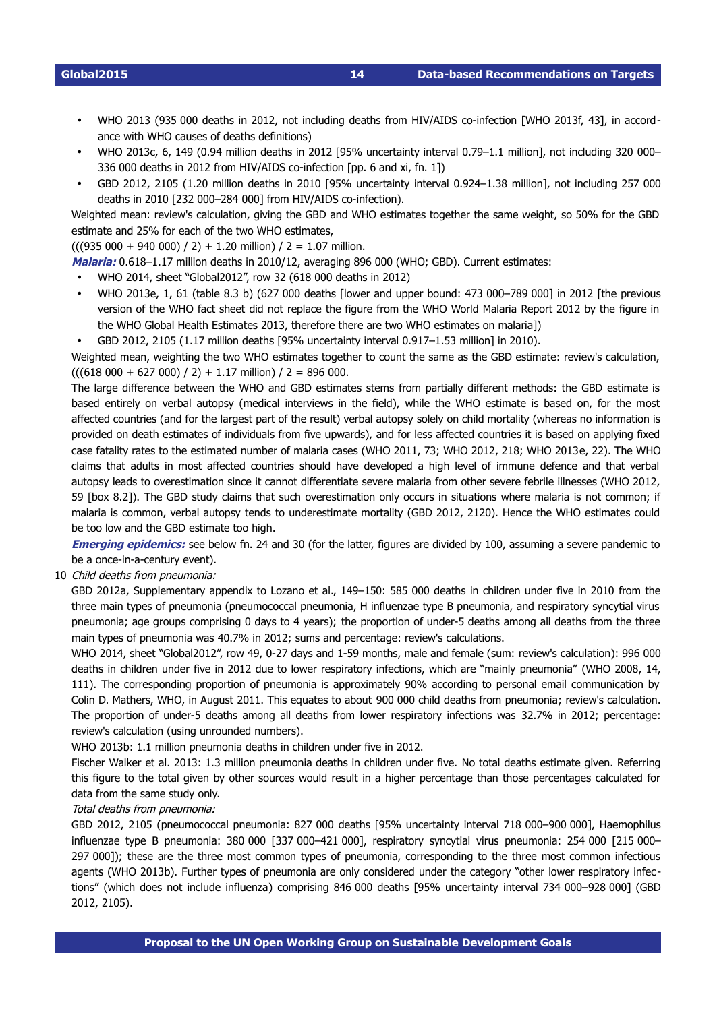- WHO 2013 (935 000 deaths in 2012, not including deaths from HIV/AIDS co-infection [WHO 2013f, 43], in accordance with WHO causes of deaths definitions)
- WHO 2013c, 6, 149 (0.94 million deaths in 2012 [95% uncertainty interval 0.79–1.1 million], not including 320 000– 336 000 deaths in 2012 from HIV/AIDS co-infection [pp. 6 and xi, fn. 1])
- GBD 2012, 2105 (1.20 million deaths in 2010 [95% uncertainty interval 0.924–1.38 million], not including 257 000 deaths in 2010 [232 000-284 000] from HIV/AIDS co-infection).

Weighted mean: review's calculation, giving the GBD and WHO estimates together the same weight, so 50% for the GBD estimate and 25% for each of the two WHO estimates,

 $(((935\,000 + 940\,000) / 2) + 1.20$  million)  $/ 2 = 1.07$  million.

**Malaria:** 0.618–1.17 million deaths in 2010/12, averaging 896 000 (WHO; GBD). Current estimates:

- WHO 2014, sheet "Global2012", row 32 (618 000 deaths in 2012)
- WHO 2013e, 1, 61 (table 8.3 b) (627 000 deaths [lower and upper bound: 473 000–789 000] in 2012 [the previous version of the WHO fact sheet did not replace the figure from the WHO World Malaria Report 2012 by the figure in the WHO Global Health Estimates 2013, therefore there are two WHO estimates on malaria])
- GBD 2012, 2105 (1.17 million deaths [95% uncertainty interval 0.917–1.53 million] in 2010).

Weighted mean, weighting the two WHO estimates together to count the same as the GBD estimate: review's calculation,  $(((618\,000 + 627\,000) / 2) + 1.17 \,$  million $)/ 2 = 896\,000$ .

The large difference between the WHO and GBD estimates stems from partially different methods: the GBD estimate is based entirely on verbal autopsy (medical interviews in the field), while the WHO estimate is based on, for the most affected countries (and for the largest part of the result) verbal autopsy solely on child mortality (whereas no information is provided on death estimates of individuals from five upwards), and for less affected countries it is based on applying fixed case fatality rates to the estimated number of malaria cases (WHO 2011, 73; WHO 2012, 218; WHO 2013e, 22). The WHO claims that adults in most affected countries should have developed a high level of immune defence and that verbal autopsy leads to overestimation since it cannot differentiate severe malaria from other severe febrile illnesses (WHO 2012, 59 [box 8.2]). The GBD study claims that such overestimation only occurs in situations where malaria is not common; if malaria is common, verbal autopsy tends to underestimate mortality (GBD 2012, 2120). Hence the WHO estimates could be too low and the GBD estimate too high.

**Emerging epidemics:** see below fn. [24](#page-15-3) and [30](#page-15-9) (for the latter, figures are divided by 100, assuming a severe pandemic to be a once-in-a-century event).

<span id="page-13-0"></span>10 Child deaths from pneumonia:

GBD 2012a, Supplementary appendix to Lozano et al., 149–150: 585 000 deaths in children under five in 2010 from the three main types of pneumonia (pneumococcal pneumonia, H influenzae type B pneumonia, and respiratory syncytial virus pneumonia; age groups comprising 0 days to 4 years); the proportion of under-5 deaths among all deaths from the three main types of pneumonia was 40.7% in 2012; sums and percentage: review's calculations.

WHO 2014, sheet "Global2012", row 49, 0-27 days and 1-59 months, male and female (sum: review's calculation): 996 000 deaths in children under five in 2012 due to lower respiratory infections, which are "mainly pneumonia" (WHO 2008, 14, 111). The corresponding proportion of pneumonia is approximately 90% according to personal email communication by Colin D. Mathers, WHO, in August 2011. This equates to about 900 000 child deaths from pneumonia; review's calculation. The proportion of under-5 deaths among all deaths from lower respiratory infections was 32.7% in 2012; percentage: review's calculation (using unrounded numbers).

WHO 2013b: 1.1 million pneumonia deaths in children under five in 2012.

Fischer Walker et al. 2013: 1.3 million pneumonia deaths in children under five. No total deaths estimate given. Referring this figure to the total given by other sources would result in a higher percentage than those percentages calculated for data from the same study only.

# Total deaths from pneumonia:

GBD 2012, 2105 (pneumococcal pneumonia: 827 000 deaths [95% uncertainty interval 718 000–900 000], Haemophilus influenzae type B pneumonia: 380 000 [337 000–421 000], respiratory syncytial virus pneumonia: 254 000 [215 000– 297 000]); these are the three most common types of pneumonia, corresponding to the three most common infectious agents (WHO 2013b). Further types of pneumonia are only considered under the category "other lower respiratory infections" (which does not include influenza) comprising 846 000 deaths [95% uncertainty interval 734 000–928 000] (GBD 2012, 2105).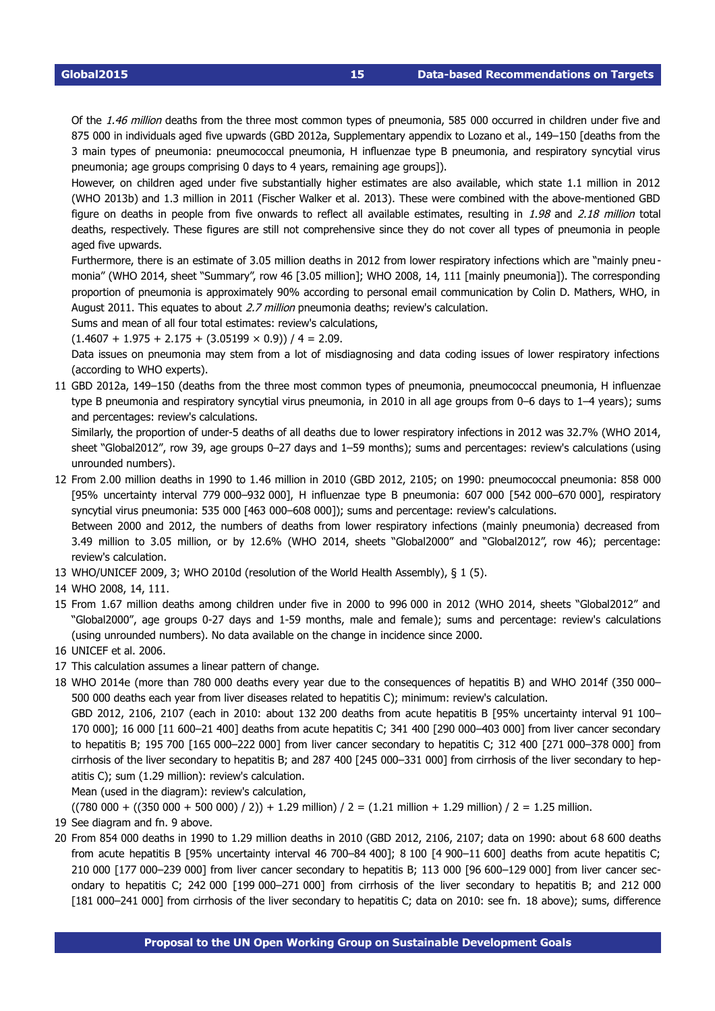Of the 1.46 million deaths from the three most common types of pneumonia, 585 000 occurred in children under five and 875 000 in individuals aged five upwards (GBD 2012a, Supplementary appendix to Lozano et al., 149–150 [deaths from the 3 main types of pneumonia: pneumococcal pneumonia, H influenzae type B pneumonia, and respiratory syncytial virus pneumonia; age groups comprising 0 days to 4 years, remaining age groups]).

However, on children aged under five substantially higher estimates are also available, which state 1.1 million in 2012 (WHO 2013b) and 1.3 million in 2011 (Fischer Walker et al. 2013). These were combined with the above-mentioned GBD figure on deaths in people from five onwards to reflect all available estimates, resulting in 1.98 and 2.18 million total deaths, respectively. These figures are still not comprehensive since they do not cover all types of pneumonia in people aged five upwards.

Furthermore, there is an estimate of 3.05 million deaths in 2012 from lower respiratory infections which are "mainly pneu monia" (WHO 2014, sheet "Summary", row 46 [3.05 million]; WHO 2008, 14, 111 [mainly pneumonia]). The corresponding proportion of pneumonia is approximately 90% according to personal email communication by Colin D. Mathers, WHO, in August 2011. This equates to about 2.7 million pneumonia deaths; review's calculation.

Sums and mean of all four total estimates: review's calculations,

 $(1.4607 + 1.975 + 2.175 + (3.05199 \times 0.9)) / 4 = 2.09$ .

Data issues on pneumonia may stem from a lot of misdiagnosing and data coding issues of lower respiratory infections (according to WHO experts).

<span id="page-14-0"></span>11 GBD 2012a, 149–150 (deaths from the three most common types of pneumonia, pneumococcal pneumonia, H influenzae type B pneumonia and respiratory syncytial virus pneumonia, in 2010 in all age groups from 0–6 days to 1–4 years); sums and percentages: review's calculations.

Similarly, the proportion of under-5 deaths of all deaths due to lower respiratory infections in 2012 was 32.7% (WHO 2014, sheet "Global2012", row 39, age groups 0–27 days and 1–59 months); sums and percentages: review's calculations (using unrounded numbers).

<span id="page-14-1"></span>12 From 2.00 million deaths in 1990 to 1.46 million in 2010 (GBD 2012, 2105; on 1990: pneumococcal pneumonia: 858 000 [95% uncertainty interval 779 000–932 000], H influenzae type B pneumonia: 607 000 [542 000–670 000], respiratory syncytial virus pneumonia: 535 000 [463 000–608 000]); sums and percentage: review's calculations.

Between 2000 and 2012, the numbers of deaths from lower respiratory infections (mainly pneumonia) decreased from 3.49 million to 3.05 million, or by 12.6% (WHO 2014, sheets "Global2000" and "Global2012", row 46); percentage: review's calculation.

- <span id="page-14-2"></span>13 WHO/UNICEF 2009, 3; WHO 2010d (resolution of the World Health Assembly), § 1 (5).
- <span id="page-14-3"></span>14 WHO 2008, 14, 111.
- <span id="page-14-4"></span>15 From 1.67 million deaths among children under five in 2000 to 996 000 in 2012 (WHO 2014, sheets "Global2012" and "Global2000", age groups 027 days and 159 months, male and female); sums and percentage: review's calculations (using unrounded numbers). No data available on the change in incidence since 2000.
- <span id="page-14-5"></span>16 UNICEF et al. 2006.
- <span id="page-14-6"></span>17 This calculation assumes a linear pattern of change.
- <span id="page-14-7"></span>18 WHO 2014e (more than 780 000 deaths every year due to the consequences of hepatitis B) and WHO 2014f (350 000– 500 000 deaths each year from liver diseases related to hepatitis C); minimum: review's calculation.

GBD 2012, 2106, 2107 (each in 2010: about 132 200 deaths from acute hepatitis B [95% uncertainty interval 91 100– 170 000]; 16 000 [11 600–21 400] deaths from acute hepatitis C; 341 400 [290 000–403 000] from liver cancer secondary to hepatitis B; 195 700 [165 000–222 000] from liver cancer secondary to hepatitis C; 312 400 [271 000–378 000] from cirrhosis of the liver secondary to hepatitis B; and 287 400 [245 000–331 000] from cirrhosis of the liver secondary to hepatitis C); sum (1.29 million): review's calculation.

Mean (used in the diagram): review's calculation,

<span id="page-14-8"></span> $((780\ 000 + ((350\ 000 + 500\ 000) / 2)) + 1.29$  million) / 2 =  $(1.21$  million + 1.29 million) / 2 = 1.25 million.

- 19 See diagram and fn. [9](#page-12-8) above.
- <span id="page-14-9"></span>20 From 854 000 deaths in 1990 to 1.29 million deaths in 2010 (GBD 2012, 2106, 2107; data on 1990: about 6 8 600 deaths from acute hepatitis B [95% uncertainty interval 46 700-84 400]; 8 100 [4 900-11 600] deaths from acute hepatitis C; 210 000 [177 000–239 000] from liver cancer secondary to hepatitis B; 113 000 [96 600–129 000] from liver cancer secondary to hepatitis C; 242 000 [199 000–271 000] from cirrhosis of the liver secondary to hepatitis B; and 212 000 [181 000–241 000] from cirrhosis of the liver secondary to hepatitis C; data on 2010: see fn. [18](#page-14-7) above); sums, difference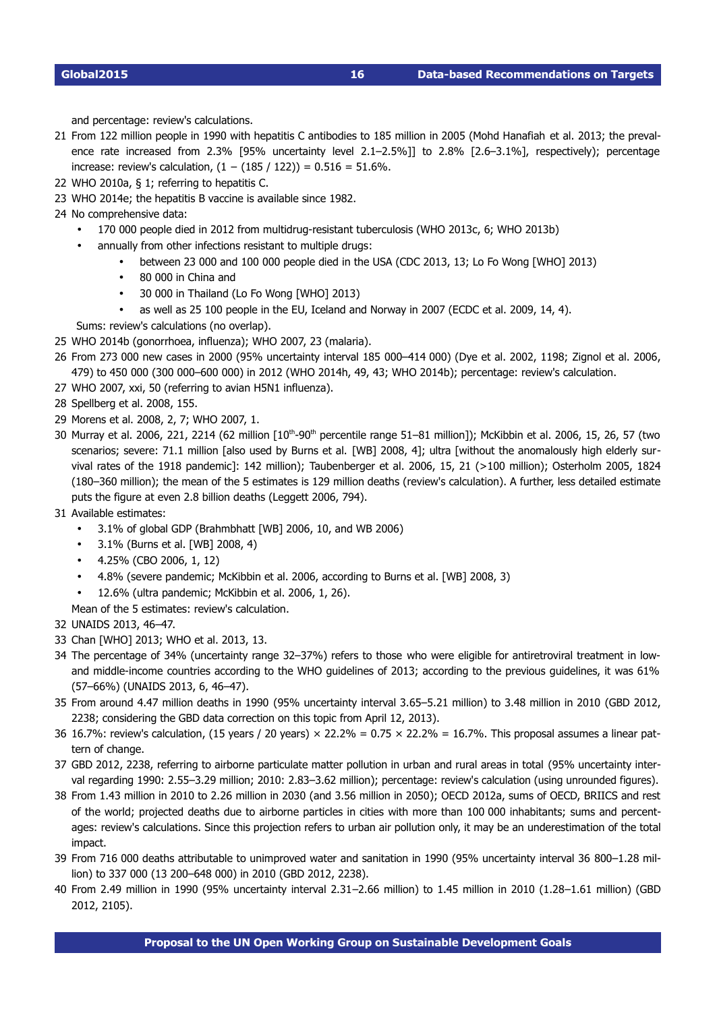<span id="page-15-0"></span>and percentage: review's calculations.

- 21 From 122 million people in 1990 with hepatitis C antibodies to 185 million in 2005 (Mohd Hanafiah et al. 2013; the prevalence rate increased from 2.3% [95% uncertainty level 2.1–2.5%]] to 2.8% [2.6–3.1%], respectively); percentage increase: review's calculation, (1 − (185 / 122)) = 0.516 = 51.6%.
- <span id="page-15-1"></span>22 WHO 2010a, § 1; referring to hepatitis C.
- <span id="page-15-2"></span>23 WHO 2014e; the hepatitis B vaccine is available since 1982.
- <span id="page-15-3"></span>24 No comprehensive data:
	- 170 000 people died in 2012 from multidrug-resistant tuberculosis (WHO 2013c, 6; WHO 2013b)
		- annually from other infections resistant to multiple drugs:
			- between 23 000 and 100 000 people died in the USA (CDC 2013, 13; Lo Fo Wong [WHO] 2013)
			- 80 000 in China and
			- 30 000 in Thailand (Lo Fo Wong [WHO] 2013)
			- as well as 25 100 people in the EU, Iceland and Norway in 2007 (ECDC et al. 2009, 14, 4).

Sums: review's calculations (no overlap).

- <span id="page-15-4"></span>25 WHO 2014b (gonorrhoea, influenza); WHO 2007, 23 (malaria).
- <span id="page-15-5"></span>26 From 273 000 new cases in 2000 (95% uncertainty interval 185 000–414 000) (Dye et al. 2002, 1198; Zignol et al. 2006, 479) to 450 000 (300 000–600 000) in 2012 (WHO 2014h, 49, 43; WHO 2014b); percentage: review's calculation.
- <span id="page-15-6"></span>27 WHO 2007, xxi, 50 (referring to avian H5N1 influenza).
- <span id="page-15-7"></span>28 Spellberg et al. 2008, 155.
- <span id="page-15-8"></span>29 Morens et al. 2008, 2, 7; WHO 2007, 1.
- <span id="page-15-9"></span>30 Murray et al. 2006, 221, 2214 (62 million  $[10<sup>th</sup>-90<sup>th</sup>$  percentile range 51–81 million]); McKibbin et al. 2006, 15, 26, 57 (two scenarios; severe: 71.1 million [also used by Burns et al. [WB] 2008, 4]; ultra [without the anomalously high elderly survival rates of the 1918 pandemic]: 142 million); Taubenberger et al. 2006, 15, 21 (>100 million); Osterholm 2005, 1824 (180–360 million); the mean of the 5 estimates is 129 million deaths (review's calculation). A further, less detailed estimate puts the figure at even 2.8 billion deaths (Leggett 2006, 794).
- <span id="page-15-10"></span>31 Available estimates:
	- 3.1% of global GDP (Brahmbhatt [WB] 2006, 10, and WB 2006)
	- 3.1% (Burns et al. [WB] 2008, 4)
	- 4.25% (CBO 2006, 1, 12)
	- 4.8% (severe pandemic; McKibbin et al. 2006, according to Burns et al. [WB] 2008, 3)
		- 12.6% (ultra pandemic; McKibbin et al. 2006, 1, 26).
	- Mean of the 5 estimates: review's calculation.
- <span id="page-15-11"></span>32 UNAIDS 2013, 46–47.
- <span id="page-15-12"></span>33 Chan [WHO] 2013; WHO et al. 2013, 13.
- <span id="page-15-13"></span>34 The percentage of 34% (uncertainty range 32–37%) refers to those who were eligible for antiretroviral treatment in lowand middle-income countries according to the WHO guidelines of 2013; according to the previous guidelines, it was 61% (57–66%) (UNAIDS 2013, 6, 46–47).
- <span id="page-15-14"></span>35 From around 4.47 million deaths in 1990 (95% uncertainty interval 3.65–5.21 million) to 3.48 million in 2010 (GBD 2012, 2238; considering the GBD data correction on this topic from April 12, 2013).
- <span id="page-15-15"></span>36 16.7%: review's calculation, (15 years / 20 years)  $\times$  22.2% = 0.75  $\times$  22.2% = 16.7%. This proposal assumes a linear pattern of change.
- <span id="page-15-16"></span>37 GBD 2012, 2238, referring to airborne particulate matter pollution in urban and rural areas in total (95% uncertainty interval regarding 1990: 2.55–3.29 million; 2010: 2.83–3.62 million); percentage: review's calculation (using unrounded figures).
- <span id="page-15-17"></span>38 From 1.43 million in 2010 to 2.26 million in 2030 (and 3.56 million in 2050); OECD 2012a, sums of OECD, BRIICS and rest of the world; projected deaths due to airborne particles in cities with more than 100 000 inhabitants; sums and percentages: review's calculations. Since this projection refers to urban air pollution only, it may be an underestimation of the total impact.
- <span id="page-15-18"></span>39 From 716 000 deaths attributable to unimproved water and sanitation in 1990 (95% uncertainty interval 36 800–1.28 million) to 337 000 (13 200–648 000) in 2010 (GBD 2012, 2238).
- <span id="page-15-19"></span>40 From 2.49 million in 1990 (95% uncertainty interval 2.31–2.66 million) to 1.45 million in 2010 (1.28–1.61 million) (GBD 2012, 2105).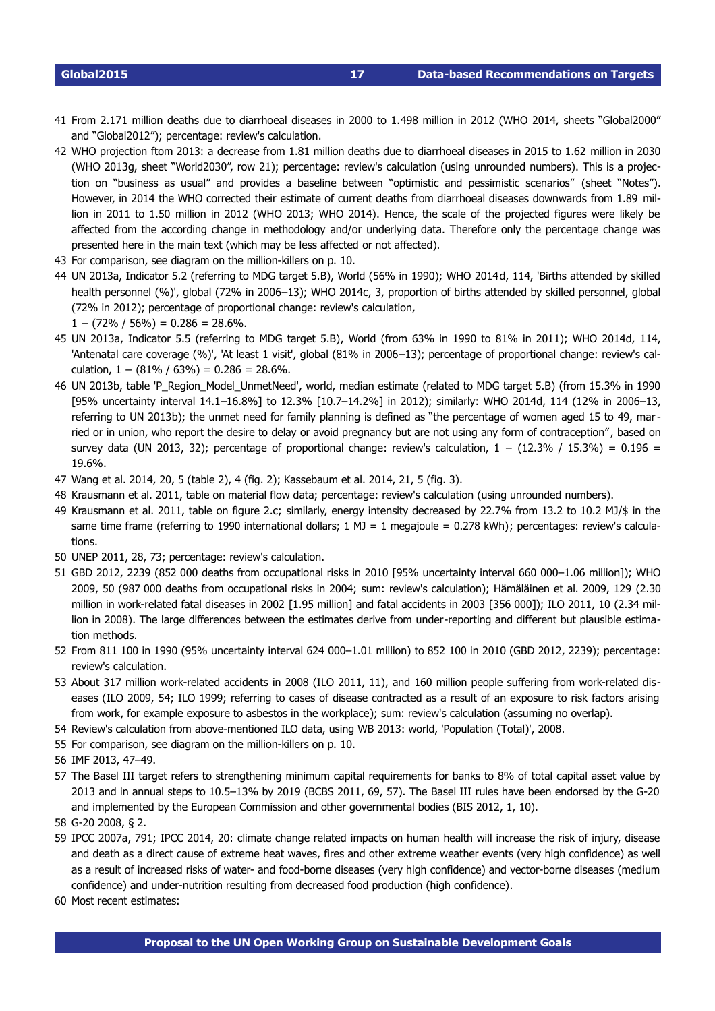<span id="page-16-0"></span>41 From 2.171 million deaths due to diarrhoeal diseases in 2000 to 1.498 million in 2012 (WHO 2014, sheets "Global2000" and "Global2012"); percentage: review's calculation.

- <span id="page-16-1"></span>42 WHO projection ftom 2013: a decrease from 1.81 million deaths due to diarrhoeal diseases in 2015 to 1.62 million in 2030 (WHO 2013g, sheet "World2030", row 21); percentage: review's calculation (using unrounded numbers). This is a projection on "business as usual" and provides a baseline between "optimistic and pessimistic scenarios" (sheet "Notes"). However, in 2014 the WHO corrected their estimate of current deaths from diarrhoeal diseases downwards from 1.89 million in 2011 to 1.50 million in 2012 (WHO 2013; WHO 2014). Hence, the scale of the projected figures were likely be affected from the according change in methodology and/or underlying data. Therefore only the percentage change was presented here in the main text (which may be less affected or not affected).
- <span id="page-16-2"></span>43 For comparison, see diagram on the million-killers on p. [10.](#page-9-0)
- <span id="page-16-3"></span>44 UN 2013a, Indicator 5.2 (referring to MDG target 5.B), World (56% in 1990); WHO 2014d, 114, 'Births attended by skilled health personnel (%)', global (72% in 2006–13); WHO 2014c, 3, proportion of births attended by skilled personnel, global (72% in 2012); percentage of proportional change: review's calculation,  $1 - (72\% / 56\%) = 0.286 = 28.6\%$ .
- <span id="page-16-4"></span>45 UN 2013a, Indicator 5.5 (referring to MDG target 5.B), World (from 63% in 1990 to 81% in 2011); WHO 2014d, 114, 'Antenatal care coverage (%)', 'At least 1 visit', global (81% in 2006–13); percentage of proportional change: review's calculation,  $1 - (81\% / 63\%) = 0.286 = 28.6\%$ .
- <span id="page-16-5"></span>46 UN 2013b, table 'P\_Region\_Model\_UnmetNeed', world, median estimate (related to MDG target 5.B) (from 15.3% in 1990 [95% uncertainty interval 14.1–16.8%] to 12.3% [10.7–14.2%] in 2012); similarly: WHO 2014d, 114 (12% in 2006–13, referring to UN 2013b); the unmet need for family planning is defined as "the percentage of women aged 15 to 49, married or in union, who report the desire to delay or avoid pregnancy but are not using any form of contraception", based on survey data (UN 2013, 32); percentage of proportional change: review's calculation,  $1 - (12.3\% / 15.3\%) = 0.196 =$ 19.6%.
- <span id="page-16-6"></span>47 Wang et al. 2014, 20, 5 (table 2), 4 (fig. 2); Kassebaum et al. 2014, 21, 5 (fig. 3).
- <span id="page-16-7"></span>48 Krausmann et al. 2011, table on material flow data; percentage: review's calculation (using unrounded numbers).
- <span id="page-16-8"></span>49 Krausmann et al. 2011, table on figure 2.c; similarly, energy intensity decreased by 22.7% from 13.2 to 10.2 MJ/\$ in the same time frame (referring to 1990 international dollars;  $1 \text{ MJ} = 1$  megajoule = 0.278 kWh); percentages: review's calculations.
- <span id="page-16-9"></span>50 UNEP 2011, 28, 73; percentage: review's calculation.
- <span id="page-16-10"></span>51 GBD 2012, 2239 (852 000 deaths from occupational risks in 2010 [95% uncertainty interval 660 000–1.06 million]); WHO 2009, 50 (987 000 deaths from occupational risks in 2004; sum: review's calculation); Hämäläinen et al. 2009, 129 (2.30 million in workrelated fatal diseases in 2002 [1.95 million] and fatal accidents in 2003 [356 000]); ILO 2011, 10 (2.34 million in 2008). The large differences between the estimates derive from under-reporting and different but plausible estimation methods.
- <span id="page-16-11"></span>52 From 811 100 in 1990 (95% uncertainty interval 624 000–1.01 million) to 852 100 in 2010 (GBD 2012, 2239); percentage: review's calculation.
- <span id="page-16-12"></span>53 About 317 million work-related accidents in 2008 (ILO 2011, 11), and 160 million people suffering from work-related diseases (ILO 2009, 54; ILO 1999; referring to cases of disease contracted as a result of an exposure to risk factors arising from work, for example exposure to asbestos in the workplace); sum: review's calculation (assuming no overlap).
- <span id="page-16-13"></span>54 Review's calculation from above-mentioned ILO data, using WB 2013: world, 'Population (Total)', 2008.
- <span id="page-16-14"></span>55 For comparison, see diagram on the million-killers on p. [10.](#page-9-0)
- <span id="page-16-15"></span>56 IMF 2013, 47–49.
- <span id="page-16-16"></span>57 The Basel III target refers to strengthening minimum capital requirements for banks to 8% of total capital asset value by 2013 and in annual steps to 10.5–13% by 2019 (BCBS 2011, 69, 57). The Basel III rules have been endorsed by the G20 and implemented by the European Commission and other governmental bodies (BIS 2012, 1, 10).
- <span id="page-16-17"></span>58 G20 2008, § 2.
- <span id="page-16-18"></span>59 IPCC 2007a, 791; IPCC 2014, 20: climate change related impacts on human health will increase the risk of injury, disease and death as a direct cause of extreme heat waves, fires and other extreme weather events (very high confidence) as well as a result of increased risks of water- and food-borne diseases (very high confidence) and vector-borne diseases (medium confidence) and under-nutrition resulting from decreased food production (high confidence).
- <span id="page-16-19"></span>60 Most recent estimates: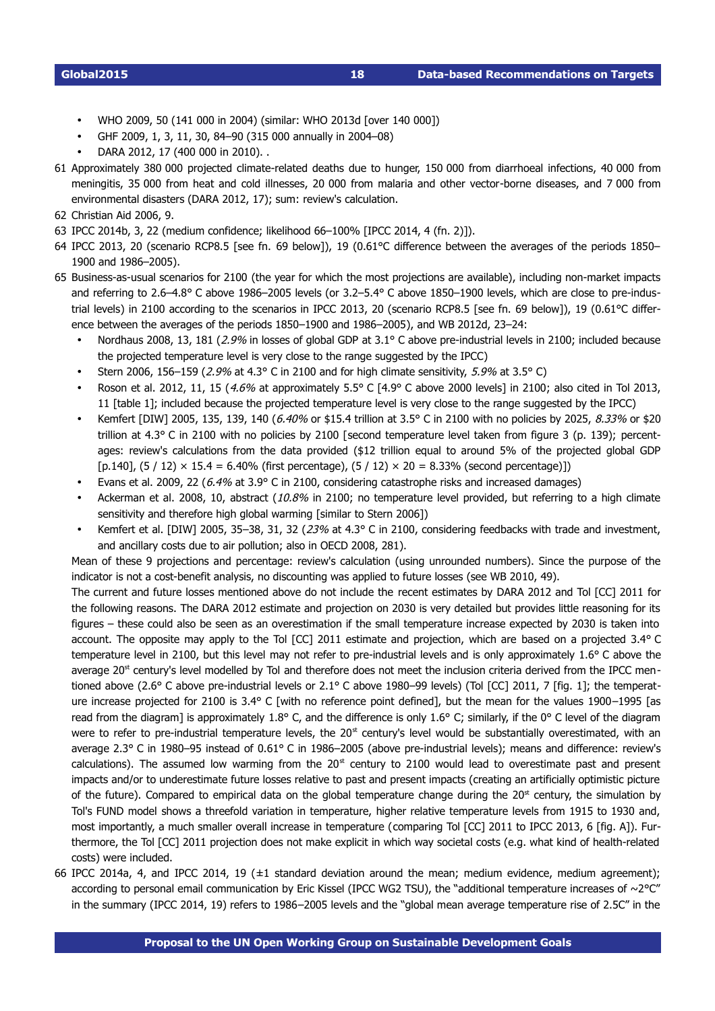- WHO 2009, 50 (141 000 in 2004) (similar: WHO 2013d [over 140 000])
- GHF 2009, 1, 3, 11, 30, 84–90 (315 000 annually in 2004–08)
- DARA 2012, 17 (400 000 in 2010). .
- <span id="page-17-0"></span>61 Approximately 380 000 projected climate-related deaths due to hunger, 150 000 from diarrhoeal infections, 40 000 from meningitis, 35 000 from heat and cold illnesses, 20 000 from malaria and other vector-borne diseases, and 7 000 from environmental disasters (DARA 2012, 17); sum: review's calculation.
- <span id="page-17-1"></span>62 Christian Aid 2006, 9.
- <span id="page-17-2"></span>63 IPCC 2014b, 3, 22 (medium confidence; likelihood 66–100% [IPCC 2014, 4 (fn. 2)]).
- <span id="page-17-3"></span>64 IPCC 2013, 20 (scenario RCP8.5 [see fn. [69](#page-18-2) below]), 19 (0.61°C difference between the averages of the periods 1850– 1900 and 1986–2005).
- <span id="page-17-4"></span>65 Business-as-usual scenarios for 2100 (the year for which the most projections are available), including non-market impacts and referring to 2.6–4.8° C above 1986–2005 levels (or 3.2–5.4° C above 1850–1900 levels, which are close to pre-industrial levels) in 2100 according to the scenarios in IPCC 2013, 20 (scenario RCP8.5 [see fn. [69](#page-18-2) below]), 19 (0.61°C difference between the averages of the periods 1850–1900 and 1986–2005), and WB 2012d, 23–24:
	- Nordhaus 2008, 13, 181 (2.9% in losses of global GDP at 3.1° C above pre-industrial levels in 2100; included because the projected temperature level is very close to the range suggested by the IPCC)
	- Stern 2006, 156–159 (2.9% at 4.3° C in 2100 and for high climate sensitivity, 5.9% at 3.5° C)
	- Roson et al. 2012, 11, 15 (4.6% at approximately 5.5° C [4.9° C above 2000 levels] in 2100; also cited in Tol 2013, 11 [table 1]; included because the projected temperature level is very close to the range suggested by the IPCC)
	- Kemfert [DIW] 2005, 135, 139, 140 (6.40% or \$15.4 trillion at 3.5° C in 2100 with no policies by 2025, 8.33% or \$20 trillion at 4.3° C in 2100 with no policies by 2100 [second temperature level taken from figure 3 (p. 139); percentages: review's calculations from the data provided (\$12 trillion equal to around 5% of the projected global GDP [p.140],  $(5/12) \times 15.4 = 6.40\%$  (first percentage),  $(5/12) \times 20 = 8.33\%$  (second percentage)])
	- Evans et al. 2009, 22 (6.4% at 3.9° C in 2100, considering catastrophe risks and increased damages)
	- Ackerman et al. 2008, 10, abstract (10.8% in 2100; no temperature level provided, but referring to a high climate sensitivity and therefore high global warming [similar to Stern 2006])
	- Kemfert et al. [DIW] 2005, 35–38, 31, 32 (23% at 4.3° C in 2100, considering feedbacks with trade and investment, and ancillary costs due to air pollution; also in OECD 2008, 281).

Mean of these 9 projections and percentage: review's calculation (using unrounded numbers). Since the purpose of the indicator is not a cost-benefit analysis, no discounting was applied to future losses (see WB 2010, 49).

The current and future losses mentioned above do not include the recent estimates by DARA 2012 and Tol [CC] 2011 for the following reasons. The DARA 2012 estimate and projection on 2030 is very detailed but provides little reasoning for its figures – these could also be seen as an overestimation if the small temperature increase expected by 2030 is taken into account. The opposite may apply to the Tol [CC] 2011 estimate and projection, which are based on a projected 3.4° C temperature level in 2100, but this level may not refer to pre-industrial levels and is only approximately 1.6° C above the average  $20<sup>st</sup>$  century's level modelled by Tol and therefore does not meet the inclusion criteria derived from the IPCC mentioned above (2.6° C above pre-industrial levels or  $2.1$ °C above 1980–99 levels) (Tol [CC] 2011, 7 [fig. 1]; the temperature increase projected for 2100 is 3.4° C [with no reference point defined], but the mean for the values 1900–1995 [as read from the diagram] is approximately 1.8° C, and the difference is only 1.6° C; similarly, if the 0° C level of the diagram were to refer to pre-industrial temperature levels, the  $20<sup>st</sup>$  century's level would be substantially overestimated, with an average 2.3° C in 1980–95 instead of 0.61° C in 1986–2005 (above pre-industrial levels); means and difference: review's calculations). The assumed low warming from the  $20<sup>st</sup>$  century to 2100 would lead to overestimate past and present impacts and/or to underestimate future losses relative to past and present impacts (creating an artificially optimistic picture of the future). Compared to empirical data on the global temperature change during the  $20<sup>st</sup>$  century, the simulation by Tol's FUND model shows a threefold variation in temperature, higher relative temperature levels from 1915 to 1930 and, most importantly, a much smaller overall increase in temperature (comparing Tol [CC] 2011 to IPCC 2013, 6 [fig. A]). Furthermore, the Tol [CC] 2011 projection does not make explicit in which way societal costs (e.g. what kind of health-related costs) were included.

<span id="page-17-5"></span>66 IPCC 2014a, 4, and IPCC 2014, 19 (±1 standard deviation around the mean; medium evidence, medium agreement); according to personal email communication by Eric Kissel (IPCC WG2 TSU), the "additional temperature increases of  $\sim$ 2°C" in the summary (IPCC 2014, 19) refers to 1986–2005 levels and the "global mean average temperature rise of 2.5C" in the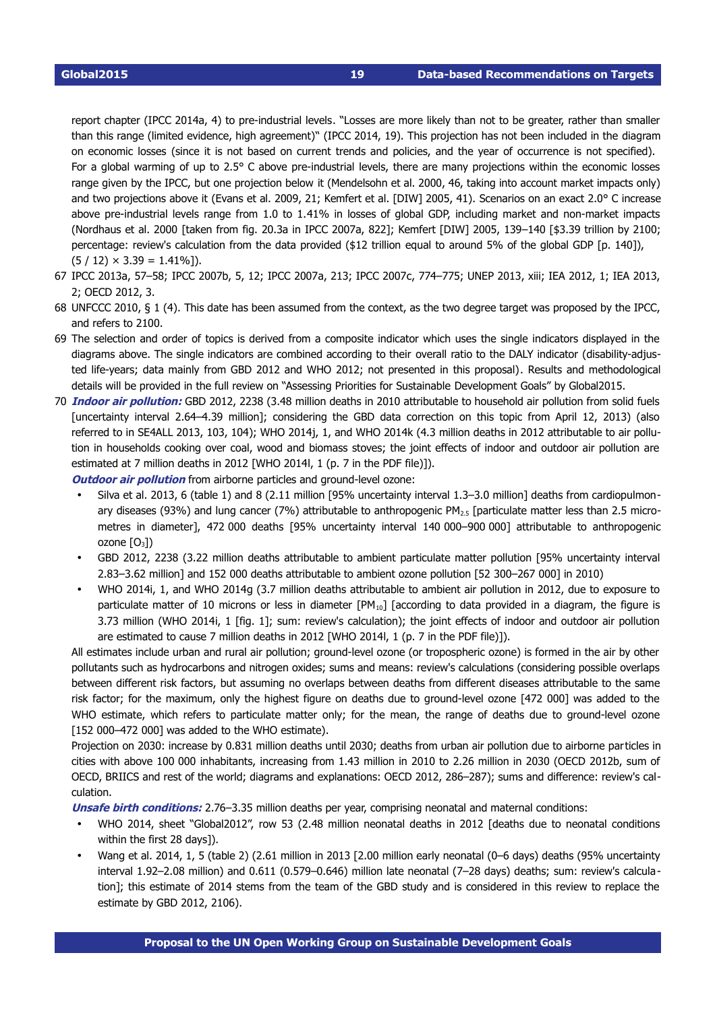report chapter (IPCC 2014a, 4) to pre-industrial levels. "Losses are more likely than not to be greater, rather than smaller than this range (limited evidence, high agreement)" (IPCC 2014, 19). This projection has not been included in the diagram on economic losses (since it is not based on current trends and policies, and the year of occurrence is not specified). For a global warming of up to  $2.5^{\circ}$  C above pre-industrial levels, there are many projections within the economic losses range given by the IPCC, but one projection below it (Mendelsohn et al. 2000, 46, taking into account market impacts only) and two projections above it (Evans et al. 2009, 21; Kemfert et al. [DIW] 2005, 41). Scenarios on an exact 2.0° C increase above pre-industrial levels range from 1.0 to 1.41% in losses of global GDP, including market and non-market impacts (Nordhaus et al. 2000 [taken from fig. 20.3a in IPCC 2007a, 822]; Kemfert [DIW] 2005, 139–140 [\$3.39 trillion by 2100; percentage: review's calculation from the data provided (\$12 trillion equal to around 5% of the global GDP [p. 140]),  $(5/12) \times 3.39 = 1.41\%$ ]).

- <span id="page-18-0"></span>67 IPCC 2013a, 57–58; IPCC 2007b, 5, 12; IPCC 2007a, 213; IPCC 2007c, 774–775; UNEP 2013, xiii; IEA 2012, 1; IEA 2013, 2; OECD 2012, 3.
- <span id="page-18-1"></span>68 UNFCCC 2010, § 1 (4). This date has been assumed from the context, as the two degree target was proposed by the IPCC, and refers to 2100.
- <span id="page-18-2"></span>69 The selection and order of topics is derived from a composite indicator which uses the single indicators displayed in the diagrams above. The single indicators are combined according to their overall ratio to the DALY indicator (disability-adjusted life-years; data mainly from GBD 2012 and WHO 2012; not presented in this proposal). Results and methodological details will be provided in the full review on "Assessing Priorities for Sustainable Development Goals" by Global2015.
- <span id="page-18-3"></span>70 **Indoor air pollution:** GBD 2012, 2238 (3.48 million deaths in 2010 attributable to household air pollution from solid fuels [uncertainty interval 2.64–4.39 million]; considering the GBD data correction on this topic from April 12, 2013) (also referred to in SE4ALL 2013, 103, 104); WHO 2014j, 1, and WHO 2014k (4.3 million deaths in 2012 attributable to air pollution in households cooking over coal, wood and biomass stoves; the joint effects of indoor and outdoor air pollution are estimated at 7 million deaths in 2012 [WHO 2014l, 1 (p. 7 in the PDF file)]).

**Outdoor air pollution** from airborne particles and ground-level ozone:

- Silva et al. 2013, 6 (table 1) and 8 (2.11 million [95% uncertainty interval 1.3–3.0 million] deaths from cardiopulmonary diseases (93%) and lung cancer (7%) attributable to anthropogenic PM2.5 [particulate matter less than 2.5 micrometres in diameter], 472 000 deaths [95% uncertainty interval 140 000–900 000] attributable to anthropogenic ozone  $[O_3]$
- GBD 2012, 2238 (3.22 million deaths attributable to ambient particulate matter pollution [95% uncertainty interval 2.83–3.62 million] and 152 000 deaths attributable to ambient ozone pollution [52 300–267 000] in 2010)
- WHO 2014i, 1, and WHO 2014g (3.7 million deaths attributable to ambient air pollution in 2012, due to exposure to particulate matter of 10 microns or less in diameter  $[PM_{10}]$  [according to data provided in a diagram, the figure is 3.73 million (WHO 2014i, 1 [fig. 1]; sum: review's calculation); the joint effects of indoor and outdoor air pollution are estimated to cause 7 million deaths in 2012 [WHO 2014l, 1 (p. 7 in the PDF file)]).

All estimates include urban and rural air pollution; ground-level ozone (or tropospheric ozone) is formed in the air by other pollutants such as hydrocarbons and nitrogen oxides; sums and means: review's calculations (considering possible overlaps between different risk factors, but assuming no overlaps between deaths from different diseases attributable to the same risk factor; for the maximum, only the highest figure on deaths due to ground-level ozone [472 000] was added to the WHO estimate, which refers to particulate matter only; for the mean, the range of deaths due to ground-level ozone [152 000-472 000] was added to the WHO estimate).

Projection on 2030: increase by 0.831 million deaths until 2030; deaths from urban air pollution due to airborne particles in cities with above 100 000 inhabitants, increasing from 1.43 million in 2010 to 2.26 million in 2030 (OECD 2012b, sum of OECD, BRIICS and rest of the world; diagrams and explanations: OECD 2012, 286–287); sums and difference: review's calculation.

**Unsafe birth conditions:** 2.76–3.35 million deaths per year, comprising neonatal and maternal conditions:

- WHO 2014, sheet "Global2012", row 53 (2.48 million neonatal deaths in 2012 [deaths due to neonatal conditions within the first 28 days]).
- Wang et al. 2014, 1, 5 (table 2) (2.61 million in 2013 [2.00 million early neonatal (0–6 days) deaths (95% uncertainty interval 1.92–2.08 million) and 0.611 (0.579–0.646) million late neonatal (7–28 days) deaths; sum: review's calculation]; this estimate of 2014 stems from the team of the GBD study and is considered in this review to replace the estimate by GBD 2012, 2106).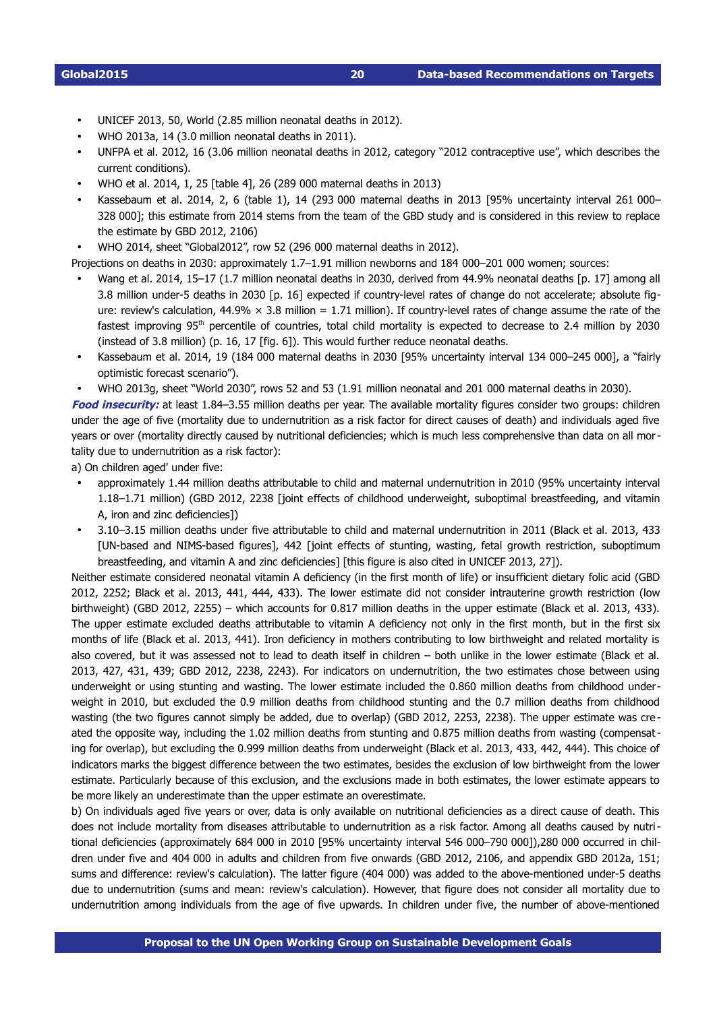- UNICEF 2013, 50, World (2.85 million neonatal deaths in 2012).
- WHO 2013a, 14 (3.0 million neonatal deaths in 2011).
- UNFPA et al. 2012, 16 (3.06 million neonatal deaths in 2012, category "2012 contraceptive use", which describes the current conditions).
- WHO et al. 2014, 1, 25 [table 4], 26 (289 000 maternal deaths in 2013)
- Kassebaum et al. 2014, 2, 6 (table 1), 14 (293 000 maternal deaths in 2013 [95% uncertainty interval 261 000– 328 000]; this estimate from 2014 stems from the team of the GBD study and is considered in this review to replace the estimate by GBD 2012, 2106)
- WHO 2014, sheet "Global2012", row 52 (296 000 maternal deaths in 2012).

Projections on deaths in 2030: approximately 1.7–1.91 million newborns and 184 000–201 000 women; sources:

- Wang et al. 2014, 15–17 (1.7 million neonatal deaths in 2030, derived from 44.9% neonatal deaths [p. 17] among all 3.8 million under-5 deaths in 2030 [p. 16] expected if country-level rates of change do not accelerate; absolute figure: review's calculation, 44.9%  $\times$  3.8 million = 1.71 million). If country-level rates of change assume the rate of the fastest improving 95<sup>th</sup> percentile of countries, total child mortality is expected to decrease to 2.4 million by 2030 (instead of 3.8 million) (p. 16, 17 [fig. 6]). This would further reduce neonatal deaths.
- Kassebaum et al. 2014, 19 (184 000 maternal deaths in 2030 [95% uncertainty interval 134 000–245 000], a "fairly optimistic forecast scenario").
- WHO 2013g, sheet "World 2030", rows 52 and 53 (1.91 million neonatal and 201 000 maternal deaths in 2030).

**Food insecurity:** at least 1.84–3.55 million deaths per year. The available mortality figures consider two groups: children under the age of five (mortality due to undernutrition as a risk factor for direct causes of death) and individuals aged five years or over (mortality directly caused by nutritional deficiencies; which is much less comprehensive than data on all mortality due to undernutrition as a risk factor):

a) On children aged' under five:

- approximately 1.44 million deaths attributable to child and maternal undernutrition in 2010 (95% uncertainty interval 1.18–1.71 million) (GBD 2012, 2238 [joint effects of childhood underweight, suboptimal breastfeeding, and vitamin A, iron and zinc deficiencies])
- 3.10–3.15 million deaths under five attributable to child and maternal undernutrition in 2011 (Black et al. 2013, 433 [UN-based and NIMS-based figures], 442 [joint effects of stunting, wasting, fetal growth restriction, suboptimum breastfeeding, and vitamin A and zinc deficiencies] [this figure is also cited in UNICEF 2013, 27]).

Neither estimate considered neonatal vitamin A deficiency (in the first month of life) or insufficient dietary folic acid (GBD 2012, 2252; Black et al. 2013, 441, 444, 433). The lower estimate did not consider intrauterine growth restriction (low birthweight) (GBD 2012, 2255) – which accounts for 0.817 million deaths in the upper estimate (Black et al. 2013, 433). The upper estimate excluded deaths attributable to vitamin A deficiency not only in the first month, but in the first six months of life (Black et al. 2013, 441). Iron deficiency in mothers contributing to low birthweight and related mortality is also covered, but it was assessed not to lead to death itself in children – both unlike in the lower estimate (Black et al. 2013, 427, 431, 439; GBD 2012, 2238, 2243). For indicators on undernutrition, the two estimates chose between using underweight or using stunting and wasting. The lower estimate included the 0.860 million deaths from childhood underweight in 2010, but excluded the 0.9 million deaths from childhood stunting and the 0.7 million deaths from childhood wasting (the two figures cannot simply be added, due to overlap) (GBD 2012, 2253, 2238). The upper estimate was created the opposite way, including the 1.02 million deaths from stunting and 0.875 million deaths from wasting (compensating for overlap), but excluding the 0.999 million deaths from underweight (Black et al. 2013, 433, 442, 444). This choice of indicators marks the biggest difference between the two estimates, besides the exclusion of low birthweight from the lower estimate. Particularly because of this exclusion, and the exclusions made in both estimates, the lower estimate appears to be more likely an underestimate than the upper estimate an overestimate.

b) On individuals aged five years or over, data is only available on nutritional deficiencies as a direct cause of death. This does not include mortality from diseases attributable to undernutrition as a risk factor. Among all deaths caused by nutritional deficiencies (approximately 684 000 in 2010 [95% uncertainty interval 546 000–790 000]),280 000 occurred in children under five and 404 000 in adults and children from five onwards (GBD 2012, 2106, and appendix GBD 2012a, 151; sums and difference: review's calculation). The latter figure (404 000) was added to the above-mentioned under-5 deaths due to undernutrition (sums and mean: review's calculation). However, that figure does not consider all mortality due to undernutrition among individuals from the age of five upwards. In children under five, the number of above-mentioned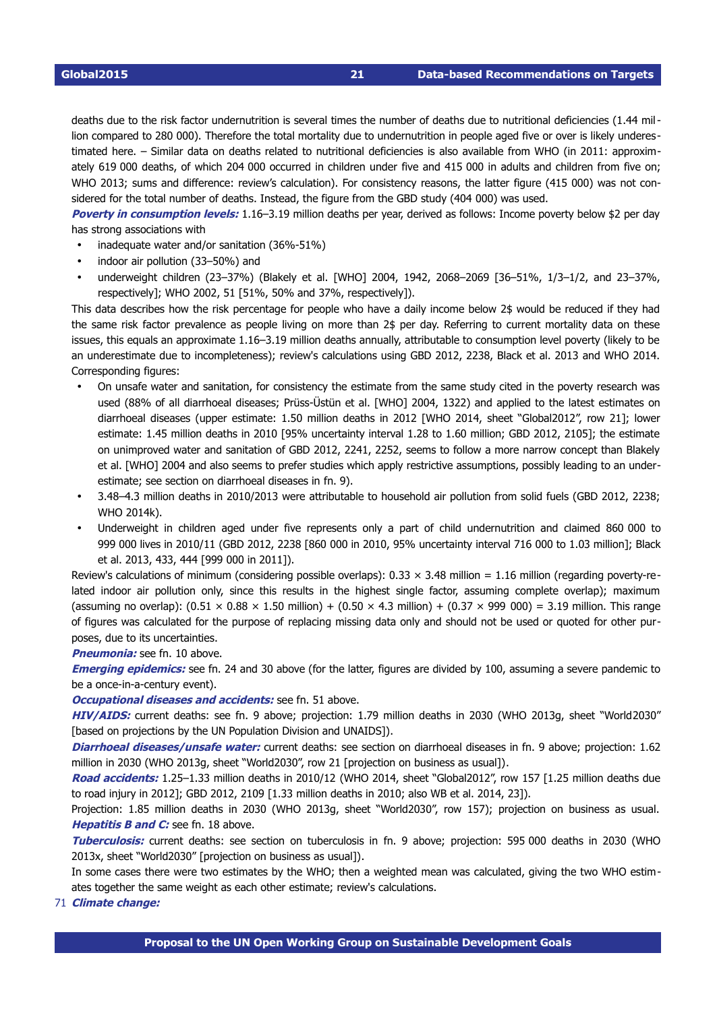deaths due to the risk factor undernutrition is several times the number of deaths due to nutritional deficiencies (1.44 million compared to 280 000). Therefore the total mortality due to undernutrition in people aged five or over is likely underestimated here. – Similar data on deaths related to nutritional deficiencies is also available from WHO (in 2011: approximately 619 000 deaths, of which 204 000 occurred in children under five and 415 000 in adults and children from five on; WHO 2013; sums and difference: review's calculation). For consistency reasons, the latter figure (415 000) was not considered for the total number of deaths. Instead, the figure from the GBD study (404 000) was used.

**Poverty in consumption levels:** 1.16–3.19 million deaths per year, derived as follows: Income poverty below \$2 per day has strong associations with

- inadequate water and/or sanitation (36%-51%)
- indoor air pollution (33-50%) and
- underweight children (23–37%) (Blakely et al. [WHO] 2004, 1942, 2068–2069 [36–51%, 1/3–1/2, and 23–37%, respectively]; WHO 2002, 51 [51%, 50% and 37%, respectively]).

This data describes how the risk percentage for people who have a daily income below 2\$ would be reduced if they had the same risk factor prevalence as people living on more than 2\$ per day. Referring to current mortality data on these issues, this equals an approximate 1.16–3.19 million deaths annually, attributable to consumption level poverty (likely to be an underestimate due to incompleteness); review's calculations using GBD 2012, 2238, Black et al. 2013 and WHO 2014. Corresponding figures:

- On unsafe water and sanitation, for consistency the estimate from the same study cited in the poverty research was used (88% of all diarrhoeal diseases; Prüss-Üstün et al. [WHO] 2004, 1322) and applied to the latest estimates on diarrhoeal diseases (upper estimate: 1.50 million deaths in 2012 [WHO 2014, sheet "Global2012", row 21]; lower estimate: 1.45 million deaths in 2010 [95% uncertainty interval 1.28 to 1.60 million; GBD 2012, 2105]; the estimate on unimproved water and sanitation of GBD 2012, 2241, 2252, seems to follow a more narrow concept than Blakely et al. [WHO] 2004 and also seems to prefer studies which apply restrictive assumptions, possibly leading to an underestimate; see section on diarrhoeal diseases in fn. [9\)](#page-12-8).
- 3.48–4.3 million deaths in 2010/2013 were attributable to household air pollution from solid fuels (GBD 2012, 2238; WHO 2014k).
- Underweight in children aged under five represents only a part of child undernutrition and claimed 860 000 to 999 000 lives in 2010/11 (GBD 2012, 2238 [860 000 in 2010, 95% uncertainty interval 716 000 to 1.03 million]; Black et al. 2013, 433, 444 [999 000 in 2011]).

Review's calculations of minimum (considering possible overlaps):  $0.33 \times 3.48$  million = 1.16 million (regarding poverty-related indoor air pollution only, since this results in the highest single factor, assuming complete overlap); maximum (assuming no overlap):  $(0.51 \times 0.88 \times 1.50 \text{ million}) + (0.50 \times 4.3 \text{ million}) + (0.37 \times 999 \text{ 000}) = 3.19 \text{ million}$ . This range of figures was calculated for the purpose of replacing missing data only and should not be used or quoted for other purposes, due to its uncertainties.

**Pneumonia:** see fn. [10](#page-13-0) above.

**Emerging epidemics:** see fn. [24](#page-15-3) and [30](#page-15-9) above (for the latter, figures are divided by 100, assuming a severe pandemic to be a once-in-a-century event).

### **Occupational diseases and accidents:** see fn. [51](#page-16-10) above.

**HIV/AIDS:** current deaths: see fn. [9](#page-12-8) above; projection: 1.79 million deaths in 2030 (WHO 2013g, sheet "World2030" [based on projections by the UN Population Division and UNAIDS]).

**Diarrhoeal diseases/unsafe water:** current deaths: see section on diarrhoeal diseases in fn. [9](#page-12-8) above; projection: 1.62 million in 2030 (WHO 2013g, sheet "World2030", row 21 [projection on business as usual]).

**Road accidents:** 1.25–1.33 million deaths in 2010/12 (WHO 2014, sheet "Global2012", row 157 [1.25 million deaths due to road injury in 2012]; GBD 2012, 2109 [1.33 million deaths in 2010; also WB et al. 2014, 23]).

Projection: 1.85 million deaths in 2030 (WHO 2013g, sheet "World2030", row 157); projection on business as usual. **Hepatitis B and C:** see fn. [18](#page-14-7) above.

**Tuberculosis:** current deaths: see section on tuberculosis in fn. [9](#page-12-8) above; projection: 595 000 deaths in 2030 (WHO 2013x, sheet "World2030" [projection on business as usual]).

In some cases there were two estimates by the WHO; then a weighted mean was calculated, giving the two WHO estimates together the same weight as each other estimate; review's calculations.

<span id="page-20-0"></span>71 **Climate change:**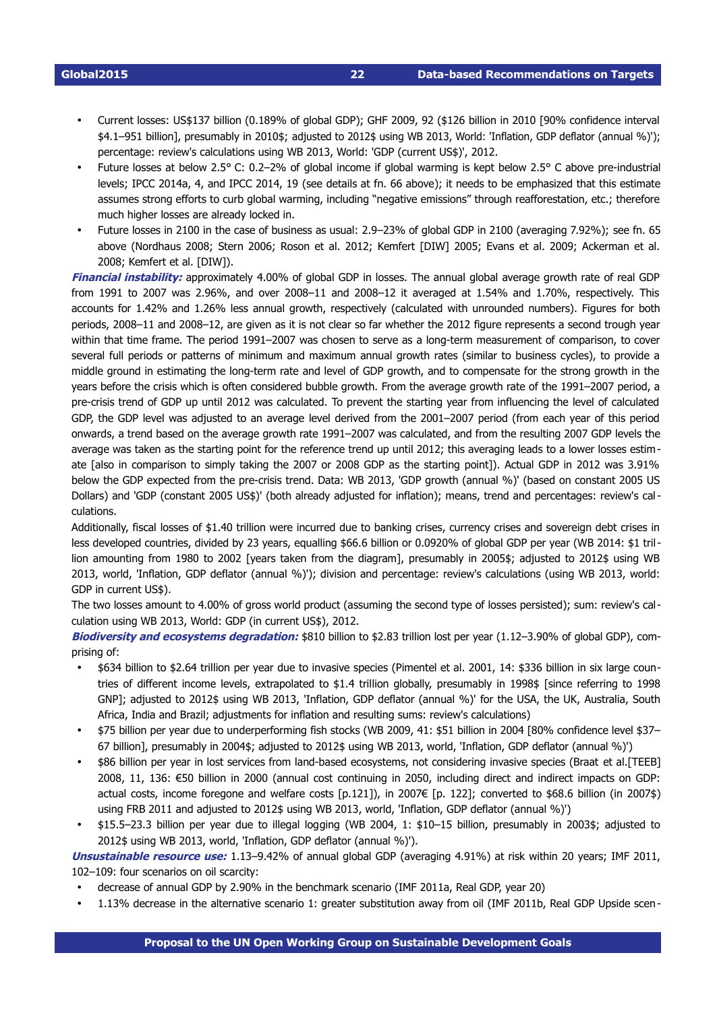- Current losses: US\$137 billion (0.189% of global GDP); GHF 2009, 92 (\$126 billion in 2010 [90% confidence interval \$4.1–951 billion], presumably in 2010\$; adjusted to 2012\$ using WB 2013, World: 'Inflation, GDP deflator (annual %)'); percentage: review's calculations using WB 2013, World: 'GDP (current US\$)', 2012.
- Future losses at below 2.5° C: 0.2–2% of global income if global warming is kept below 2.5° C above pre-industrial levels; IPCC 2014a, 4, and IPCC 2014, 19 (see details at fn. [66](#page-17-5) above); it needs to be emphasized that this estimate assumes strong efforts to curb global warming, including "negative emissions" through reafforestation, etc.; therefore much higher losses are already locked in.
- Future losses in 2100 in the case of business as usual: 2.9–23% of global GDP in 2100 (averaging 7.92%); see fn. [65](#page-17-4) above (Nordhaus 2008; Stern 2006; Roson et al. 2012; Kemfert [DIW] 2005; Evans et al. 2009; Ackerman et al. 2008; Kemfert et al. [DIW]).

**Financial instability:** approximately 4.00% of global GDP in losses. The annual global average growth rate of real GDP from 1991 to 2007 was 2.96%, and over 2008–11 and 2008–12 it averaged at 1.54% and 1.70%, respectively. This accounts for 1.42% and 1.26% less annual growth, respectively (calculated with unrounded numbers). Figures for both periods, 2008–11 and 2008–12, are given as it is not clear so far whether the 2012 figure represents a second trough year within that time frame. The period 1991–2007 was chosen to serve as a long-term measurement of comparison, to cover several full periods or patterns of minimum and maximum annual growth rates (similar to business cycles), to provide a middle ground in estimating the long-term rate and level of GDP growth, and to compensate for the strong growth in the years before the crisis which is often considered bubble growth. From the average growth rate of the 1991–2007 period, a precrisis trend of GDP up until 2012 was calculated. To prevent the starting year from influencing the level of calculated GDP, the GDP level was adjusted to an average level derived from the 2001–2007 period (from each year of this period onwards, a trend based on the average growth rate 1991–2007 was calculated, and from the resulting 2007 GDP levels the average was taken as the starting point for the reference trend up until 2012; this averaging leads to a lower losses estimate [also in comparison to simply taking the 2007 or 2008 GDP as the starting point]). Actual GDP in 2012 was 3.91% below the GDP expected from the pre-crisis trend. Data: WB 2013, 'GDP growth (annual %)' (based on constant 2005 US Dollars) and 'GDP (constant 2005 US\$)' (both already adjusted for inflation); means, trend and percentages: review's calculations.

Additionally, fiscal losses of \$1.40 trillion were incurred due to banking crises, currency crises and sovereign debt crises in less developed countries, divided by 23 years, equalling \$66.6 billion or 0.0920% of global GDP per year (WB 2014: \$1 trillion amounting from 1980 to 2002 [years taken from the diagram], presumably in 2005\$; adjusted to 2012\$ using WB 2013, world, 'Inflation, GDP deflator (annual %)'); division and percentage: review's calculations (using WB 2013, world: GDP in current US\$).

The two losses amount to 4.00% of gross world product (assuming the second type of losses persisted); sum: review's calculation using WB 2013, World: GDP (in current US\$), 2012.

**Biodiversity and ecosystems degradation:** \$810 billion to \$2.83 trillion lost per year (1.12–3.90% of global GDP), comprising of:

- \$634 billion to \$2.64 trillion per year due to invasive species (Pimentel et al. 2001, 14: \$336 billion in six large countries of different income levels, extrapolated to \$1.4 trillion globally, presumably in 1998\$ [since referring to 1998 GNP]; adjusted to 2012\$ using WB 2013, 'Inflation, GDP deflator (annual %)' for the USA, the UK, Australia, South Africa, India and Brazil; adjustments for inflation and resulting sums: review's calculations)
- \$75 billion per year due to underperforming fish stocks (WB 2009, 41: \$51 billion in 2004 [80% confidence level \$37– 67 billion], presumably in 2004\$; adjusted to 2012\$ using WB 2013, world, 'Inflation, GDP deflator (annual %)')
- \$86 billion per year in lost services from land-based ecosystems, not considering invasive species (Braat et al.[TEEB] 2008, 11, 136: €50 billion in 2000 (annual cost continuing in 2050, including direct and indirect impacts on GDP: actual costs, income foregone and welfare costs [p.121]), in 2007€ [p. 122]; converted to \$68.6 billion (in 2007\$) using FRB 2011 and adjusted to 2012\$ using WB 2013, world, 'Inflation, GDP deflator (annual %)')
- \$15.5–23.3 billion per year due to illegal logging (WB 2004, 1: \$10–15 billion, presumably in 2003\$; adjusted to 2012\$ using WB 2013, world, 'Inflation, GDP deflator (annual %)').

**Unsustainable resource use:** 1.13–9.42% of annual global GDP (averaging 4.91%) at risk within 20 years; IMF 2011, 102–109: four scenarios on oil scarcity:

- decrease of annual GDP by 2.90% in the benchmark scenario (IMF 2011a, Real GDP, year 20)
- 1.13% decrease in the alternative scenario 1: greater substitution away from oil (IMF 2011b, Real GDP Upside scen-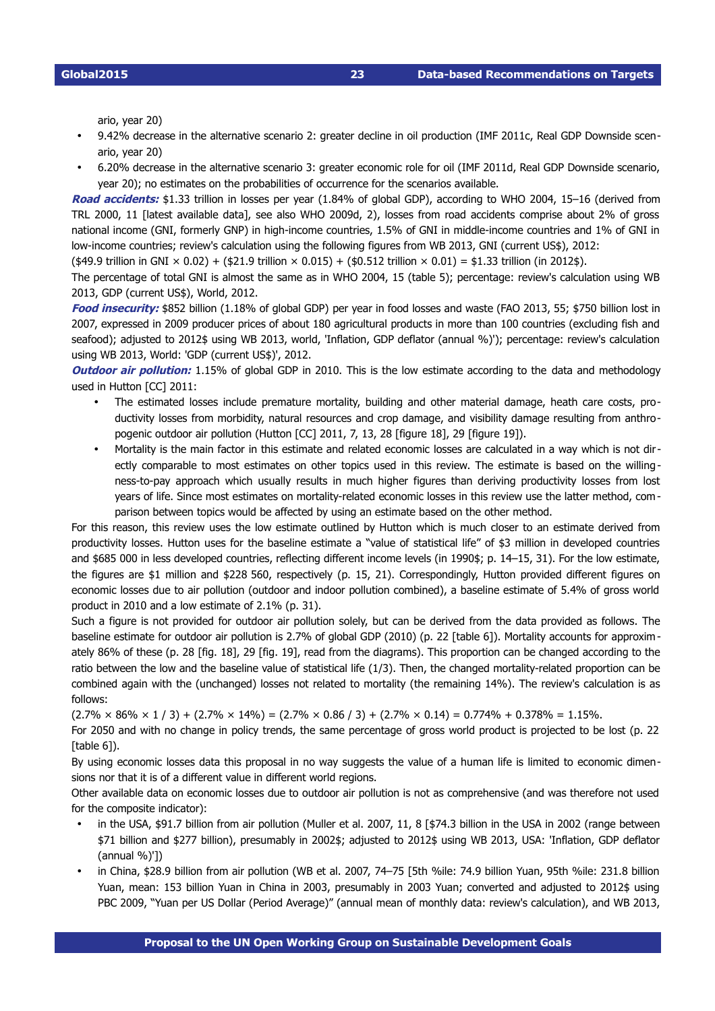ario, year 20)

- 9.42% decrease in the alternative scenario 2: greater decline in oil production (IMF 2011c, Real GDP Downside scenario, year 20)
- 6.20% decrease in the alternative scenario 3: greater economic role for oil (IMF 2011d, Real GDP Downside scenario, year 20); no estimates on the probabilities of occurrence for the scenarios available.

**Road accidents:** \$1.33 trillion in losses per year (1.84% of global GDP), according to WHO 2004, 15–16 (derived from TRL 2000, 11 [latest available data], see also WHO 2009d, 2), losses from road accidents comprise about 2% of gross national income (GNI, formerly GNP) in high-income countries, 1.5% of GNI in middle-income countries and 1% of GNI in low-income countries; review's calculation using the following figures from WB 2013, GNI (current US\$), 2012;

 $(\text{$49.9$ trillion in GNU} \times 0.02) + (\text{$21.9$ trillion} \times 0.015) + (\text{$0.512$ trillion} \times 0.01) = \text{$1.33$ trillion (in 2012$).}$ 

The percentage of total GNI is almost the same as in WHO 2004, 15 (table 5); percentage: review's calculation using WB 2013, GDP (current US\$), World, 2012.

Food insecurity: \$852 billion (1.18% of global GDP) per year in food losses and waste (FAO 2013, 55; \$750 billion lost in 2007, expressed in 2009 producer prices of about 180 agricultural products in more than 100 countries (excluding fish and seafood); adjusted to 2012\$ using WB 2013, world, 'Inflation, GDP deflator (annual %)'); percentage: review's calculation using WB 2013, World: 'GDP (current US\$)', 2012.

**Outdoor air pollution:** 1.15% of global GDP in 2010. This is the low estimate according to the data and methodology used in Hutton [CC] 2011:

- The estimated losses include premature mortality, building and other material damage, heath care costs, productivity losses from morbidity, natural resources and crop damage, and visibility damage resulting from anthropogenic outdoor air pollution (Hutton [CC] 2011, 7, 13, 28 [figure 18], 29 [figure 19]).
- Mortality is the main factor in this estimate and related economic losses are calculated in a way which is not directly comparable to most estimates on other topics used in this review. The estimate is based on the willingness-to-pay approach which usually results in much higher figures than deriving productivity losses from lost years of life. Since most estimates on mortality-related economic losses in this review use the latter method, comparison between topics would be affected by using an estimate based on the other method.

For this reason, this review uses the low estimate outlined by Hutton which is much closer to an estimate derived from productivity losses. Hutton uses for the baseline estimate a "value of statistical life" of \$3 million in developed countries and \$685 000 in less developed countries, reflecting different income levels (in 1990\$; p. 14–15, 31). For the low estimate, the figures are \$1 million and \$228 560, respectively (p. 15, 21). Correspondingly, Hutton provided different figures on economic losses due to air pollution (outdoor and indoor pollution combined), a baseline estimate of 5.4% of gross world product in 2010 and a low estimate of 2.1% (p. 31).

Such a figure is not provided for outdoor air pollution solely, but can be derived from the data provided as follows. The baseline estimate for outdoor air pollution is 2.7% of global GDP (2010) (p. 22 [table 6]). Mortality accounts for approximately 86% of these (p. 28 [fig. 18], 29 [fig. 19], read from the diagrams). This proportion can be changed according to the ratio between the low and the baseline value of statistical life (1/3). Then, the changed mortality-related proportion can be combined again with the (unchanged) losses not related to mortality (the remaining 14%). The review's calculation is as follows:

 $(2.7\% \times 86\% \times 1 / 3) + (2.7\% \times 14\%) = (2.7\% \times 0.86 / 3) + (2.7\% \times 0.14) = 0.774\% + 0.378\% = 1.15\%.$ 

For 2050 and with no change in policy trends, the same percentage of gross world product is projected to be lost (p. 22 [table 6]).

By using economic losses data this proposal in no way suggests the value of a human life is limited to economic dimensions nor that it is of a different value in different world regions.

Other available data on economic losses due to outdoor air pollution is not as comprehensive (and was therefore not used for the composite indicator):

- in the USA, \$91.7 billion from air pollution (Muller et al. 2007, 11, 8 [\$74.3 billion in the USA in 2002 (range between \$71 billion and \$277 billion), presumably in 2002\$; adjusted to 2012\$ using WB 2013, USA: 'Inflation, GDP deflator (annual %)'])
- in China, \$28.9 billion from air pollution (WB et al. 2007, 74–75 [5th %ile: 74.9 billion Yuan, 95th %ile: 231.8 billion Yuan, mean: 153 billion Yuan in China in 2003, presumably in 2003 Yuan; converted and adjusted to 2012\$ using PBC 2009, "Yuan per US Dollar (Period Average)" (annual mean of monthly data: review's calculation), and WB 2013,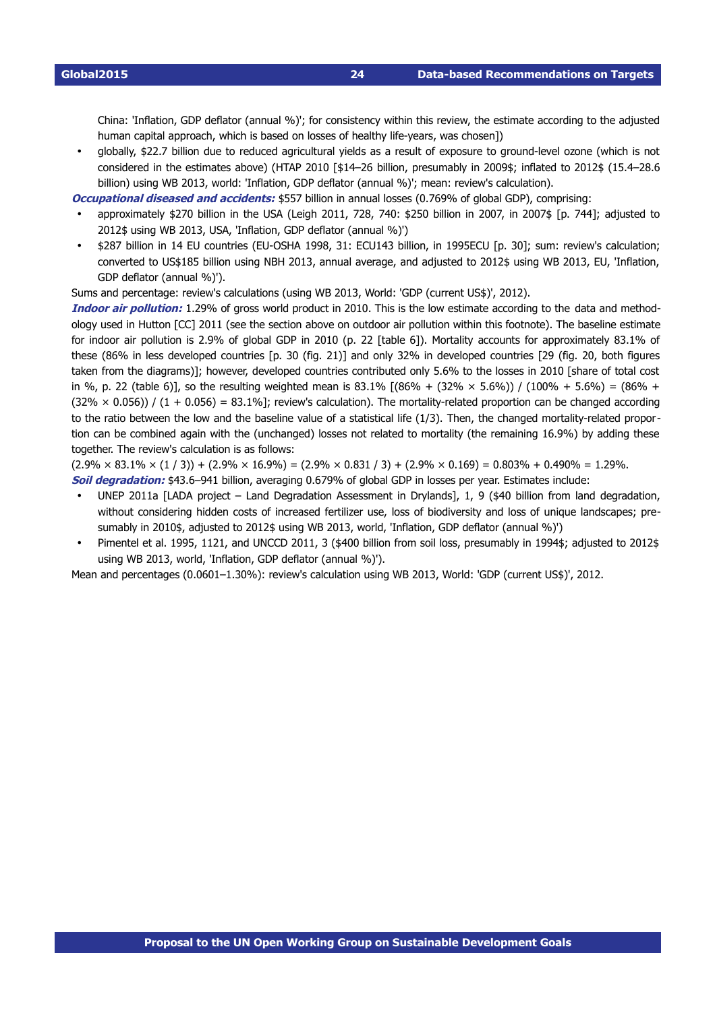**Global2015 24 Data-based Recommendations on Targets** 

China: 'Inflation, GDP deflator (annual %)'; for consistency within this review, the estimate according to the adjusted human capital approach, which is based on losses of healthy life-years, was chosen])

globally, \$22.7 billion due to reduced agricultural yields as a result of exposure to ground-level ozone (which is not considered in the estimates above) (HTAP 2010 [\$14–26 billion, presumably in 2009\$; inflated to 2012\$ (15.4–28.6 billion) using WB 2013, world: 'Inflation, GDP deflator (annual %)'; mean: review's calculation).

**Occupational diseased and accidents:** \$557 billion in annual losses (0.769% of global GDP), comprising:

- approximately \$270 billion in the USA (Leigh 2011, 728, 740: \$250 billion in 2007, in 2007\$ [p. 744]; adjusted to 2012\$ using WB 2013, USA, 'Inflation, GDP deflator (annual %)')
- \$287 billion in 14 EU countries (EU-OSHA 1998, 31: ECU143 billion, in 1995ECU [p. 30]; sum: review's calculation; converted to US\$185 billion using NBH 2013, annual average, and adjusted to 2012\$ using WB 2013, EU, 'Inflation, GDP deflator (annual %)').

Sums and percentage: review's calculations (using WB 2013, World: 'GDP (current US\$)', 2012).

**Indoor air pollution:** 1.29% of gross world product in 2010. This is the low estimate according to the data and methodology used in Hutton [CC] 2011 (see the section above on outdoor air pollution within this footnote). The baseline estimate for indoor air pollution is 2.9% of global GDP in 2010 (p. 22 [table 6]). Mortality accounts for approximately 83.1% of these (86% in less developed countries [p. 30 (fig. 21)] and only 32% in developed countries [29 (fig. 20, both figures taken from the diagrams)]; however, developed countries contributed only 5.6% to the losses in 2010 [share of total cost in %, p. 22 (table 6)], so the resulting weighted mean is 83.1%  $[(86\% + (32\% \times 5.6\%)) / (100\% + 5.6\%) = (86\% +$  $(32\% \times 0.056)$  /  $(1 + 0.056) = 83.1\%$ ; review's calculation). The mortality-related proportion can be changed according to the ratio between the low and the baseline value of a statistical life (1/3). Then, the changed mortality-related proportion can be combined again with the (unchanged) losses not related to mortality (the remaining 16.9%) by adding these together. The review's calculation is as follows:

 $(2.9\% \times 83.1\% \times (1/3)) + (2.9\% \times 16.9\%) = (2.9\% \times 0.831/3) + (2.9\% \times 0.169) = 0.803\% + 0.490\% = 1.29\%.$ **Soil degradation:** \$43.6–941 billion, averaging 0.679% of global GDP in losses per year. Estimates include:

- UNEP 2011a [LADA project Land Degradation Assessment in Drylands], 1, 9 (\$40 billion from land degradation, without considering hidden costs of increased fertilizer use, loss of biodiversity and loss of unique landscapes; presumably in 2010\$, adjusted to 2012\$ using WB 2013, world, 'Inflation, GDP deflator (annual %)')
- Pimentel et al. 1995, 1121, and UNCCD 2011, 3 (\$400 billion from soil loss, presumably in 1994\$; adjusted to 2012\$ using WB 2013, world, 'Inflation, GDP deflator (annual %)').

Mean and percentages (0.0601–1.30%): review's calculation using WB 2013, World: 'GDP (current US\$)', 2012.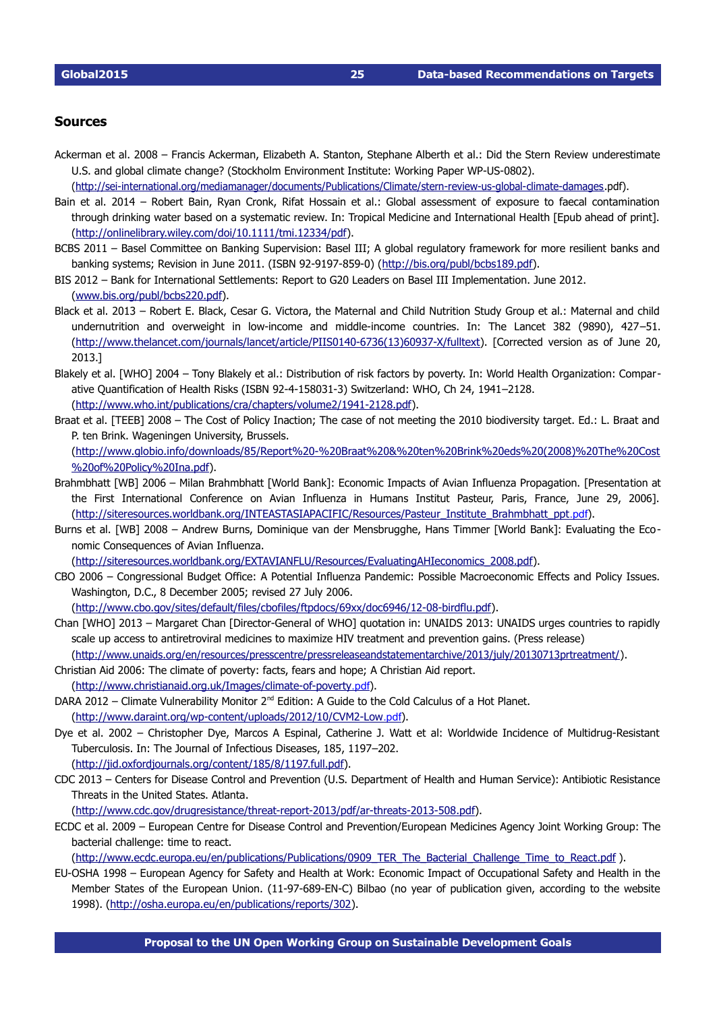### <span id="page-24-0"></span>**Sources**

- Ackerman et al. 2008 Francis Ackerman, Elizabeth A. Stanton, Stephane Alberth et al.: Did the Stern Review underestimate U.S. and global climate change? (Stockholm Environment Institute: Working Paper WP-US-0802).
- (http://sei-international.org/mediamanager/documents/Publications/Climate/stern-review-us-global-climate-damages.pdf).
- Bain et al. 2014 Robert Bain, Ryan Cronk, Rifat Hossain et al.: Global assessment of exposure to faecal contamination through drinking water based on a systematic review. In: Tropical Medicine and International Health [Epub ahead of print]. [\(http://onlinelibrary.wiley.com/doi/10.1111/tmi.12334/pdf\)](http://onlinelibrary.wiley.com/doi/10.1111/tmi.12334/pdf).
- BCBS 2011 Basel Committee on Banking Supervision: Basel III; A global regulatory framework for more resilient banks and banking systems; Revision in June 2011. (ISBN 92-9197-859-0) [\(http://bis.org/publ/bcbs189.pdf\)](http://bis.org/publ/bcbs189.pdf).
- BIS 2012 Bank for International Settlements: Report to G20 Leaders on Basel III Implementation. June 2012. [\( www.bis.org/publ/bcbs220 .pdf\)](http://www.bis.org/publ/bcbs220.pdf).
- Black et al. 2013 Robert E. Black, Cesar G. Victora, the Maternal and Child Nutrition Study Group et al.: Maternal and child undernutrition and overweight in low-income and middle-income countries. In: The Lancet 382 (9890), 427–51. (http://www.thelancet.com/journals/lancet/article/PIIS0140-6736(13)60937-X/fulltext). [Corrected version as of June 20, 2013.]
- Blakely et al. [WHO] 2004 Tony Blakely et al.: Distribution of risk factors by poverty. In: World Health Organization: Comparative Quantification of Health Risks (ISBN 92-4-158031-3) Switzerland: WHO, Ch 24, 1941-2128. (http://www.who.int/publications/cra/chapters/volume2/1941-2128.pdf).
- Braat et al. [TEEB] 2008 The Cost of Policy Inaction; The case of not meeting the 2010 biodiversity target. Ed.: L. Braat and P. ten Brink. Wageningen University, Brussels. [\(http://www.globio.info/downloads/85/Report%20%20Braat%20&%20ten%20Brink%20eds%20\(2008\)%20The%20Cost](http://www.globio.info/downloads/85/Report%20-%20Braat%20&%20ten%20Brink%20eds%20(2008)%20The%20Cost%20of%20Policy%20Ina.pdf) [%20of%20Policy%20Ina.pdf\)](http://www.globio.info/downloads/85/Report%20-%20Braat%20&%20ten%20Brink%20eds%20(2008)%20The%20Cost%20of%20Policy%20Ina.pdf).
- Brahmbhatt [WB] 2006 Milan Brahmbhatt [World Bank]: Economic Impacts of Avian Influenza Propagation. [Presentation at the First International Conference on Avian Influenza in Humans Institut Pasteur, Paris, France, June 29, 2006]. [\( http://siteresources.worldbank.org/INTEASTASIAPACIFIC/Resources/Pasteur\\_Institute\\_Brahmbhatt\\_ppt](http://siteresources.worldbank.org/INTEASTASIAPACIFIC/Resources/Pasteur_Institute_Brahmbhatt_ppt.pdf) .pdf).
- Burns et al. [WB] 2008 Andrew Burns, Dominique van der Mensbrugghe, Hans Timmer [World Bank]: Evaluating the Economic Consequences of Avian Influenza.

[\(http://siteresources.worldbank.org/EXTAVIANFLU/Resources/EvaluatingAHIeconomics\\_2008.pdf\)](http://siteresources.worldbank.org/EXTAVIANFLU/Resources/EvaluatingAHIeconomics_2008.pdf).

CBO 2006 – Congressional Budget Office: A Potential Influenza Pandemic: Possible Macroeconomic Effects and Policy Issues. Washington, D.C., 8 December 2005; revised 27 July 2006.

(http://www.cbo.gov/sites/default/files/cbofiles/ftpdocs/69xx/doc6946/12-08-birdflu.pdf).

Chan [WHO] 2013 – Margaret Chan [Director-General of WHO] quotation in: UNAIDS 2013: UNAIDS urges countries to rapidly scale up access to antiretroviral medicines to maximize HIV treatment and prevention gains. (Press release)

[\(http://www.unaids.org/en/resources/presscentre/pressreleaseandstatementarchive/2013/july/20130713prtreatment/\)](http://www.unaids.org/en/resources/presscentre/pressreleaseandstatementarchive/2013/july/20130713prtreatment/).

- Christian Aid 2006: The climate of poverty: facts, fears and hope; A Christian Aid report. (http://www.christianaid.org.uk/Images/climate-of-poverty.pdf).
- DARA 2012 Climate Vulnerability Monitor 2<sup>nd</sup> Edition: A Guide to the Cold Calculus of a Hot Planet. (http://www.daraint.org/wp-content/uploads/2012/10/CVM2-Low.pdf).
- Dye et al. 2002 Christopher Dye, Marcos A Espinal, Catherine J. Watt et al: Worldwide Incidence of Multidrug-Resistant Tuberculosis. In: The Journal of Infectious Diseases, 185, 1197–202. [\(http://jid.oxfordjournals.org/content/185/8/1197.full.pdf\)](http://jid.oxfordjournals.org/content/185/8/1197.full.pdf).
- CDC 2013 Centers for Disease Control and Prevention (U.S. Department of Health and Human Service): Antibiotic Resistance Threats in the United States. Atlanta.

(http://www.cdc.gov/drugresistance/threat-report-2013/pdf/ar-threats-2013-508.pdf).

ECDC et al. 2009 – European Centre for Disease Control and Prevention/European Medicines Agency Joint Working Group: The bacterial challenge: time to react.

(http://www.ecdc.europa.eu/en/publications/Publications/0909\_TER\_The\_Bacterial\_Challenge\_Time\_to\_React.pdf ).

EU-OSHA 1998 – European Agency for Safety and Health at Work: Economic Impact of Occupational Safety and Health in the Member States of the European Union. (11-97-689-EN-C) Bilbao (no year of publication given, according to the website 1998). [\(http://osha.europa.eu/en/publications/reports/302\)](http://osha.europa.eu/en/publications/reports/302).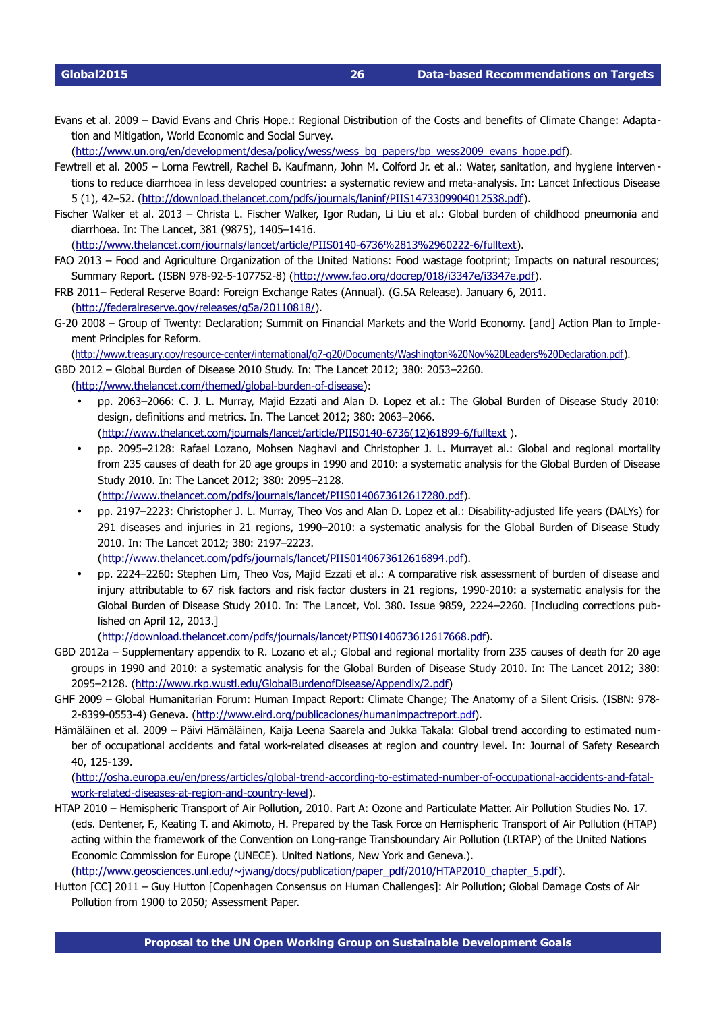Evans et al. 2009 – David Evans and Chris Hope.: Regional Distribution of the Costs and benefits of Climate Change: Adaptation and Mitigation, World Economic and Social Survey.

(http://www.un.org/en/development/desa/policy/wess/wess\_bg\_papers/bp\_wess2009\_evans\_hope.pdf).

- Fewtrell et al. 2005 Lorna Fewtrell, Rachel B. Kaufmann, John M. Colford Jr. et al.: Water, sanitation, and hygiene interven tions to reduce diarrhoea in less developed countries: a systematic review and meta-analysis. In: Lancet Infectious Disease 5 (1), 42–52. [\(http://download.thelancet.com/pdfs/journals/laninf/PIIS1473309904012538.pdf\)](http://download.thelancet.com/pdfs/journals/laninf/PIIS1473309904012538.pdf).
- Fischer Walker et al. 2013 Christa L. Fischer Walker, Igor Rudan, Li Liu et al.: Global burden of childhood pneumonia and diarrhoea. In: The Lancet, 381 (9875), 1405–1416.

(http://www.thelancet.com/journals/lancet/article/PIIS0140-6736%2813%2960222-6/fulltext).

- FAO 2013 Food and Agriculture Organization of the United Nations: Food wastage footprint; Impacts on natural resources; Summary Report. (ISBN 978-92-5-107752-8) [\(http://www.fao.org/docrep/018/i3347e/i3347e.pdf\)](http://www.fao.org/docrep/018/i3347e/i3347e.pdf).
- FRB 2011– Federal Reserve Board: Foreign Exchange Rates (Annual). (G.5A Release). January 6, 2011. [\(http://federalreserve.gov/releases/g5a/20110818/\)](http://federalreserve.gov/releases/g5a/20110818/).
- G20 2008 Group of Twenty: Declaration; Summit on Financial Markets and the World Economy. [and] Action Plan to Implement Principles for Reform.

(http://www.treasury.gov/resource-center/international/g7-g20/Documents/Washington%20Nov%20Leaders%20Declaration.pdf).

GBD 2012 – Global Burden of Disease 2010 Study. In: The Lancet 2012; 380: 2053–2260.

- (http://www.thelancet.com/themed/global-burden-of-disease):
	- pp. 2063–2066: C. J. L. Murray, Majid Ezzati and Alan D. Lopez et al.: The Global Burden of Disease Study 2010: design, definitions and metrics. In. The Lancet 2012; 380: 2063–2066. (http://www.thelancet.com/journals/lancet/article/PIIS0140-6736(12)61899-6/fulltext ).
	- pp. 2095–2128: Rafael Lozano, Mohsen Naghavi and Christopher J. L. Murrayet al.: Global and regional mortality from 235 causes of death for 20 age groups in 1990 and 2010: a systematic analysis for the Global Burden of Disease Study 2010. In: The Lancet 2012; 380: 2095–2128. [\( http://www.thelancet.com/pdfs/journals/lancet/PIIS0140673612617280 .pdf\)](http://www.thelancet.com/pdfs/journals/lancet/PIIS0140673612617280.pdf).
	- pp. 2197–2223: Christopher J. L. Murray, Theo Vos and Alan D. Lopez et al.: Disability-adjusted life years (DALYs) for 291 diseases and injuries in 21 regions, 1990–2010: a systematic analysis for the Global Burden of Disease Study 2010. In: The Lancet 2012; 380: 2197–2223. [\( http://www.thelancet.com/pdfs/journals/lancet/PIIS0140673612616894 .pdf\)](http://www.thelancet.com/pdfs/journals/lancet/PIIS0140673612616894.pdf).
	- pp. 2224–2260: Stephen Lim, Theo Vos, Majid Ezzati et al.: A comparative risk assessment of burden of disease and injury attributable to 67 risk factors and risk factor clusters in 21 regions, 1990-2010: a systematic analysis for the Global Burden of Disease Study 2010. In: The Lancet, Vol. 380. Issue 9859, 2224–2260. [Including corrections published on April 12, 2013.]

[\( http://download.thelancet.com/pdfs/journals/lancet/PIIS0140673612617668 .pdf\)](http://download.thelancet.com/pdfs/journals/lancet/PIIS0140673612617668.pdf).

- GBD 2012a Supplementary appendix to R. Lozano et al.; Global and regional mortality from 235 causes of death for 20 age groups in 1990 and 2010: a systematic analysis for the Global Burden of Disease Study 2010. In: The Lancet 2012; 380: 2095–2128. [\(http://www.rkp.wustl.edu/GlobalBurdenofDisease/Appendix/2.pdf\)](http://www.rkp.wustl.edu/GlobalBurdenofDisease/Appendix/2.pdf)
- GHF 2009 Global Humanitarian Forum: Human Impact Report: Climate Change; The Anatomy of a Silent Crisis. (ISBN: 978 2-8399-0553-4) Geneva. (http://www.eird.org/publicaciones/humanimpactreport.pdf).
- Hämäläinen et al. 2009 Päivi Hämäläinen, Kaija Leena Saarela and Jukka Takala: Global trend according to estimated number of occupational accidents and fatal work-related diseases at region and country level. In: Journal of Safety Research 40, 125-139.

(http://osha.europa.eu/en/press/articles/global-trend-according-to-estimated-number-of-occupational-accidents-and-fatalwork-related-diseases-at-region-and-country-level).

HTAP 2010 – Hemispheric Transport of Air Pollution, 2010. Part A: Ozone and Particulate Matter. Air Pollution Studies No. 17. (eds. Dentener, F., Keating T. and Akimoto, H. Prepared by the Task Force on Hemispheric Transport of Air Pollution (HTAP) acting within the framework of the Convention on Long-range Transboundary Air Pollution (LRTAP) of the United Nations Economic Commission for Europe (UNECE). United Nations, New York and Geneva.).

[\(http://www.geosciences.unl.edu/~jwang/docs/publication/paper\\_pdf/2010/HTAP2010\\_chapter\\_5.pdf\)](http://www.geosciences.unl.edu/~jwang/docs/publication/paper_pdf/2010/HTAP2010_chapter_5.pdf).

Hutton [CC] 2011 – Guy Hutton [Copenhagen Consensus on Human Challenges]: Air Pollution; Global Damage Costs of Air Pollution from 1900 to 2050; Assessment Paper.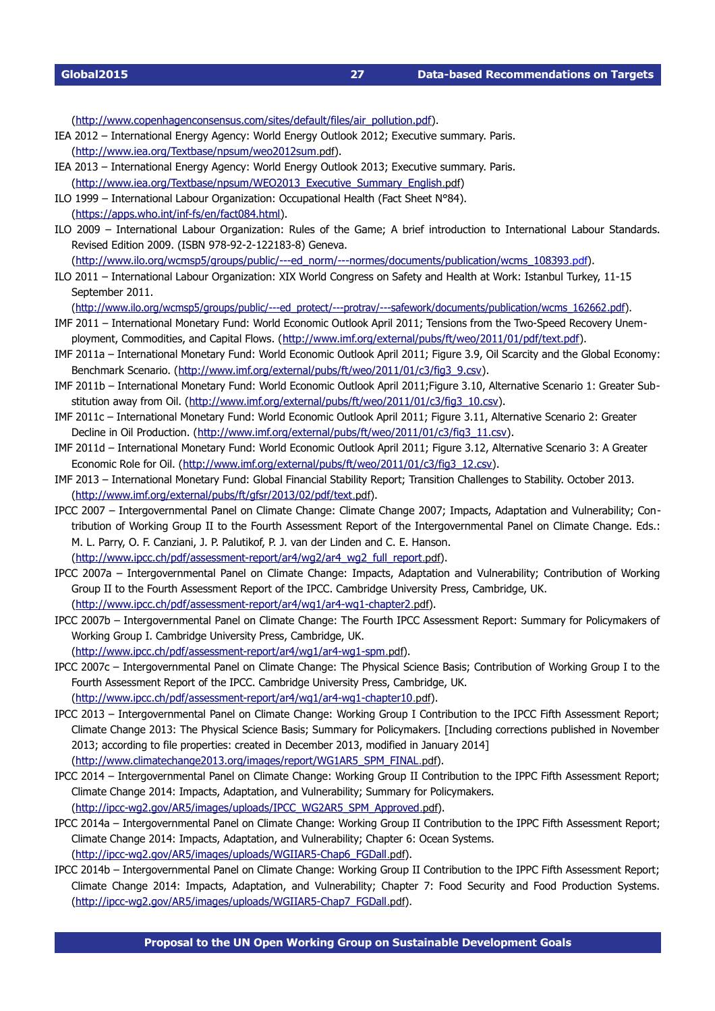[\(http://www.copenhagenconsensus.com/sites/default/files/air\\_pollution.pdf\)](http://www.copenhagenconsensus.com/sites/default/files/air_pollution.pdf).

- IEA 2012 International Energy Agency: World Energy Outlook 2012; Executive summary. Paris. [\( http://www.iea.org/Textbase/npsum/weo2012sum](http://www.iea.org/Textbase/npsum/weo2012sum.pdf) [.pdf](http://www.iea.org/Textbase/npsum/weo2012sum.pdf)).
- IEA 2013 International Energy Agency: World Energy Outlook 2013; Executive summary. Paris. (http://www.iea.org/Textbase/npsum/WEO2013\_Executive\_Summary\_English[.pdf](http://www.iea.org/Textbase/npsum/WEO2013_Executive_Summary_English.pdf))
- ILO 1999 International Labour Organization: Occupational Health (Fact Sheet N°84). (https://apps.who.int/inf-fs/en/fact084.html).
- ILO 2009 International Labour Organization: Rules of the Game; A brief introduction to International Labour Standards. Revised Edition 2009. (ISBN 978-92-2-122183-8) Geneva.

(http://www.ilo.org/wcmsp5/groups/public/---ed\_norm/---normes/documents/publication/wcms\_108393.pdf).

ILO 2011 – International Labour Organization: XIX World Congress on Safety and Health at Work: Istanbul Turkey, 11-15 September 2011.

(http://www.ilo.org/wcmsp5/groups/public/---ed\_protect/---protrav/---safework/documents/publication/wcms\_162662.pdf).

- IMF 2011 International Monetary Fund: World Economic Outlook April 2011; Tensions from the Two-Speed Recovery Unem-ployment, Commodities, and Capital Flows. [\(http://www.imf.org/external/pubs/ft/weo/2011/01/pdf/text.pdf\)](http://www.imf.org/external/pubs/ft/weo/2011/01/pdf/text.pdf).
- IMF 2011a International Monetary Fund: World Economic Outlook April 2011; Figure 3.9, Oil Scarcity and the Global Economy: Benchmark Scenario. [\(http://www.imf.org/external/pubs/ft/weo/2011/01/c3/fig3\\_9.csv\)](http://www.imf.org/external/pubs/ft/weo/2011/01/c3/fig3_9.csv).
- IMF 2011b International Monetary Fund: World Economic Outlook April 2011;Figure 3.10, Alternative Scenario 1: Greater Sub-stitution away from Oil. [\(http://www.imf.org/external/pubs/ft/weo/2011/01/c3/fig3\\_10.csv\)](http://www.imf.org/external/pubs/ft/weo/2011/01/c3/fig3_10.csv).
- IMF 2011c International Monetary Fund: World Economic Outlook April 2011; Figure 3.11, Alternative Scenario 2: Greater Decline in Oil Production. [\(http://www.imf.org/external/pubs/ft/weo/2011/01/c3/fig3\\_11.csv\)](http://www.imf.org/external/pubs/ft/weo/2011/01/c3/fig3_11.csv).
- IMF 2011d International Monetary Fund: World Economic Outlook April 2011; Figure 3.12, Alternative Scenario 3: A Greater Economic Role for Oil. [\(http://www.imf.org/external/pubs/ft/weo/2011/01/c3/fig3\\_12.csv\)](http://www.imf.org/external/pubs/ft/weo/2011/01/c3/fig3_12.csv).
- IMF 2013 International Monetary Fund: Global Financial Stability Report; Transition Challenges to Stability. October 2013. [\( http://www.imf.org/external/pubs/ft/gfsr/2013/02/pdf/text](http://www.imf.org/external/pubs/ft/gfsr/2013/02/pdf/text.pdf) [.pdf](http://www.imf.org/external/pubs/ft/gfsr/2013/02/pdf/text.pdf)).
- IPCC 2007 Intergovernmental Panel on Climate Change: Climate Change 2007; Impacts, Adaptation and Vulnerability; Contribution of Working Group II to the Fourth Assessment Report of the Intergovernmental Panel on Climate Change. Eds.: M. L. Parry, O. F. Canziani, J. P. Palutikof, P. J. van der Linden and C. E. Hanson. (http://www.ipcc.ch/pdf/assessment-report/ar4/wg2/ar4\_wg2\_full\_report[.pdf](http://www.ipcc.ch/pdf/assessment-report/ar4/wg2/ar4_wg2_full_report.pdf)).
- IPCC 2007a Intergovernmental Panel on Climate Change: Impacts, Adaptation and Vulnerability; Contribution of Working Group II to the Fourth Assessment Report of the IPCC. Cambridge University Press, Cambridge, UK. (http://www.ipcc.ch/pdf/assessment-report/ar4/wg1/ar4-wg1-chapter2[.pdf](http://www.ipcc.ch/pdf/assessment-report/ar4/wg1/ar4-wg1-chapter2.pdf)).
- IPCC 2007b Intergovernmental Panel on Climate Change: The Fourth IPCC Assessment Report: Summary for Policymakers of Working Group I. Cambridge University Press, Cambridge, UK.

(http://www.ipcc.ch/pdf/assessment-report/ar4/wg1/ar4-wg1-spm[.pdf](http://www.ipcc.ch/pdf/assessment-report/ar4/wg1/ar4-wg1-spm.pdf)).

- IPCC 2007c Intergovernmental Panel on Climate Change: The Physical Science Basis; Contribution of Working Group I to the Fourth Assessment Report of the IPCC. Cambridge University Press, Cambridge, UK. (http://www.ipcc.ch/pdf/assessment-report/ar4/wg1/ar4-wg1-chapter10[.pdf](http://www.ipcc.ch/pdf/assessment-report/ar4/wg1/ar4-wg1-chapter10.pdf)).
- IPCC 2013 Intergovernmental Panel on Climate Change: Working Group I Contribution to the IPCC Fifth Assessment Report; Climate Change 2013: The Physical Science Basis; Summary for Policymakers. [Including corrections published in November 2013; according to file properties: created in December 2013, modified in January 2014] (http://www.climatechange2013.org/images/report/WG1AR5\_SPM\_FINAL[.pdf](http://www.climatechange2013.org/images/report/WG1AR5_SPM_FINAL.pdf)).
- IPCC 2014 Intergovernmental Panel on Climate Change: Working Group II Contribution to the IPPC Fifth Assessment Report; Climate Change 2014: Impacts, Adaptation, and Vulnerability; Summary for Policymakers. (http://ipcc-wg2.gov/AR5/images/uploads/IPCC\_WG2AR5\_SPM\_Approved[.pdf](http://ipcc-wg2.gov/AR5/images/uploads/IPCC_WG2AR5_SPM_Approved.pdf)).
- IPCC 2014a Intergovernmental Panel on Climate Change: Working Group II Contribution to the IPPC Fifth Assessment Report; Climate Change 2014: Impacts, Adaptation, and Vulnerability; Chapter 6: Ocean Systems. (http://ipcc-wq2.gov/AR5/images/uploads/WGIIAR5-Chap6\_FGDall[.pdf](http://ipcc-wg2.gov/AR5/images/uploads/WGIIAR5-Chap6_FGDall.pdf)).
- IPCC 2014b Intergovernmental Panel on Climate Change: Working Group II Contribution to the IPPC Fifth Assessment Report; Climate Change 2014: Impacts, Adaptation, and Vulnerability; Chapter 7: Food Security and Food Production Systems. (http://ipcc-wg2.gov/AR5/images/uploads/WGIIAR5-Chap7\_FGDall[.pdf](http://ipcc-wg2.gov/AR5/images/uploads/WGIIAR5-Chap7_FGDall.pdf)).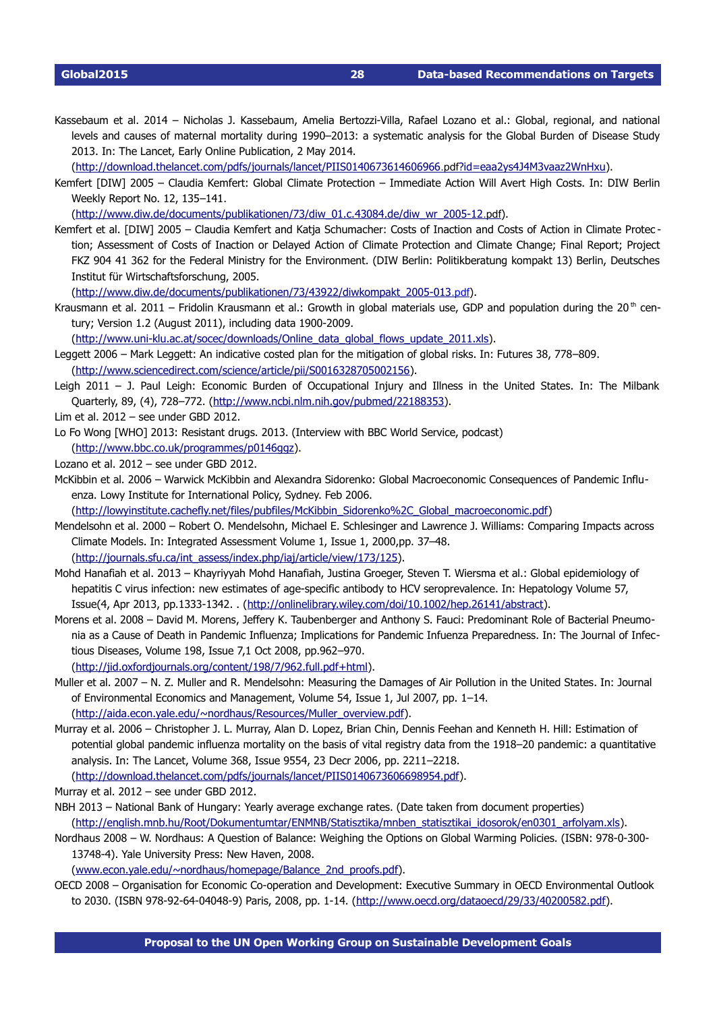Kassebaum et al. 2014 - Nicholas J. Kassebaum, Amelia Bertozzi-Villa, Rafael Lozano et al.: Global, regional, and national levels and causes of maternal mortality during 1990–2013: a systematic analysis for the Global Burden of Disease Study 2013. In: The Lancet, Early Online Publication, 2 May 2014.

[\( http://download.thelancet.com/pdfs/journals/lancet/PIIS0140673614606966](http://download.thelancet.com/pdfs/journals/lancet/PIIS0140673614606966.pdf?id=eaa2ys4J4M3vaaz2WnHxu) [.pdf](http://download.thelancet.com/pdfs/journals/lancet/PIIS0140673614606966.pdf?id=eaa2ys4J4M3vaaz2WnHxu) [?id=eaa2ys4J4M3vaaz2WnHxu\)](http://download.thelancet.com/pdfs/journals/lancet/PIIS0140673614606966.pdf?id=eaa2ys4J4M3vaaz2WnHxu).

Kemfert [DIW] 2005 – Claudia Kemfert: Global Climate Protection – Immediate Action Will Avert High Costs. In: DIW Berlin Weekly Report No. 12, 135–141.

[\( http://www.diw.de/documents/publikationen/73/diw\\_01.c.43084.de/diw\\_wr\\_200512](http://www.diw.de/documents/publikationen/73/diw_01.c.43084.de/diw_wr_2005-12.pdf) [.pdf](http://www.diw.de/documents/publikationen/73/diw_01.c.43084.de/diw_wr_2005-12.pdf)).

Kemfert et al. [DIW] 2005 - Claudia Kemfert and Katja Schumacher: Costs of Inaction and Costs of Action in Climate Protection; Assessment of Costs of Inaction or Delayed Action of Climate Protection and Climate Change; Final Report; Project FKZ 904 41 362 for the Federal Ministry for the Environment. (DIW Berlin: Politikberatung kompakt 13) Berlin, Deutsches Institut für Wirtschaftsforschung, 2005.

(http://www.diw.de/documents/publikationen/73/43922/diwkompakt\_2005-013[.pdf](http://www.diw.de/documents/publikationen/73/43922/diwkompakt_2005-013.pdf)).

Krausmann et al. 2011 – Fridolin Krausmann et al.: Growth in global materials use, GDP and population during the 20<sup>th</sup> century; Version  $1.2$  (August 2011), including data 1900-2009.

(http://www.uni-klu.ac.at/socec/downloads/Online\_data\_global\_flows\_update\_2011.xls).

- Leggett 2006 Mark Leggett: An indicative costed plan for the mitigation of global risks. In: Futures 38, 778–809. [\(http://www.sciencedirect.com/science/article/pii/S0016328705002156\)](http://www.sciencedirect.com/science/article/pii/S0016328705002156).
- Leigh 2011 J. Paul Leigh: Economic Burden of Occupational Injury and Illness in the United States. In: The Milbank Quarterly, 89, (4), 728–772. [\(http://www.ncbi.nlm.nih.gov/pubmed/22188353\)](http://www.ncbi.nlm.nih.gov/pubmed/22188353).

Lim et al. 2012 – see under GBD 2012.

- Lo Fo Wong [WHO] 2013: Resistant drugs. 2013. (Interview with BBC World Service, podcast) [\(http://www.bbc.co.uk/programmes/p0146ggz\)](http://www.bbc.co.uk/programmes/p0146ggz).
- Lozano et al. 2012 see under GBD 2012.
- McKibbin et al. 2006 Warwick McKibbin and Alexandra Sidorenko: Global Macroeconomic Consequences of Pandemic Influenza. Lowy Institute for International Policy, Sydney. Feb 2006.

[\(http://lowyinstitute.cachefly.net/files/pubfiles/McKibbin\\_Sidorenko%2C\\_Global\\_macroeconomic.pdf\)](http://lowyinstitute.cachefly.net/files/pubfiles/McKibbin_Sidorenko%2C_Global_macroeconomic.pdf)

- Mendelsohn et al. 2000 Robert O. Mendelsohn, Michael E. Schlesinger and Lawrence J. Williams: Comparing Impacts across Climate Models. In: Integrated Assessment Volume 1, Issue 1, 2000,pp. 37–48. [\(http://journals.sfu.ca/int\\_assess/index.php/iaj/article/view/173/125\)](http://journals.sfu.ca/int_assess/index.php/iaj/article/view/173/125).
- Mohd Hanafiah et al. 2013 Khayriyyah Mohd Hanafiah, Justina Groeger, Steven T. Wiersma et al.: Global epidemiology of hepatitis C virus infection: new estimates of age-specific antibody to HCV seroprevalence. In: Hepatology Volume 57, Issue(4, Apr 2013, pp.1333-1342. . [\(http://onlinelibrary.wiley.com/doi/10.1002/hep.26141/abstract\)](http://onlinelibrary.wiley.com/doi/10.1002/hep.26141/abstract).
- Morens et al. 2008 David M. Morens, Jeffery K. Taubenberger and Anthony S. Fauci: Predominant Role of Bacterial Pneumonia as a Cause of Death in Pandemic Influenza; Implications for Pandemic Infuenza Preparedness. In: The Journal of Infectious Diseases, Volume 198, Issue 7,1 Oct 2008, pp.962–970.

[\(http://jid.oxfordjournals.org/content/198/7/962.full.pdf+html\)](http://jid.oxfordjournals.org/content/198/7/962.full.pdf+html).

- Muller et al. 2007 N. Z. Muller and R. Mendelsohn: Measuring the Damages of Air Pollution in the United States. In: Journal of Environmental Economics and Management, Volume 54, Issue 1, Jul 2007, pp. 1–14. [\(http://aida.econ.yale.edu/~nordhaus/Resources/Muller\\_overview.pdf\)](http://aida.econ.yale.edu/~nordhaus/Resources/Muller_overview.pdf).
- Murray et al. 2006 Christopher J. L. Murray, Alan D. Lopez, Brian Chin, Dennis Feehan and Kenneth H. Hill: Estimation of potential global pandemic influenza mortality on the basis of vital registry data from the 1918–20 pandemic: a quantitative analysis. In: The Lancet, Volume 368, Issue 9554, 23 Decr 2006, pp. 2211–2218. [\(http://download.thelancet.com/pdfs/journals/lancet/PIIS0140673606698954.pdf\)](http://download.thelancet.com/pdfs/journals/lancet/PIIS0140673606698954.pdf).

Murray et al. 2012 – see under GBD 2012.

- NBH 2013 National Bank of Hungary: Yearly average exchange rates. (Date taken from document properties) [\(http://english.mnb.hu/Root/Dokumentumtar/ENMNB/Statisztika/mnben\\_statisztikai\\_idosorok/en0301\\_arfolyam.xls\)](http://english.mnb.hu/Root/Dokumentumtar/ENMNB/Statisztika/mnben_statisztikai_idosorok/en0301_arfolyam.xls).
- Nordhaus 2008 W. Nordhaus: A Question of Balance: Weighing the Options on Global Warming Policies. (ISBN: 978-0-300-13748-4). Yale University Press: New Haven, 2008.

[\(www.econ.yale.edu/~nordhaus/homepage/Balance\\_2nd\\_proofs.pdf\)](http://www.econ.yale.edu/~nordhaus/homepage/Balance_2nd_proofs.pdf).

OECD 2008 - Organisation for Economic Co-operation and Development: Executive Summary in OECD Environmental Outlook to 2030. (ISBN 978-92-64-04048-9) Paris, 2008, pp. 1-14. [\(http://www.oecd.org/dataoecd/29/33/40200582.pdf\)](http://www.oecd.org/dataoecd/29/33/40200582.pdf).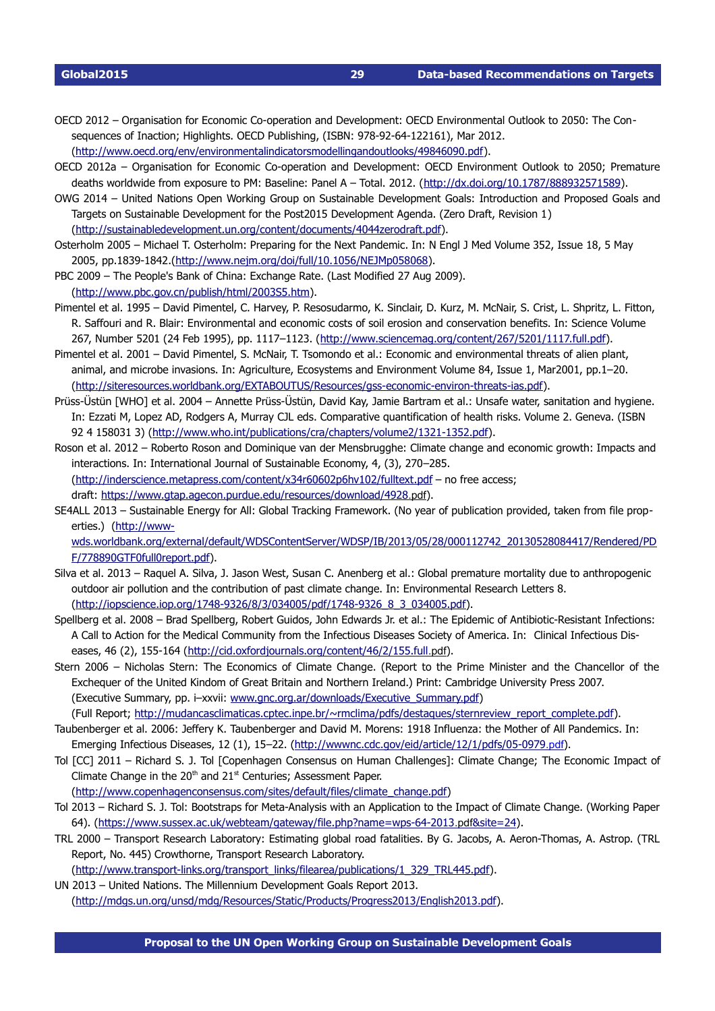OECD 2012 - Organisation for Economic Co-operation and Development: OECD Environmental Outlook to 2050: The Consequences of Inaction; Highlights. OECD Publishing, (ISBN: 978-92-64-122161), Mar 2012. [\(http://www.oecd.org/env/environmentalindicatorsmodellingandoutlooks/49846090.pdf\)](http://www.oecd.org/env/environmentalindicatorsmodellingandoutlooks/49846090.pdf).

- OECD 2012a Organisation for Economic Co-operation and Development: OECD Environment Outlook to 2050; Premature deaths worldwide from exposure to PM: Baseline: Panel A - Total. 2012. [\(http://dx.doi.org/10.1787/888932571589\)](http://dx.doi.org/10.1787/888932571589).
- OWG 2014 United Nations Open Working Group on Sustainable Development Goals: Introduction and Proposed Goals and Targets on Sustainable Development for the Post2015 Development Agenda. (Zero Draft, Revision 1) [\(http://sustainabledevelopment.un.org/content/documents/4044zerodraft.pdf\)](http://sustainabledevelopment.un.org/content/documents/4044zerodraft.pdf).
- Osterholm 2005 Michael T. Osterholm: Preparing for the Next Pandemic. In: N Engl J Med Volume 352, Issue 18, 5 May 2005, pp.1839-1842.[\(http://www.nejm.org/doi/full/10.1056/NEJMp058068\)](http://www.nejm.org/doi/full/10.1056/NEJMp058068).
- PBC 2009 The People's Bank of China: Exchange Rate. (Last Modified 27 Aug 2009).

[\(http://www.pbc.gov.cn/publish/html/2003S5.htm\)](http://www.pbc.gov.cn/publish/html/2003S5.htm).

- Pimentel et al. 1995 David Pimentel, C. Harvey, P. Resosudarmo, K. Sinclair, D. Kurz, M. McNair, S. Crist, L. Shpritz, L. Fitton, R. Saffouri and R. Blair: Environmental and economic costs of soil erosion and conservation benefits. In: Science Volume 267, Number 5201 (24 Feb 1995), pp. 1117–1123. [\(http://www.sciencemag.org/content/267/5201/1117.full.pdf\)](http://www.sciencemag.org/content/267/5201/1117.full.pdf).
- Pimentel et al. 2001 David Pimentel, S. McNair, T. Tsomondo et al.: Economic and environmental threats of alien plant, animal, and microbe invasions. In: Agriculture, Ecosystems and Environment Volume 84, Issue 1, Mar2001, pp.1–20. (http://siteresources.worldbank.org/EXTABOUTUS/Resources/gss-economic-environ-threats-ias.pdf).
- Prüss-Üstün [WHO] et al. 2004 Annette Prüss-Üstün, David Kay, Jamie Bartram et al.: Unsafe water, sanitation and hygiene. In: Ezzati M, Lopez AD, Rodgers A, Murray CJL eds. Comparative quantification of health risks. Volume 2. Geneva. (ISBN 92 4 158031 3) (http://www.who.int/publications/cra/chapters/volume2/1321-1352.pdf).
- Roson et al. 2012 Roberto Roson and Dominique van der Mensbrugghe: Climate change and economic growth: Impacts and interactions. In: International Journal of Sustainable Economy, 4, (3), 270–285. (http://inderscience.metapress.com/content/x34r60602p6hv102/fulltext.pdf - no free access; draft: [https://www.gtap.agecon.purdue.edu/resources/download/4928](https://www.gtap.agecon.purdue.edu/resources/download/4928.pdf) [.pdf](https://www.gtap.agecon.purdue.edu/resources/download/4928.pdf)).
- SE4ALL 2013 Sustainable Energy for All: Global Tracking Framework. (No year of publication provided, taken from file properties.) [\(http://www-](http://www-wds.worldbank.org/external/default/WDSContentServer/WDSP/IB/2013/05/28/000112742_20130528084417/Rendered/PDF/778890GTF0full0report.pdf)

[wds.worldbank.org/external/default/WDSContentServer/WDSP/IB/2013/05/28/000112742\\_20130528084417/Rendered/PD](http://www-wds.worldbank.org/external/default/WDSContentServer/WDSP/IB/2013/05/28/000112742_20130528084417/Rendered/PDF/778890GTF0full0report.pdf) [F/778890GTF0full0report.pdf\)](http://www-wds.worldbank.org/external/default/WDSContentServer/WDSP/IB/2013/05/28/000112742_20130528084417/Rendered/PDF/778890GTF0full0report.pdf).

- Silva et al. 2013 Raquel A. Silva, J. Jason West, Susan C. Anenberg et al.: Global premature mortality due to anthropogenic outdoor air pollution and the contribution of past climate change. In: Environmental Research Letters 8. (http://iopscience.iop.org/1748-9326/8/3/034005/pdf/1748-9326\_8\_3\_034005.pdf).
- Spellberg et al. 2008 Brad Spellberg, Robert Guidos, John Edwards Jr. et al.: The Epidemic of Antibiotic-Resistant Infections: A Call to Action for the Medical Community from the Infectious Diseases Society of America. In: Clinical Infectious Dis-eases, 46 (2), 155-164 (http://cid.oxfordjournals.org/content/46/2/155.full[.pdf](http://cid.oxfordjournals.org/content/46/2/155.full.pdf)).
- Stern 2006 Nicholas Stern: The Economics of Climate Change. (Report to the Prime Minister and the Chancellor of the Exchequer of the United Kindom of Great Britain and Northern Ireland.) Print: Cambridge University Press 2007. (Executive Summary, pp. i–xxvii: [www.gnc.org.ar/downloads/Executive\\_Summary.pdf\)](http://www.gnc.org.ar/downloads/Executive_Summary.pdf) (Full Report; [http://mudancasclimaticas.cptec.inpe.br/~rmclima/pdfs/destaques/sternreview\\_report\\_complete.pdf\)](http://mudancasclimaticas.cptec.inpe.br/~rmclima/pdfs/destaques/sternreview_report_complete.pdf).
- Taubenberger et al. 2006: Jeffery K. Taubenberger and David M. Morens: 1918 Influenza: the Mother of All Pandemics. In: Emerging Infectious Diseases, 12 (1), 15–22. (http://wwwnc.cdc.gov/eid/article/12/1/pdfs/05-0979.pdf).
- Tol [CC] 2011 Richard S. J. Tol [Copenhagen Consensus on Human Challenges]: Climate Change; The Economic Impact of Climate Change in the  $20<sup>th</sup>$  and  $21<sup>st</sup>$  Centuries; Assessment Paper. [\(http://www.copenhagenconsensus.com/sites/default/files/climate\\_change.pdf\)](http://www.copenhagenconsensus.com/sites/default/files/climate_change.pdf)
- Tol 2013 Richard S. J. Tol: Bootstraps for Meta-Analysis with an Application to the Impact of Climate Change. (Working Paper 64). (https://www.sussex.ac.uk/webteam/gateway/file.php?name=wps-64-2013[.pdf](https://www.sussex.ac.uk/webteam/gateway/file.php?name=wps-64-2013.pdf&site=24)&site=24).
- TRL 2000 Transport Research Laboratory: Estimating global road fatalities. By G. Jacobs, A. Aeron-Thomas, A. Astrop. (TRL Report, No. 445) Crowthorne, Transport Research Laboratory.

(http://www.transport-links.org/transport\_links/filearea/publications/1\_329\_TRL445.pdf).

UN 2013 – United Nations. The Millennium Development Goals Report 2013. [\(http://mdgs.un.org/unsd/mdg/Resources/Static/Products/Progress2013/English2013.pdf\)](http://mdgs.un.org/unsd/mdg/Resources/Static/Products/Progress2013/English2013.pdf).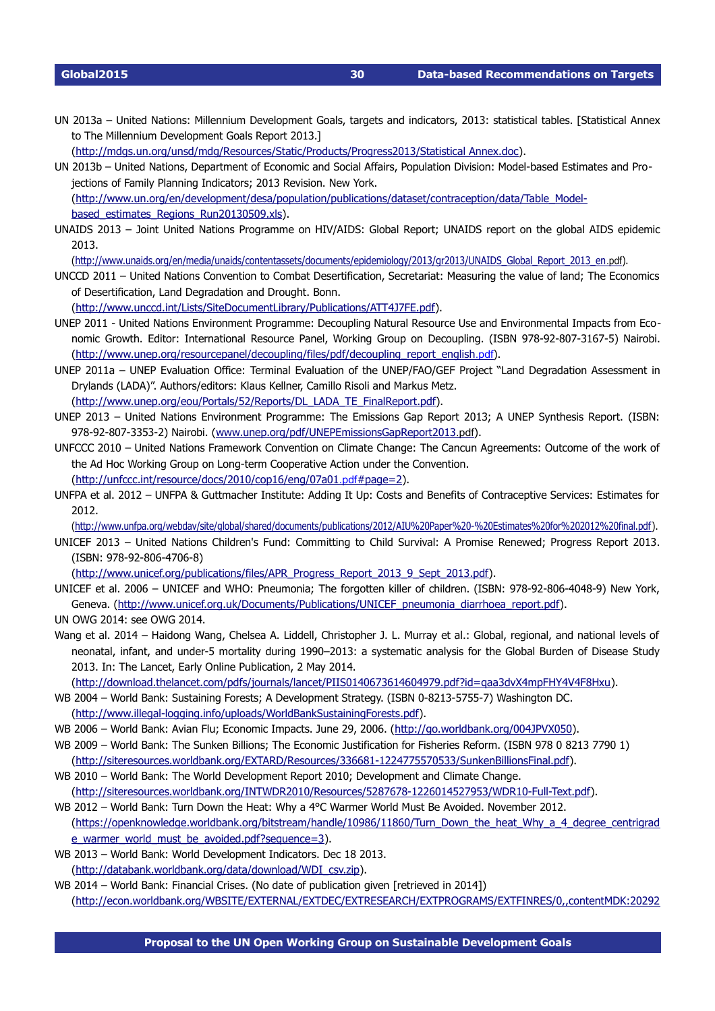UN 2013a – United Nations: Millennium Development Goals, targets and indicators, 2013: statistical tables. [Statistical Annex to The Millennium Development Goals Report 2013.]

[\(http://mdgs.un.org/unsd/mdg/Resources/Static/Products/Progress2013/Statistical Annex.doc\)](http://mdgs.un.org/unsd/mdg/Resources/Static/Products/Progress2013/Statistical%20Annex.doc).

UN 2013b – United Nations, Department of Economic and Social Affairs, Population Division: Model-based Estimates and Projections of Family Planning Indicators; 2013 Revision. New York. [\(http://www.un.org/en/development/desa/population/publications/dataset/contraception/data/Table\\_Model-](http://www.un.org/en/development/desa/population/publications/dataset/contraception/data/Table_Model-based_estimates_Regions_Run20130509.xls)

[based\\_estimates\\_Regions\\_Run20130509.xls\)](http://www.un.org/en/development/desa/population/publications/dataset/contraception/data/Table_Model-based_estimates_Regions_Run20130509.xls).

UNAIDS 2013 – Joint United Nations Programme on HIV/AIDS: Global Report; UNAIDS report on the global AIDS epidemic 2013.

[\( http://www.unaids.org/en/media/unaids/contentassets/documents/epidemiology/2013/gr2013/UNAIDS\\_Global\\_Report\\_2013\\_en](http://www.unaids.org/en/media/unaids/contentassets/documents/epidemiology/2013/gr2013/UNAIDS_Global_Report_2013_en.pdf) [.pdf](http://www.unaids.org/en/media/unaids/contentassets/documents/epidemiology/2013/gr2013/UNAIDS_Global_Report_2013_en.pdf)).

UNCCD 2011 – United Nations Convention to Combat Desertification, Secretariat: Measuring the value of land; The Economics of Desertification, Land Degradation and Drought. Bonn.

[\(http://www.unccd.int/Lists/SiteDocumentLibrary/Publications/ATT4J7FE.pdf\)](http://www.unccd.int/Lists/SiteDocumentLibrary/Publications/ATT4J7FE.pdf).

- UNEP 2011 United Nations Environment Programme: Decoupling Natural Resource Use and Environmental Impacts from Economic Growth. Editor: International Resource Panel, Working Group on Decoupling. (ISBN 978-92-807-3167-5) Nairobi. [\( http://www.unep.org/resourcepanel/decoupling/files/pdf/decoupling\\_report\\_english](http://www.unep.org/resourcepanel/decoupling/files/pdf/decoupling_report_english.pdf) .pdf).
- UNEP 2011a UNEP Evaluation Office: Terminal Evaluation of the UNEP/FAO/GEF Project "Land Degradation Assessment in Drylands (LADA)". Authors/editors: Klaus Kellner, Camillo Risoli and Markus Metz. [\(http://www.unep.org/eou/Portals/52/Reports/DL\\_LADA\\_TE\\_FinalReport.pdf\)](http://www.unep.org/eou/Portals/52/Reports/DL_LADA_TE_FinalReport.pdf).
- UNEP 2013 United Nations Environment Programme: The Emissions Gap Report 2013; A UNEP Synthesis Report. (ISBN: 978-92-807-3353-2) Nairobi. (www.unep.org/pdf/UNEPEmissionsGapReport2013[.pdf](http://www.unep.org/pdf/UNEPEmissionsGapReport2013.pdf)).
- UNFCCC 2010 United Nations Framework Convention on Climate Change: The Cancun Agreements: Outcome of the work of the Ad Hoc Working Group on Long-term Cooperative Action under the Convention. (http://unfccc.int/resource/docs/2010/cop16/eng/07a01.pdf#page=2).
- UNFPA et al. 2012 UNFPA & Guttmacher Institute: Adding It Up: Costs and Benefits of Contraceptive Services: Estimates for
- 2012.

[\(http://www.unfpa.org/webdav/site/global/shared/documents/publications/2012/AIU%20Paper%20%20Estimates%20for%202012%20final.pdf\)](http://www.unfpa.org/webdav/site/global/shared/documents/publications/2012/AIU%20Paper%20-%20Estimates%20for%202012%20final.pdf).

UNICEF 2013 – United Nations Children's Fund: Committing to Child Survival: A Promise Renewed; Progress Report 2013. (ISBN: 978-92-806-4706-8)

[\(http://www.unicef.org/publications/files/APR\\_Progress\\_Report\\_2013\\_9\\_Sept\\_2013.pdf\)](http://www.unicef.org/publications/files/APR_Progress_Report_2013_9_Sept_2013.pdf).

- UNICEF et al. 2006 UNICEF and WHO: Pneumonia: The forgotten killer of children. (ISBN: 978-92-806-4048-9) New York, Geneva. [\(http://www.unicef.org.uk/Documents/Publications/UNICEF\\_pneumonia\\_diarrhoea\\_report.pdf\)](http://www.unicef.org.uk/Documents/Publications/UNICEF_pneumonia_diarrhoea_report.pdf).
- UN OWG 2014: see OWG 2014.
- Wang et al. 2014 Haidong Wang, Chelsea A. Liddell, Christopher J. L. Murray et al.: Global, regional, and national levels of neonatal, infant, and under-5 mortality during 1990-2013: a systematic analysis for the Global Burden of Disease Study 2013. In: The Lancet, Early Online Publication, 2 May 2014.

[\(http://download.thelancet.com/pdfs/journals/lancet/PIIS0140673614604979.pdf?id=qaa3dvX4mpFHY4V4F8Hxu\)](http://download.thelancet.com/pdfs/journals/lancet/PIIS0140673614604979.pdf?id=qaa3dvX4mpFHY4V4F8Hxu).

- WB 2004 World Bank: Sustaining Forests; A Development Strategy. (ISBN 0-8213-5755-7) Washington DC. (http://www.illegal-logging.info/uploads/WorldBankSustainingForests.pdf).
- WB 2006 World Bank: Avian Flu; Economic Impacts. June 29, 2006. [\(http://go.worldbank.org/004JPVX050\)](http://go.worldbank.org/004JPVX050).
- WB 2009 World Bank: The Sunken Billions; The Economic Justification for Fisheries Reform. (ISBN 978 0 8213 7790 1)
	- [\(http://siteresources.worldbank.org/EXTARD/Resources/3366811224775570533/SunkenBillionsFinal.pdf\)](http://siteresources.worldbank.org/EXTARD/Resources/336681-1224775570533/SunkenBillionsFinal.pdf).
- WB 2010 World Bank: The World Development Report 2010; Development and Climate Change. (http://siteresources.worldbank.org/INTWDR2010/Resources/5287678-1226014527953/WDR10-Full-Text.pdf).
- WB 2012 World Bank: Turn Down the Heat: Why a 4°C Warmer World Must Be Avoided. November 2012. [\(https://openknowledge.worldbank.org/bitstream/handle/10986/11860/Turn\\_Down\\_the\\_heat\\_Why\\_a\\_4\\_degree\\_centrigrad](https://openknowledge.worldbank.org/bitstream/handle/10986/11860/Turn_Down_the_heat_Why_a_4_degree_centrigrade_warmer_world_must_be_avoided.pdf?sequence=3) [e\\_warmer\\_world\\_must\\_be\\_avoided.pdf?sequence=3\)](https://openknowledge.worldbank.org/bitstream/handle/10986/11860/Turn_Down_the_heat_Why_a_4_degree_centrigrade_warmer_world_must_be_avoided.pdf?sequence=3).
- WB 2013 World Bank: World Development Indicators. Dec 18 2013. [\(http://databank.worldbank.org/data/download/WDI\\_csv.zip\)](http://databank.worldbank.org/data/download/WDI_csv.zip).
- WB 2014 World Bank: Financial Crises. (No date of publication given [retrieved in 2014]) [\(http://econ.worldbank.org/WBSITE/EXTERNAL/EXTDEC/EXTRESEARCH/EXTPROGRAMS/EXTFINRES/0,,contentMDK:20292](http://econ.worldbank.org/WBSITE/EXTERNAL/EXTDEC/EXTRESEARCH/EXTPROGRAMS/EXTFINRES/0,,contentMDK:20292132~menuPK:546095~pagePK:64168182~piPK:64168060~theSitePK:478060,00.html)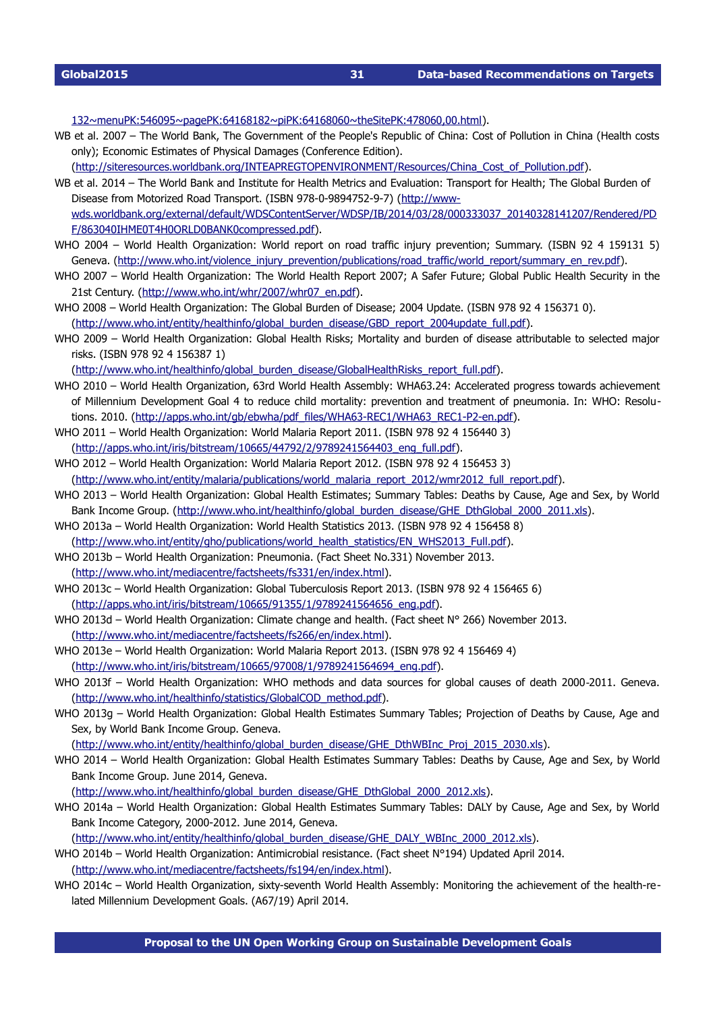[132~menuPK:546095~pagePK:64168182~piPK:64168060~theSitePK:478060,00.html\)](http://econ.worldbank.org/WBSITE/EXTERNAL/EXTDEC/EXTRESEARCH/EXTPROGRAMS/EXTFINRES/0,,contentMDK:20292132~menuPK:546095~pagePK:64168182~piPK:64168060~theSitePK:478060,00.html).

- WB et al. 2007 The World Bank, The Government of the People's Republic of China: Cost of Pollution in China (Health costs only); Economic Estimates of Physical Damages (Conference Edition).
- [\(http://siteresources.worldbank.org/INTEAPREGTOPENVIRONMENT/Resources/China\\_Cost\\_of\\_Pollution.pdf\)](http://siteresources.worldbank.org/INTEAPREGTOPENVIRONMENT/Resources/China_Cost_of_Pollution.pdf).
- WB et al. 2014 The World Bank and Institute for Health Metrics and Evaluation: Transport for Health; The Global Burden of Disease from Motorized Road Transport. (ISBN 978-0-9894752-9-7) [\(http://www](http://www-wds.worldbank.org/external/default/WDSContentServer/WDSP/IB/2014/03/28/000333037_20140328141207/Rendered/PDF/863040IHME0T4H0ORLD0BANK0compressed.pdf)[wds.worldbank.org/external/default/WDSContentServer/WDSP/IB/2014/03/28/000333037\\_20140328141207/Rendered/PD](http://www-wds.worldbank.org/external/default/WDSContentServer/WDSP/IB/2014/03/28/000333037_20140328141207/Rendered/PDF/863040IHME0T4H0ORLD0BANK0compressed.pdf) [F/863040IHME0T4H0ORLD0BANK0compressed.pdf\)](http://www-wds.worldbank.org/external/default/WDSContentServer/WDSP/IB/2014/03/28/000333037_20140328141207/Rendered/PDF/863040IHME0T4H0ORLD0BANK0compressed.pdf).
- WHO 2004 World Health Organization: World report on road traffic injury prevention; Summary. (ISBN 92 4 159131 5) Geneva. [\(http://www.who.int/violence\\_injury\\_prevention/publications/road\\_traffic/world\\_report/summary\\_en\\_rev.pdf\)](http://www.who.int/violence_injury_prevention/publications/road_traffic/world_report/summary_en_rev.pdf).
- WHO 2007 World Health Organization: The World Health Report 2007; A Safer Future; Global Public Health Security in the 21st Century. [\(http://www.who.int/whr/2007/whr07\\_en.pdf\)](http://www.who.int/whr/2007/whr07_en.pdf).
- WHO 2008 World Health Organization: The Global Burden of Disease; 2004 Update. (ISBN 978 92 4 156371 0). [\(http://www.who.int/entity/healthinfo/global\\_burden\\_disease/GBD\\_report\\_2004update\\_full.pdf\)](http://www.who.int/entity/healthinfo/global_burden_disease/GBD_report_2004update_full.pdf).
- WHO 2009 World Health Organization: Global Health Risks; Mortality and burden of disease attributable to selected major risks. (ISBN 978 92 4 156387 1)

[\(http://www.who.int/healthinfo/global\\_burden\\_disease/GlobalHealthRisks\\_report\\_full.pdf\)](http://www.who.int/healthinfo/global_burden_disease/GlobalHealthRisks_report_full.pdf).

- WHO 2010 World Health Organization, 63rd World Health Assembly: WHA63.24: Accelerated progress towards achievement of Millennium Development Goal 4 to reduce child mortality: prevention and treatment of pneumonia. In: WHO: Resolutions. 2010. (http://apps.who.int/qb/ebwha/pdf\_files/WHA63-REC1/WHA63\_REC1-P2-en.pdf).
- WHO 2011 World Health Organization: World Malaria Report 2011. (ISBN 978 92 4 156440 3) [\(http://apps.who.int/iris/bitstream/10665/44792/2/9789241564403\\_eng\\_full.pdf\)](http://apps.who.int/iris/bitstream/10665/44792/2/9789241564403_eng_full.pdf).
- WHO 2012 World Health Organization: World Malaria Report 2012. (ISBN 978 92 4 156453 3) [\(http://www.who.int/entity/malaria/publications/world\\_malaria\\_report\\_2012/wmr2012\\_full\\_report.pdf\)](http://www.who.int/entity/malaria/publications/world_malaria_report_2012/wmr2012_full_report.pdf).
- WHO 2013 World Health Organization: Global Health Estimates; Summary Tables: Deaths by Cause, Age and Sex, by World Bank Income Group. [\(http://www.who.int/healthinfo/global\\_burden\\_disease/GHE\\_DthGlobal\\_2000\\_2011.xls\)](http://www.who.int/healthinfo/global_burden_disease/GHE_DthGlobal_2000_2011.xls).
- WHO 2013a World Health Organization: World Health Statistics 2013. (ISBN 978 92 4 156458 8) [\(http://www.who.int/entity/gho/publications/world\\_health\\_statistics/EN\\_WHS2013\\_Full.pdf\)](http://www.who.int/entity/gho/publications/world_health_statistics/EN_WHS2013_Full.pdf).
- WHO 2013b World Health Organization: Pneumonia. (Fact Sheet No.331) November 2013. [\(http://www.who.int/mediacentre/factsheets/fs331/en/index.html\)](http://www.who.int/mediacentre/factsheets/fs331/en/index.html).
- WHO 2013c World Health Organization: Global Tuberculosis Report 2013. (ISBN 978 92 4 156465 6) [\(http://apps.who.int/iris/bitstream/10665/91355/1/9789241564656\\_eng.pdf\)](http://apps.who.int/iris/bitstream/10665/91355/1/9789241564656_eng.pdf).
- WHO 2013d World Health Organization: Climate change and health. (Fact sheet N° 266) November 2013. [\(http://www.who.int/mediacentre/factsheets/fs266/en/index.html\)](http://www.who.int/mediacentre/factsheets/fs266/en/index.html).
- WHO 2013e World Health Organization: World Malaria Report 2013. (ISBN 978 92 4 156469 4) [\(http://www.who.int/iris/bitstream/10665/97008/1/9789241564694\\_eng.pdf\)](http://www.who.int/iris/bitstream/10665/97008/1/9789241564694_eng.pdf).
- WHO 2013f World Health Organization: WHO methods and data sources for global causes of death 2000-2011. Geneva. [\(http://www.who.int/healthinfo/statistics/GlobalCOD\\_method.pdf\)](http://www.who.int/healthinfo/statistics/GlobalCOD_method.pdf).
- WHO 2013g World Health Organization: Global Health Estimates Summary Tables; Projection of Deaths by Cause, Age and Sex, by World Bank Income Group. Geneva.

[\(http://www.who.int/entity/healthinfo/global\\_burden\\_disease/GHE\\_DthWBInc\\_Proj\\_2015\\_2030.xls\)](http://www.who.int/entity/healthinfo/global_burden_disease/GHE_DthWBInc_Proj_2015_2030.xls).

WHO 2014 – World Health Organization: Global Health Estimates Summary Tables: Deaths by Cause, Age and Sex, by World Bank Income Group. June 2014, Geneva.

[\(http://www.who.int/healthinfo/global\\_burden\\_disease/GHE\\_DthGlobal\\_2000\\_2012.xls\)](http://www.who.int/healthinfo/global_burden_disease/GHE_DthGlobal_2000_2012.xls).

WHO 2014a – World Health Organization: Global Health Estimates Summary Tables: DALY by Cause, Age and Sex, by World Bank Income Category, 2000-2012. June 2014, Geneva.

[\(http://www.who.int/entity/healthinfo/global\\_burden\\_disease/GHE\\_DALY\\_WBInc\\_2000\\_2012.xls\)](http://www.who.int/entity/healthinfo/global_burden_disease/GHE_DALY_WBInc_2000_2012.xls).

WHO 2014b – World Health Organization: Antimicrobial resistance. (Fact sheet N°194) Updated April 2014. [\(http://www.who.int/mediacentre/factsheets/fs194/en/index.html\)](http://www.who.int/mediacentre/factsheets/fs194/en/index.html).

WHO 2014c - World Health Organization, sixty-seventh World Health Assembly: Monitoring the achievement of the health-related Millennium Development Goals. (A67/19) April 2014.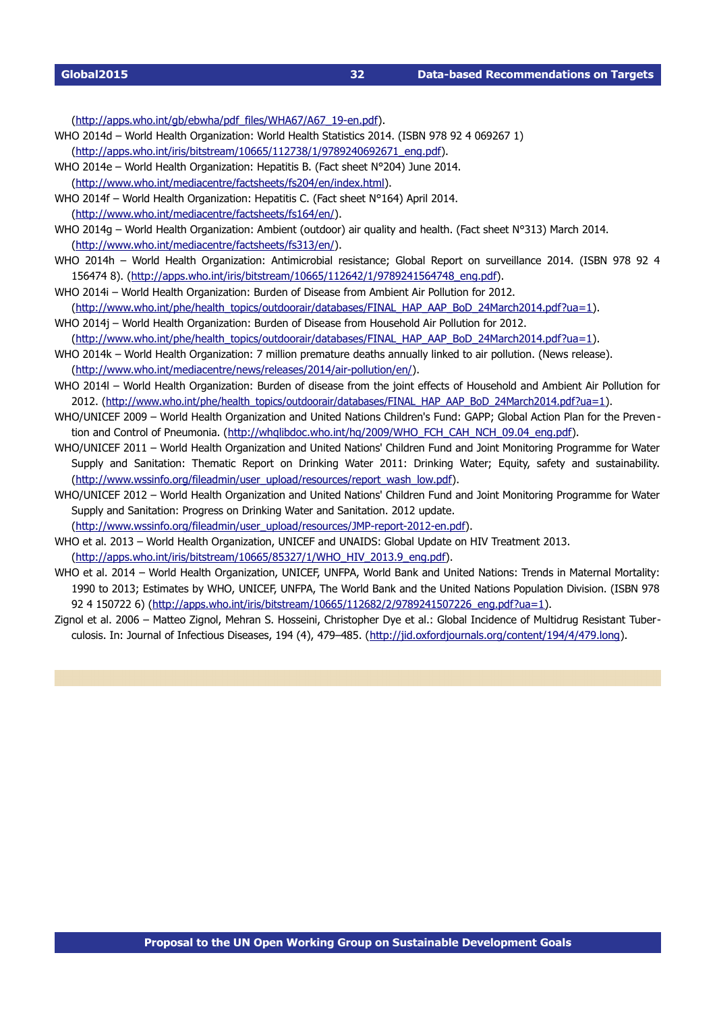(http://apps.who.int/qb/ebwha/pdf\_files/WHA67/A67\_19-en.pdf).

- WHO 2014d World Health Organization: World Health Statistics 2014. (ISBN 978 92 4 069267 1) [\(http://apps.who.int/iris/bitstream/10665/112738/1/9789240692671\\_eng.pdf\)](http://apps.who.int/iris/bitstream/10665/112738/1/9789240692671_eng.pdf).
- WHO 2014e World Health Organization: Hepatitis B. (Fact sheet N°204) June 2014. [\(http://www.who.int/mediacentre/factsheets/fs204/en/index.html\)](http://www.who.int/mediacentre/factsheets/fs204/en/index.html).
- WHO 2014f World Health Organization: Hepatitis C. (Fact sheet N°164) April 2014. [\(http://www.who.int/mediacentre/factsheets/fs164/en/\)](http://www.who.int/mediacentre/factsheets/fs164/en/).
- WHO 2014g World Health Organization: Ambient (outdoor) air quality and health. (Fact sheet N°313) March 2014. [\(http://www.who.int/mediacentre/factsheets/fs313/en/\)](http://www.who.int/mediacentre/factsheets/fs313/en/).
- WHO 2014h World Health Organization: Antimicrobial resistance; Global Report on surveillance 2014. (ISBN 978 92 4 156474 8). [\(http://apps.who.int/iris/bitstream/10665/112642/1/9789241564748\\_eng.pdf\)](http://apps.who.int/iris/bitstream/10665/112642/1/9789241564748_eng.pdf).
- WHO 2014i World Health Organization: Burden of Disease from Ambient Air Pollution for 2012. [\(http://www.who.int/phe/health\\_topics/outdoorair/databases/FINAL\\_HAP\\_AAP\\_BoD\\_24March2014.pdf?ua=1\)](http://www.who.int/phe/health_topics/outdoorair/databases/FINAL_HAP_AAP_BoD_24March2014.pdf?ua=1).
- WHO 2014j World Health Organization: Burden of Disease from Household Air Pollution for 2012.

[\(http://www.who.int/phe/health\\_topics/outdoorair/databases/FINAL\\_HAP\\_AAP\\_BoD\\_24March2014.pdf?ua=1\)](http://www.who.int/phe/health_topics/outdoorair/databases/FINAL_HAP_AAP_BoD_24March2014.pdf?ua=1).

- WHO 2014k World Health Organization: 7 million premature deaths annually linked to air pollution. (News release). (http://www.who.int/mediacentre/news/releases/2014/air-pollution/en/).
- WHO 2014l World Health Organization: Burden of disease from the joint effects of Household and Ambient Air Pollution for 2012. [\(http://www.who.int/phe/health\\_topics/outdoorair/databases/FINAL\\_HAP\\_AAP\\_BoD\\_24March2014.pdf?ua=1\)](http://www.who.int/phe/health_topics/outdoorair/databases/FINAL_HAP_AAP_BoD_24March2014.pdf?ua=1).
- WHO/UNICEF 2009 World Health Organization and United Nations Children's Fund: GAPP: Global Action Plan for the Preven-tion and Control of Pneumonia. [\(http://whqlibdoc.who.int/hq/2009/WHO\\_FCH\\_CAH\\_NCH\\_09.04\\_eng.pdf\)](http://whqlibdoc.who.int/hq/2009/WHO_FCH_CAH_NCH_09.04_eng.pdf).
- WHO/UNICEF 2011 World Health Organization and United Nations' Children Fund and Joint Monitoring Programme for Water Supply and Sanitation: Thematic Report on Drinking Water 2011: Drinking Water; Equity, safety and sustainability. [\(http://www.wssinfo.org/fileadmin/user\\_upload/resources/report\\_wash\\_low.pdf\)](http://www.wssinfo.org/fileadmin/user_upload/resources/report_wash_low.pdf).
- WHO/UNICEF 2012 World Health Organization and United Nations' Children Fund and Joint Monitoring Programme for Water Supply and Sanitation: Progress on Drinking Water and Sanitation. 2012 update.
- (http://www.wssinfo.org/fileadmin/user\_upload/resources/JMP-report-2012-en.pdf).
- WHO et al. 2013 World Health Organization, UNICEF and UNAIDS: Global Update on HIV Treatment 2013.

[\(http://apps.who.int/iris/bitstream/10665/85327/1/WHO\\_HIV\\_2013.9\\_eng.pdf\)](http://apps.who.int/iris/bitstream/10665/85327/1/WHO_HIV_2013.9_eng.pdf).

- WHO et al. 2014 World Health Organization, UNICEF, UNFPA, World Bank and United Nations: Trends in Maternal Mortality: 1990 to 2013; Estimates by WHO, UNICEF, UNFPA, The World Bank and the United Nations Population Division. (ISBN 978 92 4 150722 6) [\(http://apps.who.int/iris/bitstream/10665/112682/2/9789241507226\\_eng.pdf?ua=1\)](http://apps.who.int/iris/bitstream/10665/112682/2/9789241507226_eng.pdf?ua=1).
- Zignol et al. 2006 Matteo Zignol, Mehran S. Hosseini, Christopher Dye et al.: Global Incidence of Multidrug Resistant Tuberculosis. In: Journal of Infectious Diseases, 194 (4), 479–485. [\(http://jid.oxfordjournals.org/content/194/4/479.long\)](http://jid.oxfordjournals.org/content/194/4/479.long).